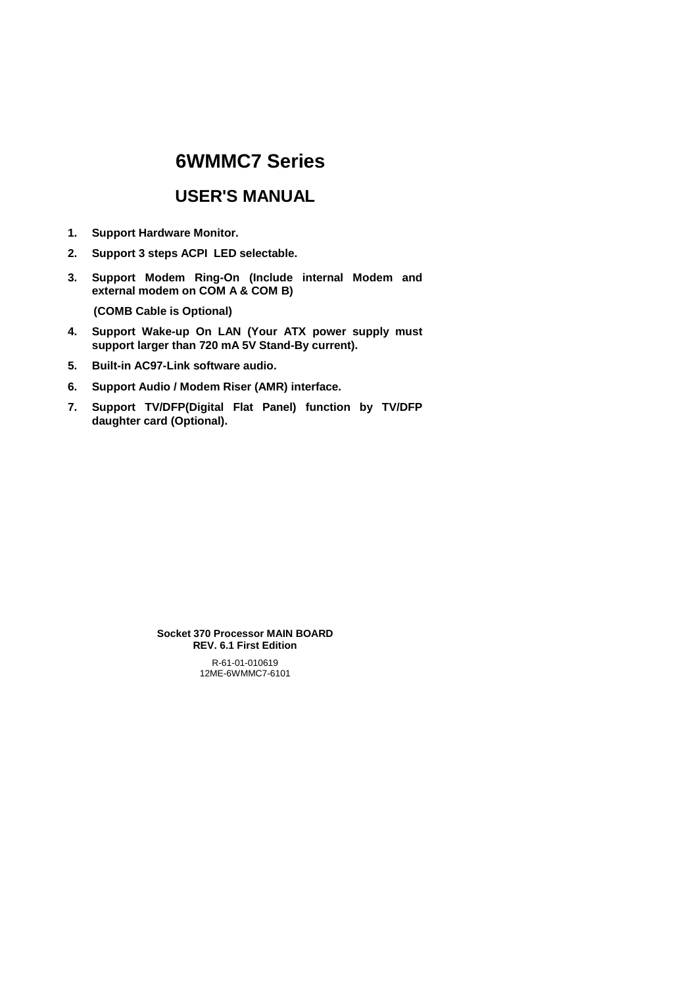# **6WMMC7 Series**

# **USER'S MANUAL**

- **1. Support Hardware Monitor.**
- **2. Support 3 steps ACPI LED selectable.**
- **3. Support Modem Ring-On (Include internal Modem and external modem on COM A & COM B)**

 **(COMB Cable is Optional)** 

- **4. Support Wake-up On LAN (Your ATX power supply must support larger than 720 mA 5V Stand-By current).**
- **5. Built-in AC97-Link software audio.**
- **6. Support Audio / Modem Riser (AMR) interface.**
- **7. Support TV/DFP(Digital Flat Panel) function by TV/DFP daughter card (Optional).**

R-61-01-010619 12ME-6WMMC7-6101 **Socket 370 Processor MAIN BOARD REV. 6.1 First Edition**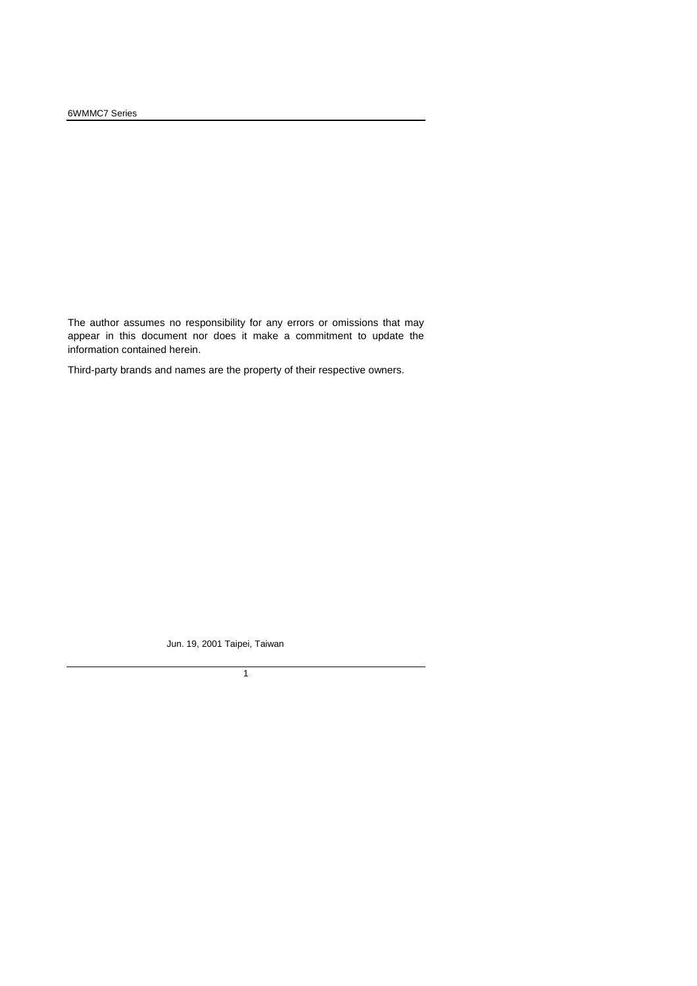The author assumes no responsibility for any errors or omissions that may appear in this document nor does it make a commitment to update the information contained herein.

Third-party brands and names are the property of their respective owners.

Jun. 19, 2001 Taipei, Taiwan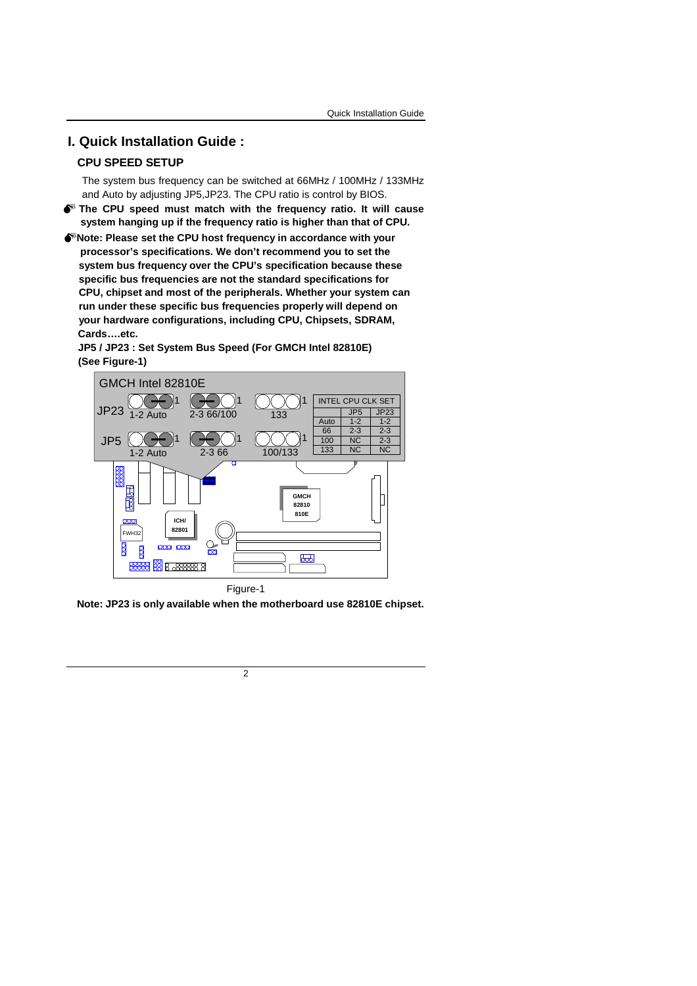# **I. Quick Installation Guide :**

### **CPU SPEED SETUP**

The system bus frequency can be switched at 66MHz / 100MHz / 133MHz and Auto by adjusting JP5,JP23. The CPU ratio is control by BIOS.

- 0 **The CPU speed must match with the frequency ratio. It will cause system hanging up if the frequency ratio is higher than that of CPU.**
- 0**Note: Please set the CPU host frequency in accordance with your processor's specifications. We don't recommend you to set the system bus frequency over the CPU's specification because these specific bus frequencies are not the standard specifications for CPU, chipset and most of the peripherals. Whether your system can run under these specific bus frequencies properly will depend on your hardware configurations, including CPU, Chipsets, SDRAM, Cards….etc.**

**JP5 / JP23 : Set System Bus Speed (For GMCH Intel 82810E) (See Figure-1)** 



**Note: JP23 is only available when the motherboard use 82810E chipset.**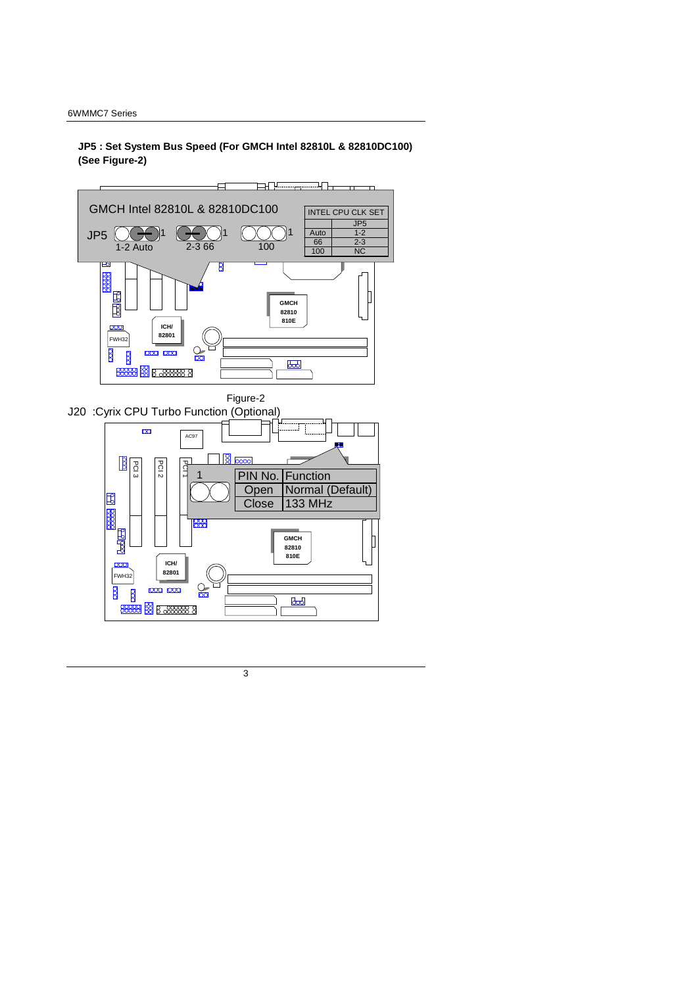**JP5 : Set System Bus Speed (For GMCH Intel 82810L & 82810DC100) (See Figure-2)** 



3

 $\infty$ 

ĪГ

**ICH/ 82801** 

000 000

**8888 8 B 88888 8** 

 $\frac{1}{\sqrt{2}}$ 

FWH32

 $\overline{8}$  $\overline{8}$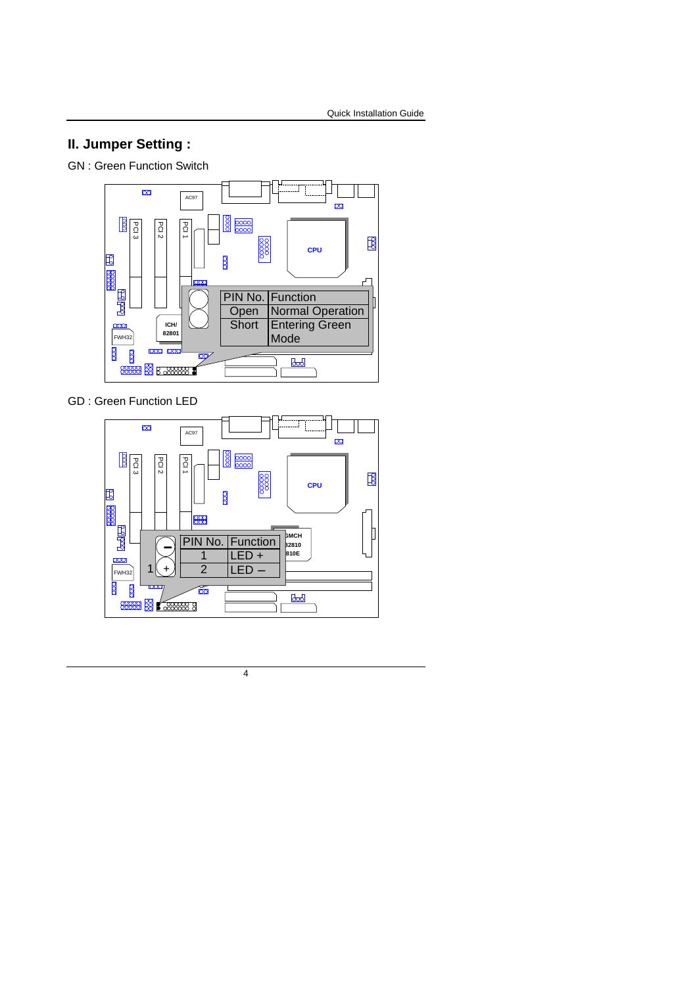# **II. Jumper Setting :**

GN : Green Function Switch



GD : Green Function LED

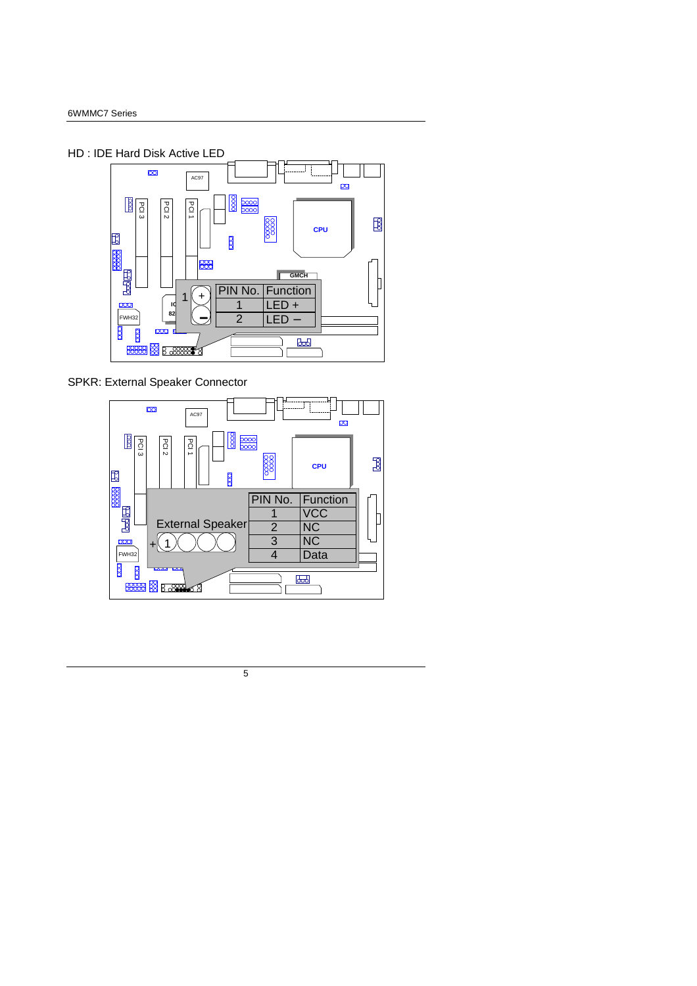



SPKR: External Speaker Connector

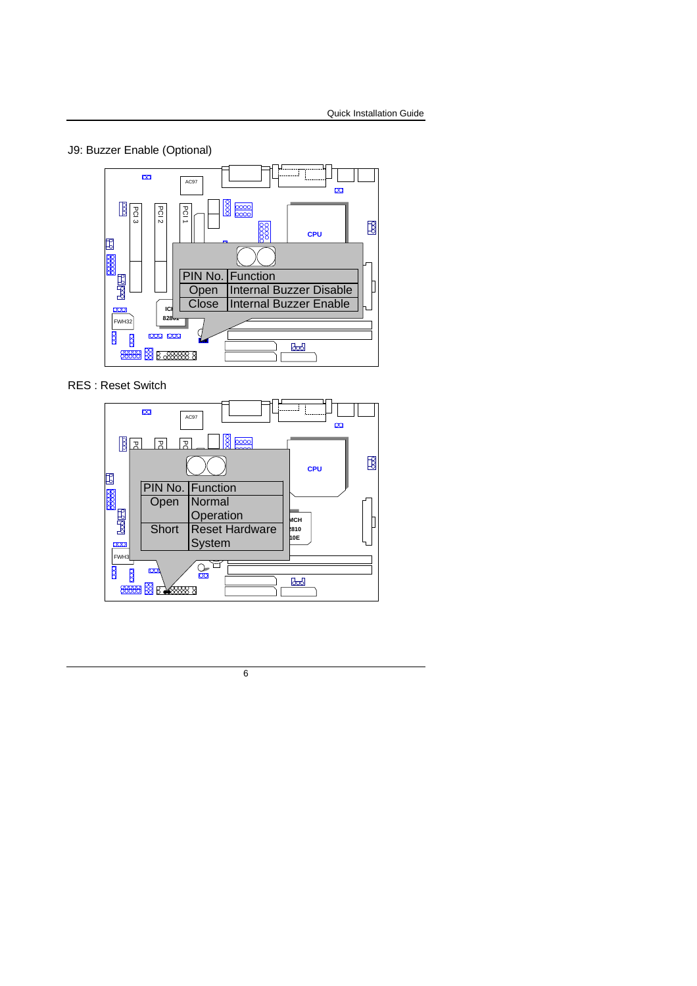## J9: Buzzer Enable (Optional)



RES : Reset Switch

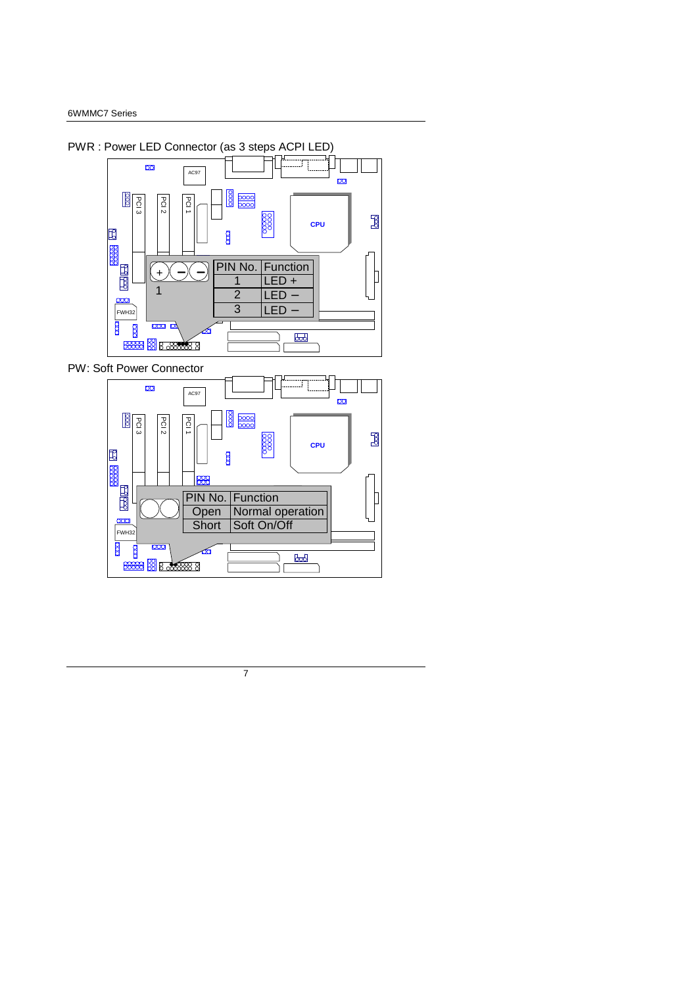



FWH32

 $\beta$  $\mathbf{\mathbf{r}}$ 

ے<br>ا<del>لکالم</del>ا  $\alpha$ 

**ICH 82801** 

**8888 8 B & 8888 8** 

7

**GMCH** 

 $\mathbb{R}$ 

λſ

**Britan Indian Britan Propertion**<br> **Britan Dividend** Operation

**FIN No. Function**<br> **Open Normal c** 

Short Soft On/Off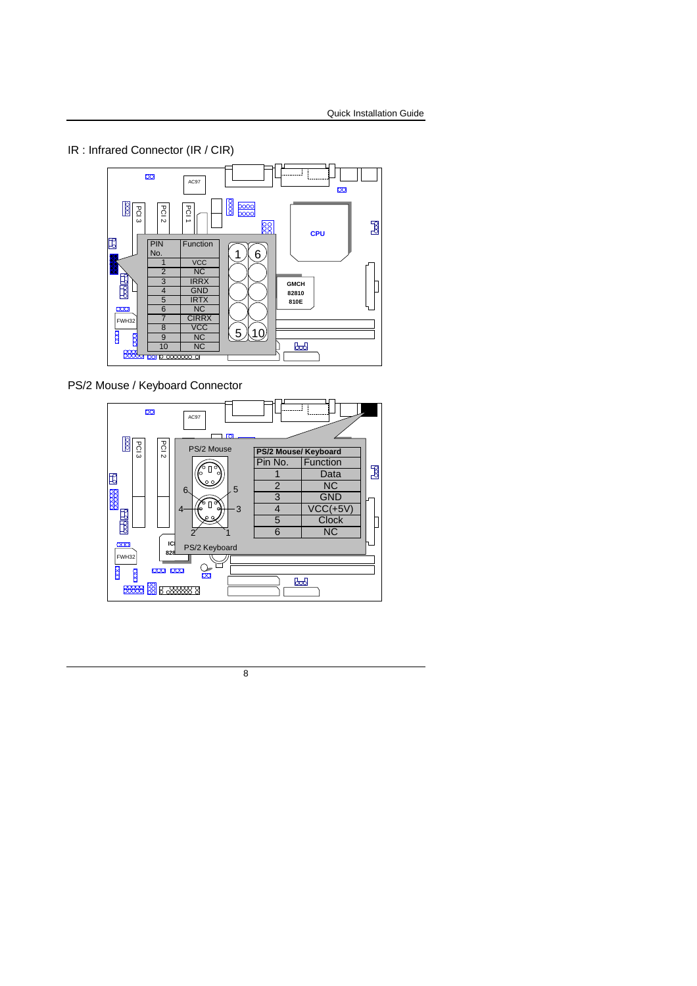# IR : Infrared Connector (IR / CIR)



PS/2 Mouse / Keyboard Connector

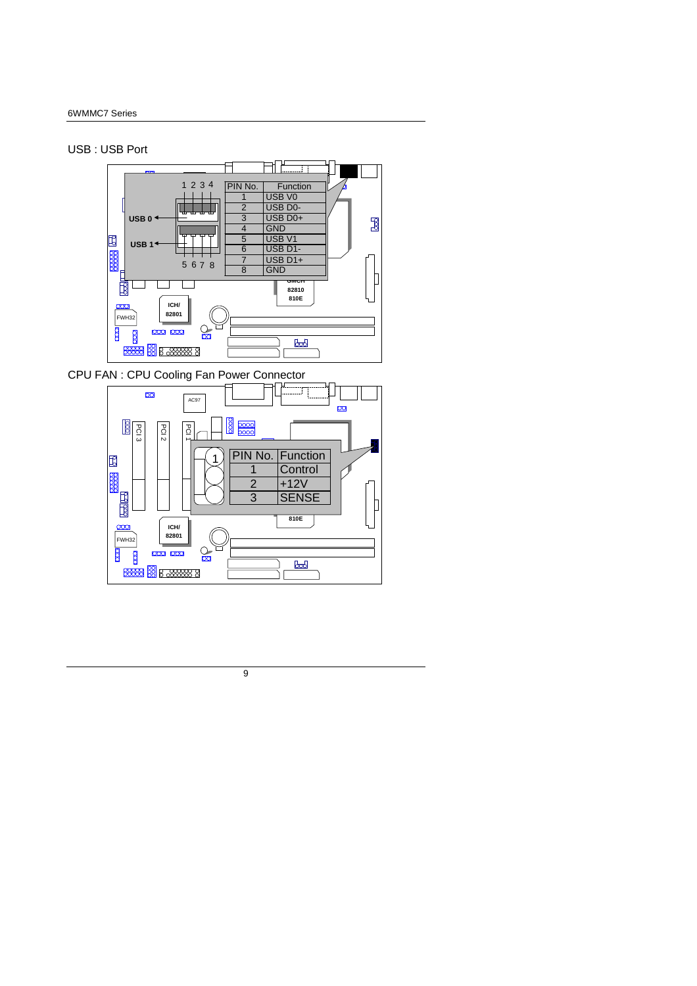USB : USB Port



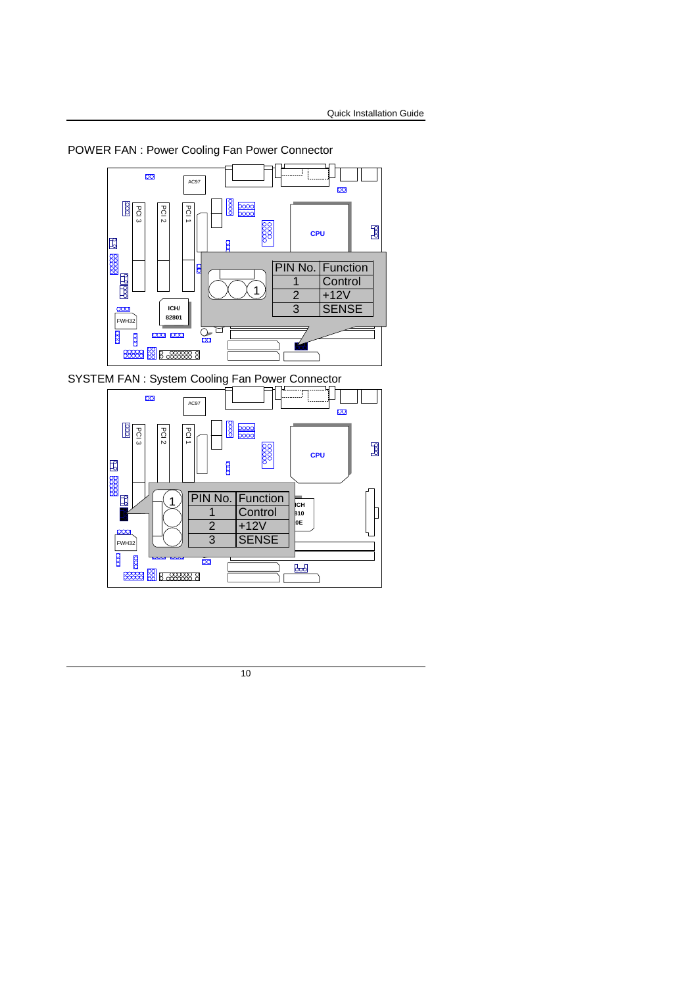POWER FAN : Power Cooling Fan Power Connector



SYSTEM FAN : System Cooling Fan Power Connector

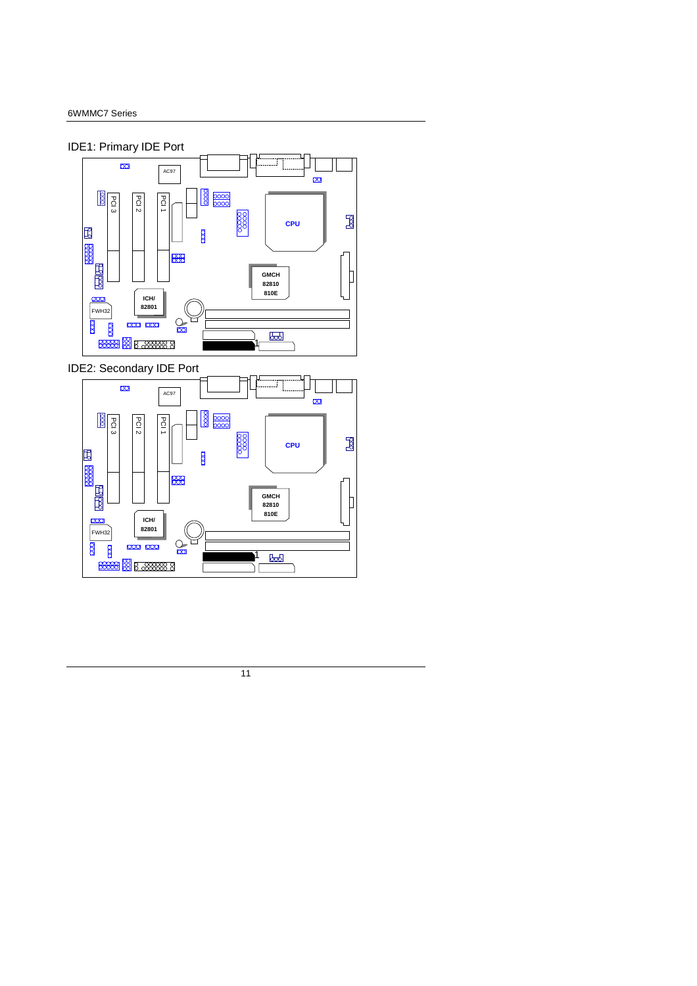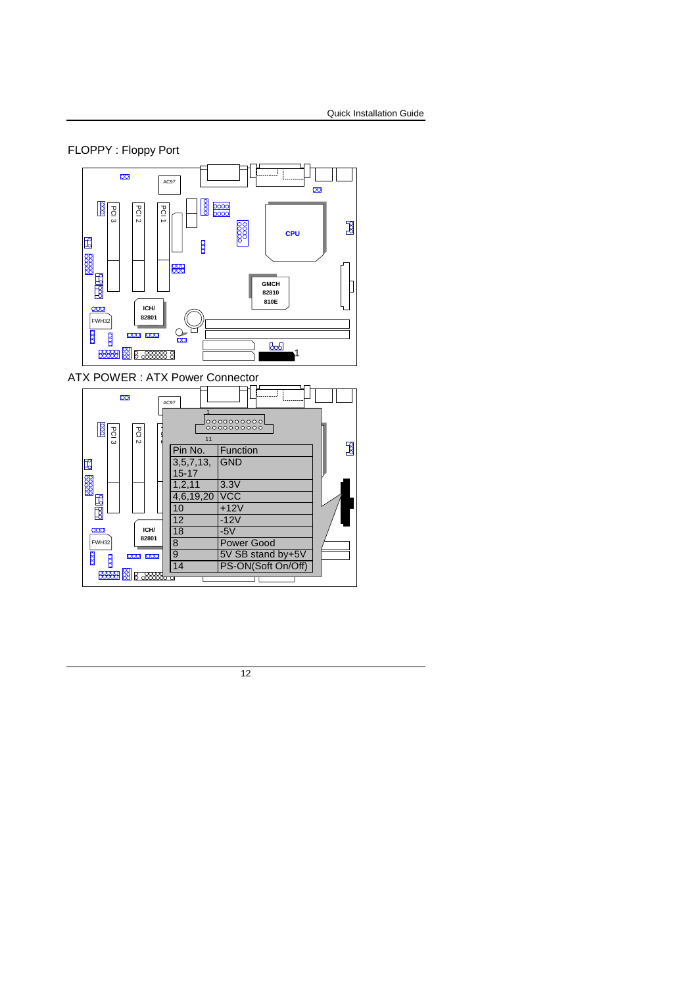

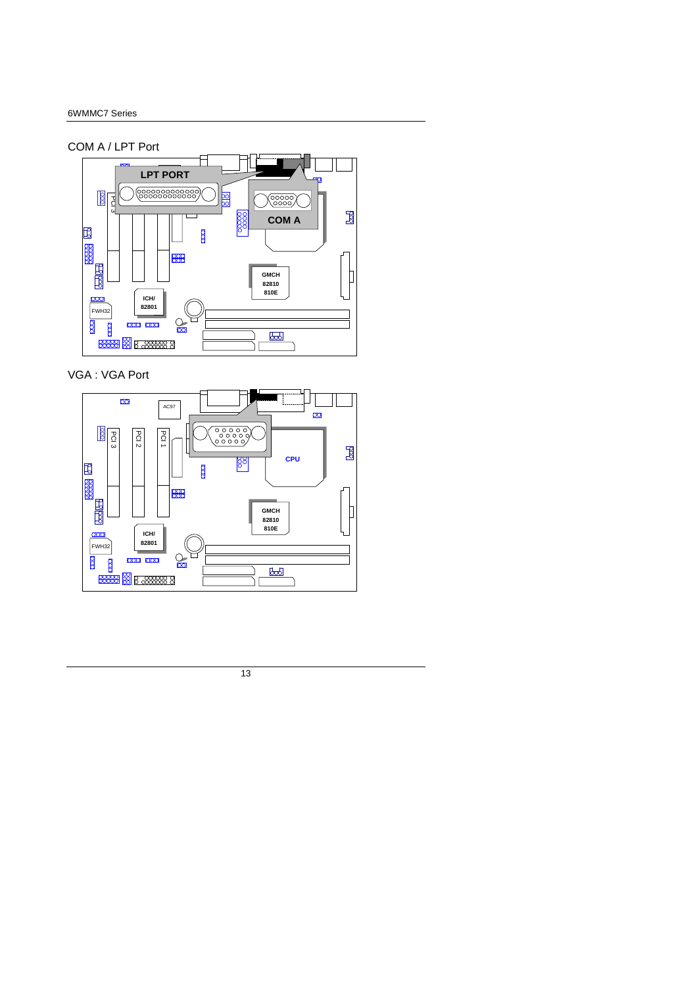#### COM A / LPT Port



## VGA : VGA Port

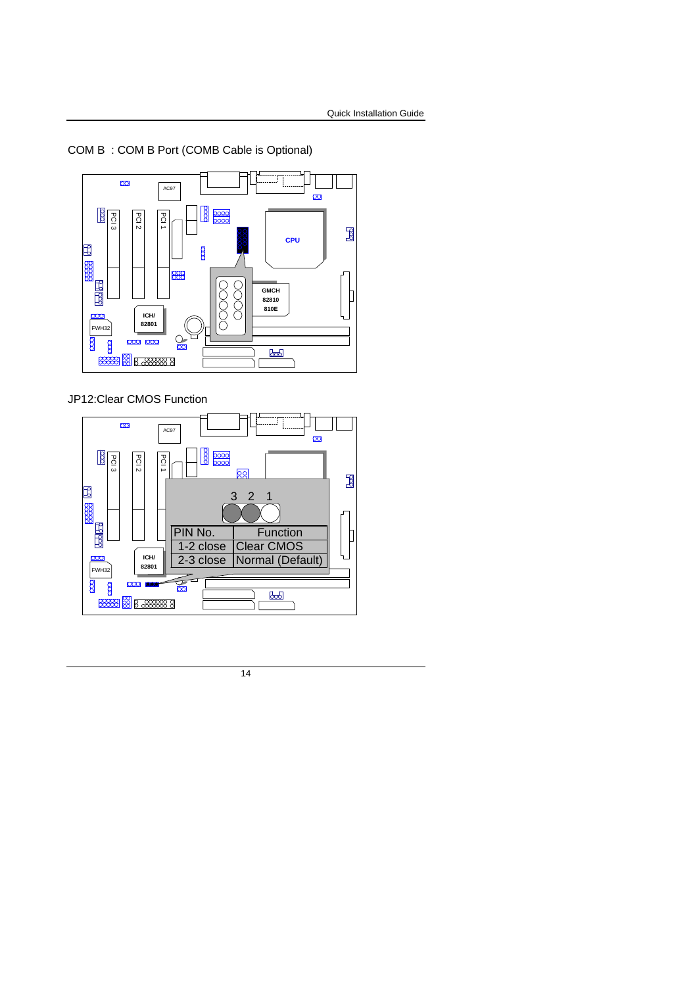COM B : COM B Port (COMB Cable is Optional)



JP12:Clear CMOS Function

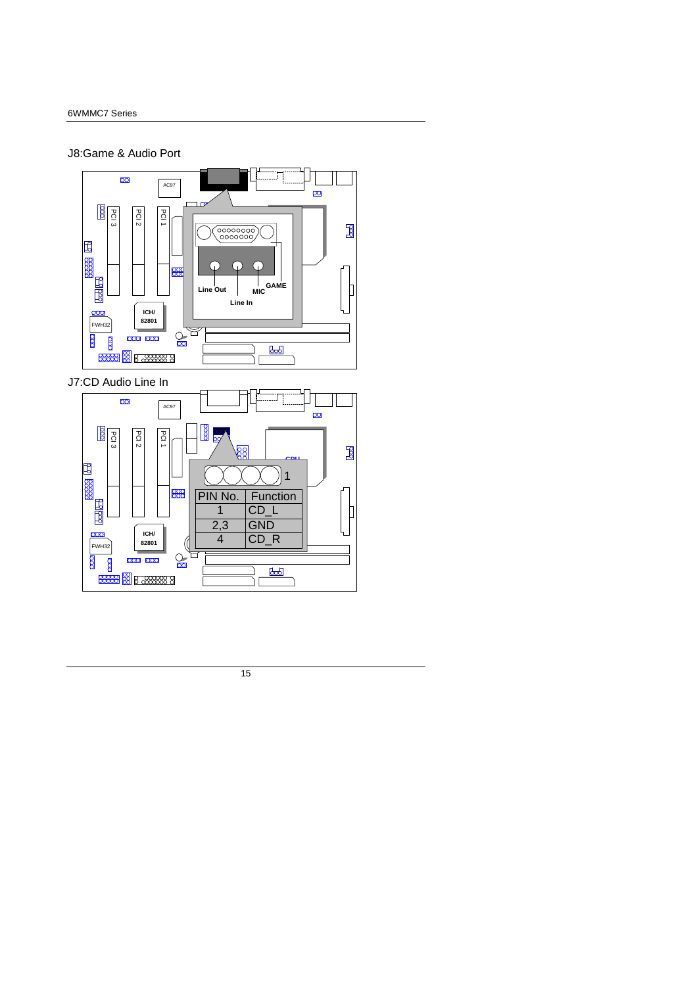#### J8:Game & Audio Port

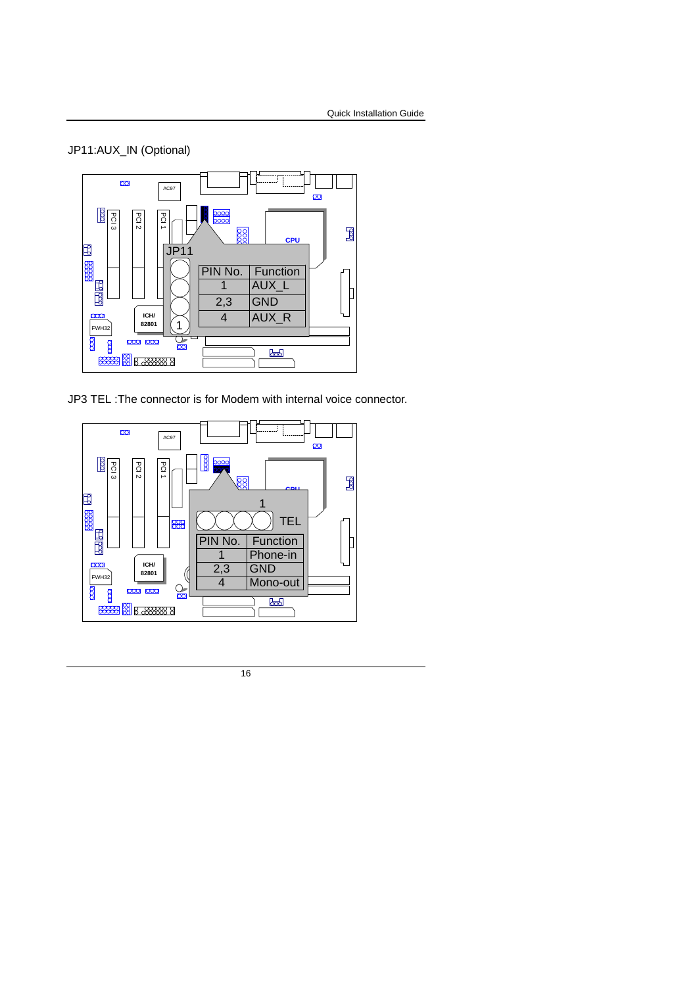# JP11:AUX\_IN (Optional)



JP3 TEL :The connector is for Modem with internal voice connector.

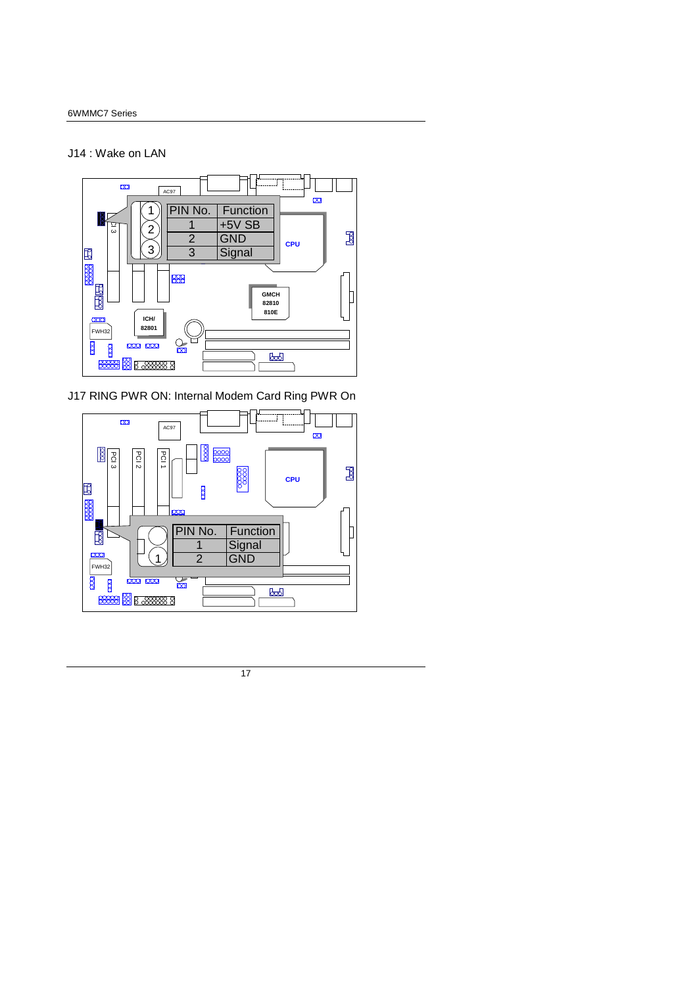#### J14 : Wake on LAN



J17 RING PWR ON: Internal Modem Card Ring PWR On

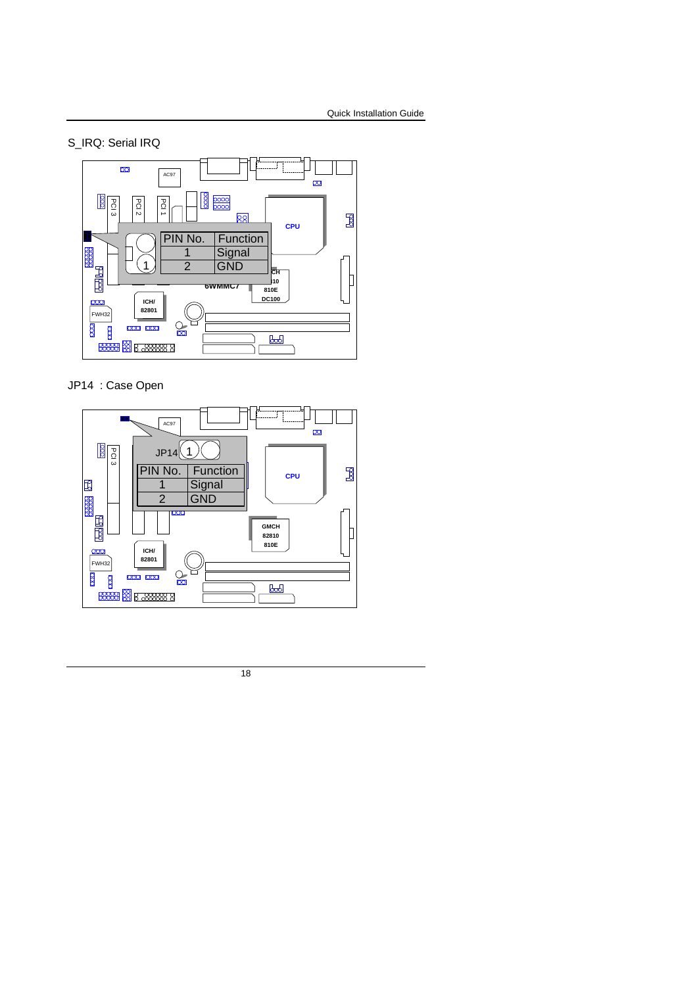S\_IRQ: Serial IRQ



JP14 : Case Open

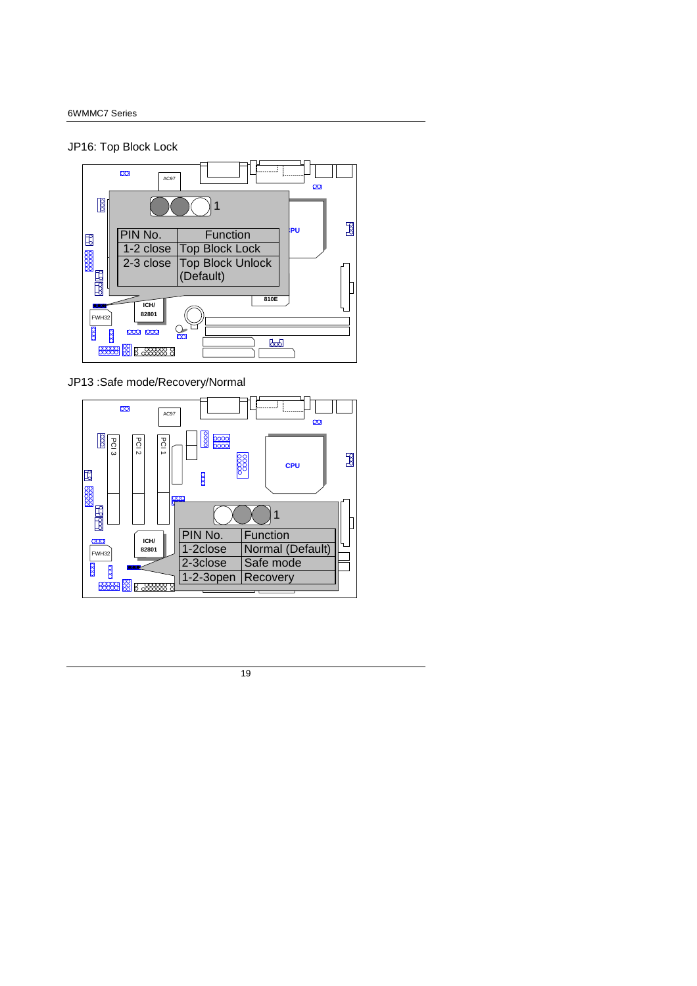#### JP16: Top Block Lock



#### JP13 :Safe mode/Recovery/Normal

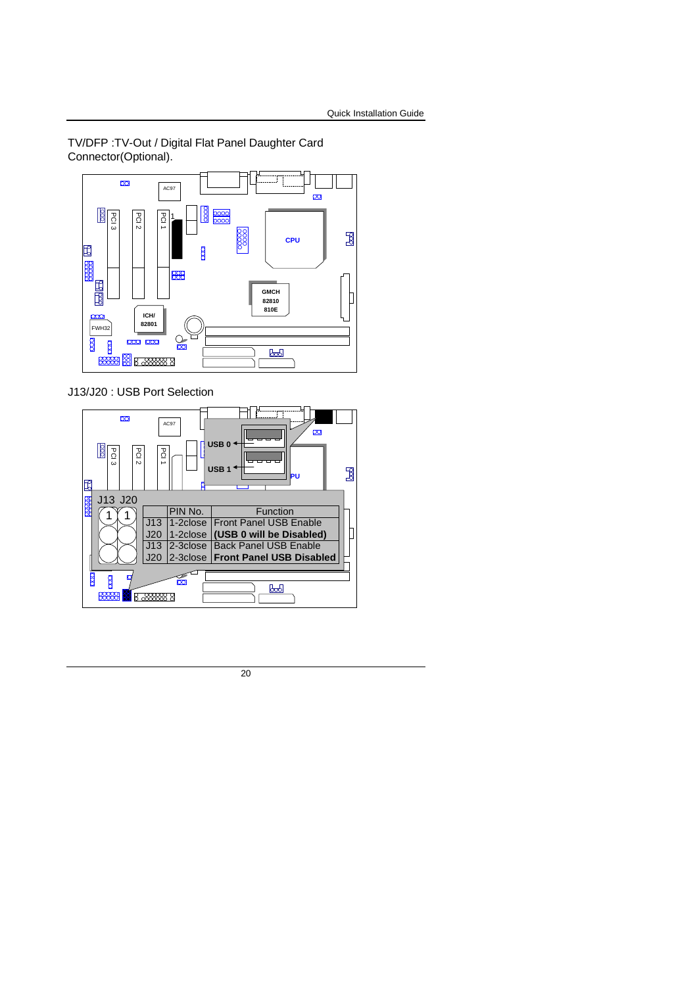TV/DFP :TV-Out / Digital Flat Panel Daughter Card Connector(Optional).



J13/J20 : USB Port Selection

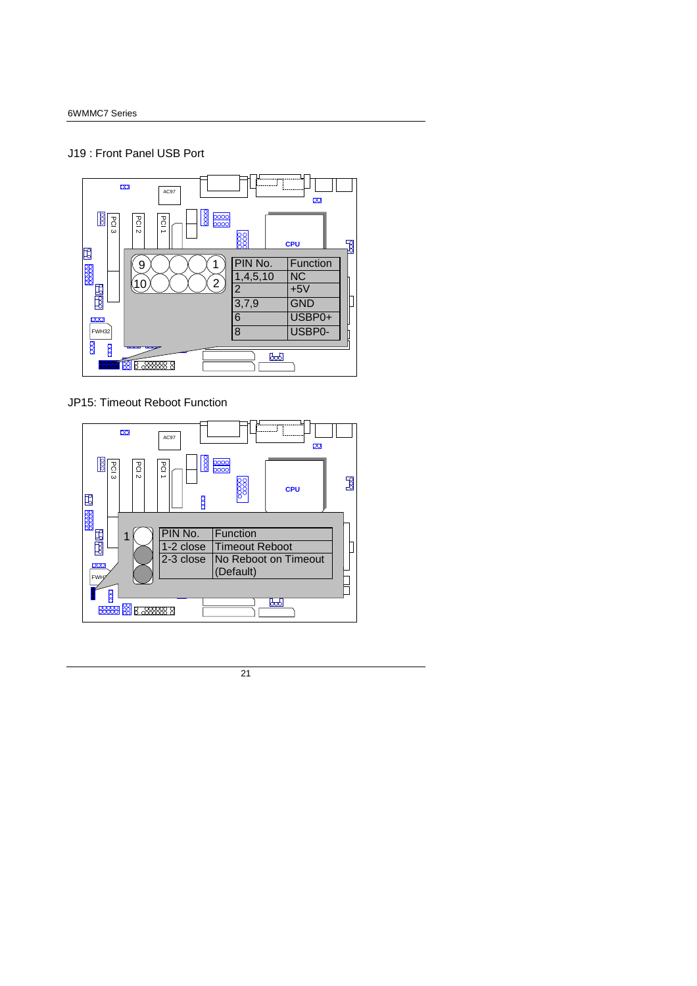# J19 : Front Panel USB Port



JP15: Timeout Reboot Function

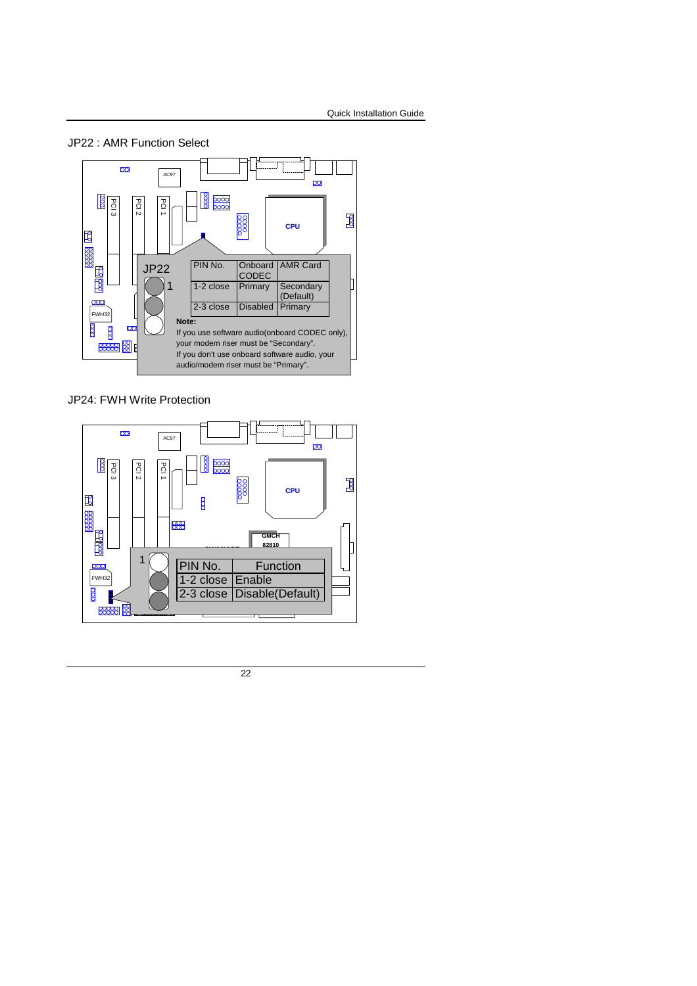



JP24: FWH Write Protection

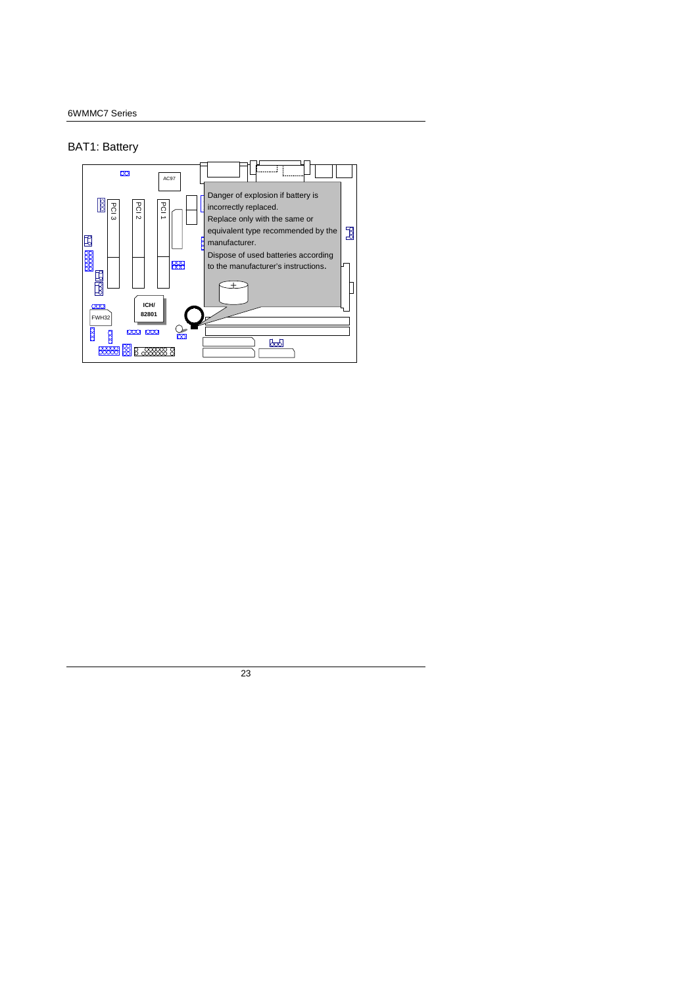## BAT1: Battery

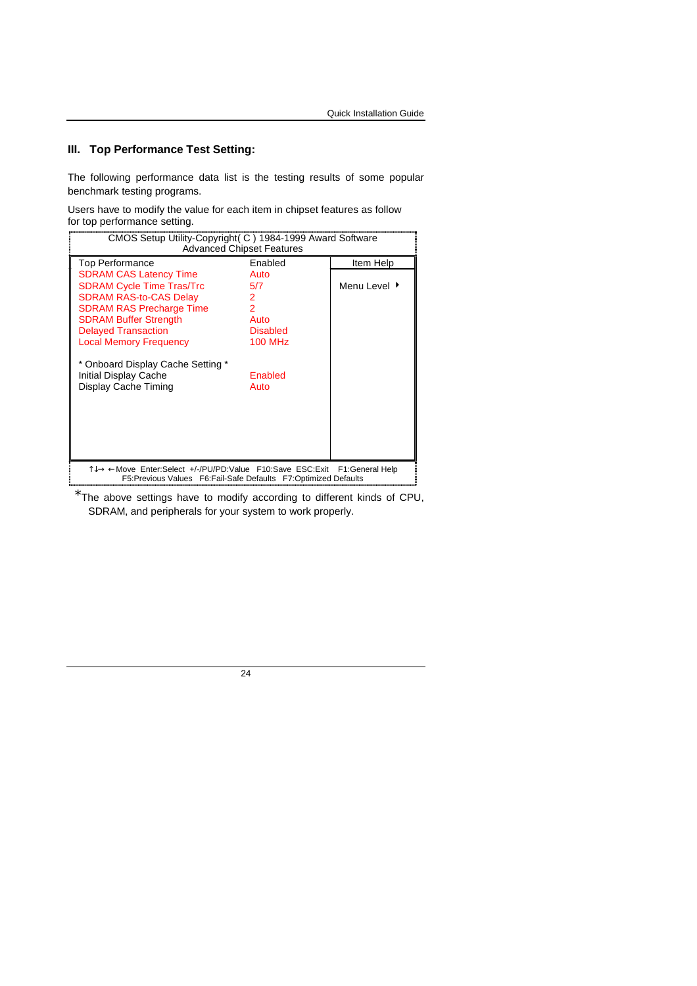# **III. Top Performance Test Setting:**

The following performance data list is the testing results of some popular benchmark testing programs.

Users have to modify the value for each item in chipset features as follow for top performance setting.

| CMOS Setup Utility-Copyright (C) 1984-1999 Award Software<br><b>Advanced Chipset Features</b>                                                  |                 |              |  |
|------------------------------------------------------------------------------------------------------------------------------------------------|-----------------|--------------|--|
| Top Performance                                                                                                                                | Enabled         | Item Help    |  |
| <b>SDRAM CAS Latency Time</b>                                                                                                                  | Auto            |              |  |
| <b>SDRAM Cycle Time Tras/Trc</b>                                                                                                               | 5/7             | Menu Level ▶ |  |
| <b>SDRAM RAS-to-CAS Delay</b>                                                                                                                  | 2               |              |  |
| <b>SDRAM RAS Precharge Time</b>                                                                                                                | $\overline{2}$  |              |  |
| <b>SDRAM Buffer Strength</b>                                                                                                                   | Auto            |              |  |
| <b>Delayed Transaction</b>                                                                                                                     | <b>Disabled</b> |              |  |
| <b>Local Memory Frequency</b>                                                                                                                  | <b>100 MHz</b>  |              |  |
| * Onboard Display Cache Setting *<br>Initial Display Cache<br>Display Cache Timing                                                             | Enabled<br>Auto |              |  |
| T↓→ ← Move Enter:Select +/-/PU/PD:Value F10:Save ESC:Exit F1:General Help<br>F5: Previous Values F6: Fail-Safe Defaults F7: Optimized Defaults |                 |              |  |

\*The above settings have to modify according to different kinds of CPU, SDRAM, and peripherals for your system to work properly.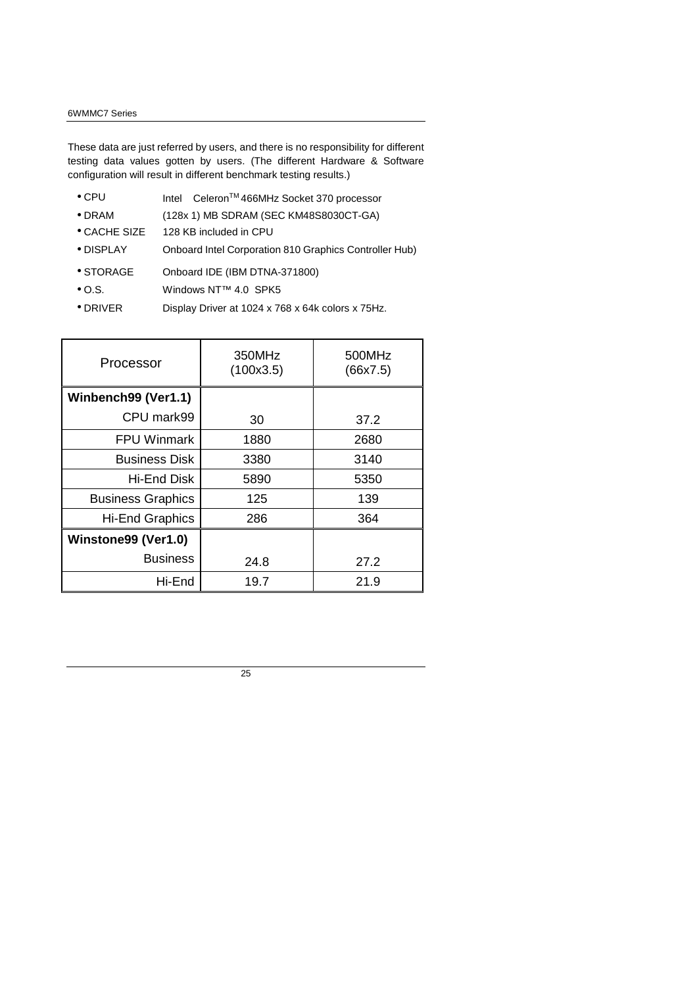#### 6WMMC7 Series

These data are just referred by users, and there is no responsibility for different testing data values gotten by users. (The different Hardware & Software configuration will result in different benchmark testing results.)

- CPU Intel<sup>®</sup> Celeron<sup>TM</sup> 466MHz Socket 370 processor
- DRAM (128x 1) MB SDRAM (SEC KM48S8030CT-GA)
- CACHE SIZE 128 KB included in CPU
- DISPLAY Onboard Intel Corporation 810 Graphics Controller Hub)
- STORAGE Onboard IDE (IBM DTNA-371800)
- O.S. Windows NT™ 4.0 SPK5
- DRIVER Display Driver at 1024 x 768 x 64k colors x 75Hz.

| Processor                | 350MHz<br>(100x3.5) | 500MHz<br>(66x7.5) |
|--------------------------|---------------------|--------------------|
| Winbench99 (Ver1.1)      |                     |                    |
| CPU mark99               | 30                  | 37.2               |
| <b>FPU Winmark</b>       | 1880                | 2680               |
| <b>Business Disk</b>     | 3380                | 3140               |
| Hi-End Disk              | 5890                | 5350               |
| <b>Business Graphics</b> | 125                 | 139                |
| Hi-End Graphics          | 286                 | 364                |
| Winstone99 (Ver1.0)      |                     |                    |
| <b>Business</b>          | 24.8                | 27.2               |
| Hi-End                   | 19.7                | 21.9               |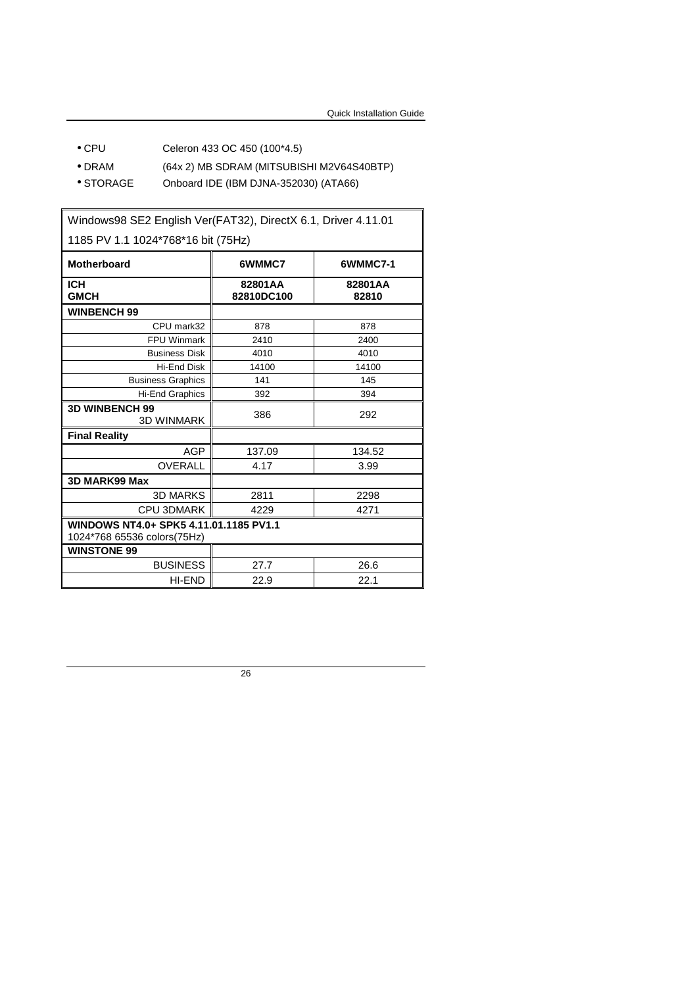- CPU Celeron 433 OC 450 (100\*4.5)
- DRAM (64x 2) MB SDRAM (MITSUBISHI M2V64S40BTP)
- STORAGE Onboard IDE (IBM DJNA-352030) (ATA66)

Windows98 SE2 English Ver(FAT32), DirectX 6.1, Driver 4.11.01 1185 PV 1.1 1024\*768\*16 bit (75Hz) Motherboard **6WMMC7 6WMMC7-1 ICH GMCH 82801AA 82810DC100 82801AA 82810 WINBENCH 99**  CPU mark32 878 878 FPU Winmark 2410 2400 Business Disk 4010 4010 Hi-End Disk 14100 14100 Business Graphics 141 145 Hi-End Graphics 392 394 **3D WINBENCH 99**   $\begin{array}{c|c}\n\bullet\n\bullet\n\end{array}$  386 292 **Final Reality**  AGP 137.09 134.52 OVERALL 4.17 | 3.99 **3D MARK99 Max**  3D MARKS 2811 2298 CPU 3DMARK 4229 (4271 **WINDOWS NT4.0+ SPK5 4.11.01.1185 PV1.1**  1024\*768 65536 colors(75Hz) **WINSTONE 99**  BUSINESS 27.7 26.6 HI-END 22.9 22.1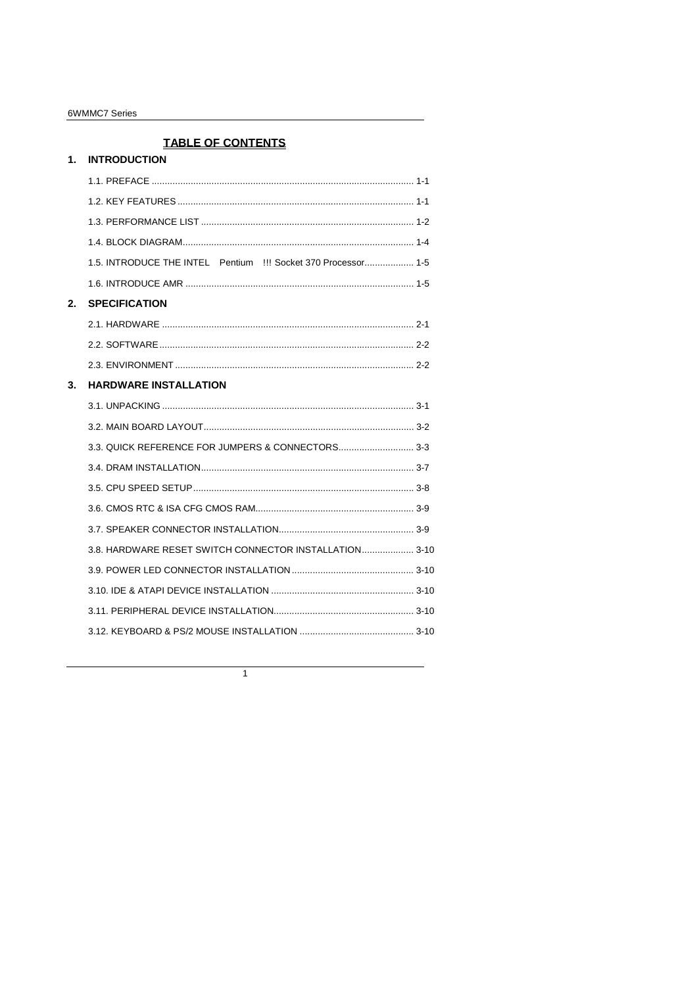#### 6WMMC7 Series

# **TABLE OF CONTENTS**

| 1. | <b>INTRODUCTION</b>                                                                     |  |  |
|----|-----------------------------------------------------------------------------------------|--|--|
|    |                                                                                         |  |  |
|    |                                                                                         |  |  |
|    |                                                                                         |  |  |
|    |                                                                                         |  |  |
|    | 1.5. INTRODUCE THE INTEL <sup>®</sup> Pentium <sup>®</sup> !!! Socket 370 Processor 1-5 |  |  |
|    |                                                                                         |  |  |
| 2. | <b>SPECIFICATION</b>                                                                    |  |  |
|    |                                                                                         |  |  |
|    |                                                                                         |  |  |
|    |                                                                                         |  |  |
| 3. | <b>HARDWARE INSTALLATION</b>                                                            |  |  |
|    |                                                                                         |  |  |
|    |                                                                                         |  |  |
|    |                                                                                         |  |  |
|    |                                                                                         |  |  |
|    |                                                                                         |  |  |
|    |                                                                                         |  |  |
|    |                                                                                         |  |  |
|    | 3.8. HARDWARE RESET SWITCH CONNECTOR INSTALLATION 3-10                                  |  |  |
|    |                                                                                         |  |  |
|    |                                                                                         |  |  |
|    |                                                                                         |  |  |
|    |                                                                                         |  |  |
|    |                                                                                         |  |  |

 $\overline{1}$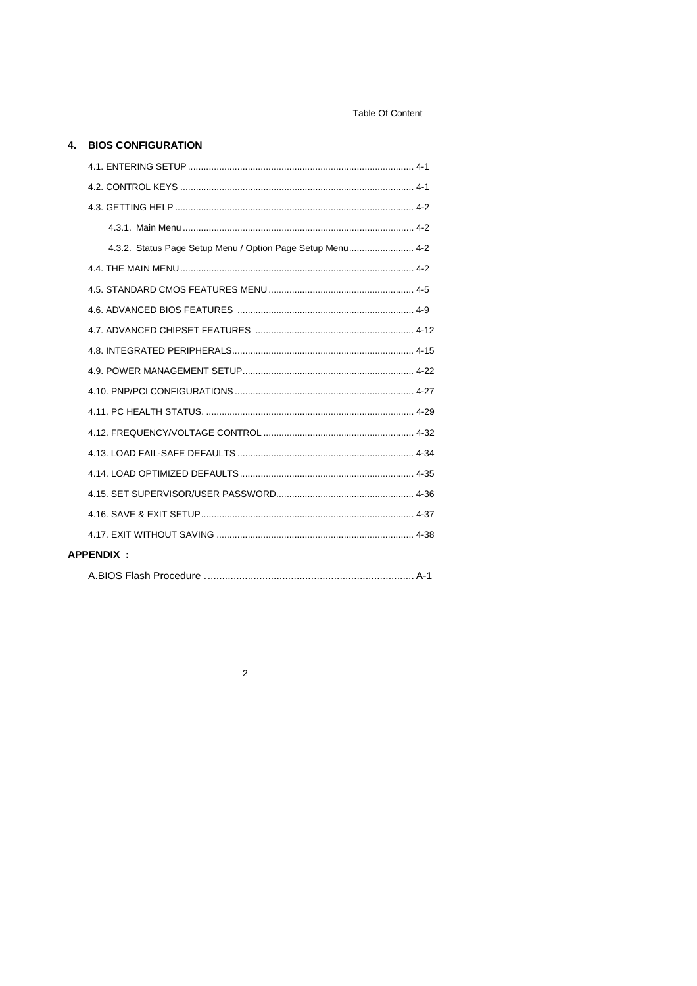#### 4. BIOS CONFIGURATION

|                  | 4.3.2. Status Page Setup Menu / Option Page Setup Menu 4-2 |  |
|------------------|------------------------------------------------------------|--|
|                  |                                                            |  |
|                  |                                                            |  |
|                  |                                                            |  |
|                  |                                                            |  |
|                  |                                                            |  |
|                  |                                                            |  |
|                  |                                                            |  |
|                  |                                                            |  |
|                  |                                                            |  |
|                  |                                                            |  |
|                  |                                                            |  |
|                  |                                                            |  |
|                  |                                                            |  |
|                  |                                                            |  |
| <b>APPENDIX:</b> |                                                            |  |
|                  |                                                            |  |

 $\overline{2}$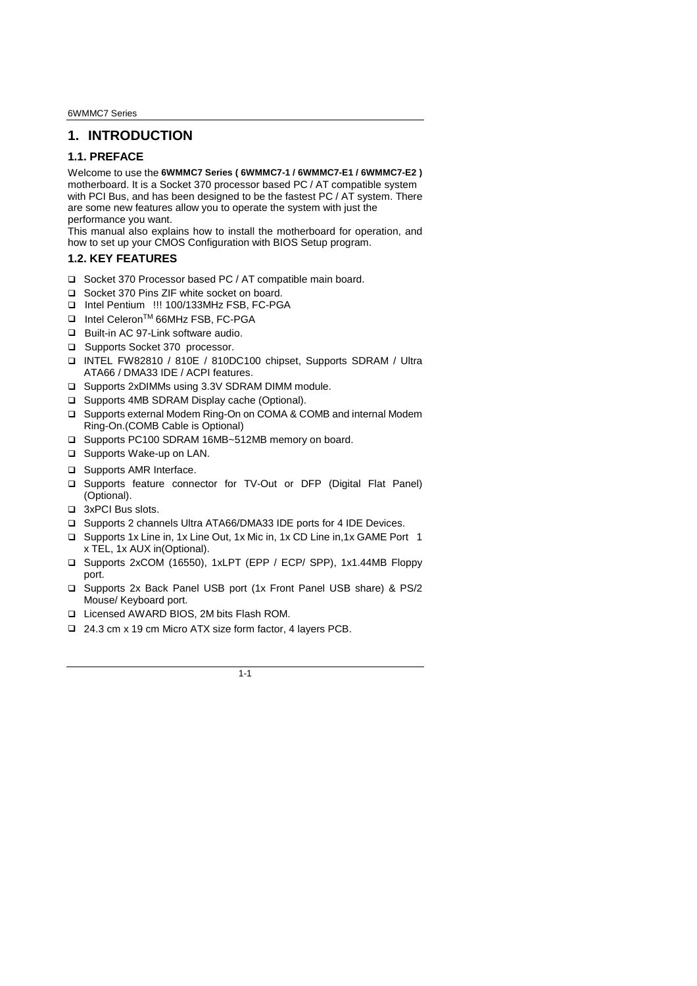6WMMC7 Series

# **1. INTRODUCTION**

#### **1.1. PREFACE**

Welcome to use the **6WMMC7 Series ( 6WMMC7-1 / 6WMMC7-E1 / 6WMMC7-E2 )** motherboard. It is a Socket 370 processor based PC / AT compatible system with PCI Bus, and has been designed to be the fastest PC / AT system. There are some new features allow you to operate the system with just the performance you want.

This manual also explains how to install the motherboard for operation, and how to set up your CMOS Configuration with BIOS Setup program.

#### **1.2. KEY FEATURES**

- □ Socket 370 Processor based PC / AT compatible main board.
- □ Socket 370 Pins ZIF white socket on board.
- □ Intel Pentium<sup>®</sup> !!! 100/133MHz FSB, FC-PGA
- □ Intel Celeron<sup>TM</sup> 66MHz FSB, FC-PGA
- □ Built-in AC 97-Link software audio.
- □ Supports Socket 370 processor.
- INTEL FW82810 / 810E / 810DC100 chipset, Supports SDRAM / Ultra ATA66 / DMA33 IDE / ACPI features.
- □ Supports 2xDIMMs using 3.3V SDRAM DIMM module.
- □ Supports 4MB SDRAM Display cache (Optional).
- □ Supports external Modem Ring-On on COMA & COMB and internal Modem Ring-On.(COMB Cable is Optional)
- □ Supports PC100 SDRAM 16MB~512MB memory on board.
- □ Supports Wake-up on LAN.
- □ Supports AMR Interface.
- Supports feature connector for TV-Out or DFP (Digital Flat Panel) (Optional).
- □ 3xPCI Bus slots.
- □ Supports 2 channels Ultra ATA66/DMA33 IDE ports for 4 IDE Devices.
- □ Supports 1x Line in, 1x Line Out, 1x Mic in, 1x CD Line in, 1x GAME Port 1 x TEL, 1x AUX in(Optional).
- Supports 2xCOM (16550), 1xLPT (EPP / ECP/ SPP), 1x1.44MB Floppy port.
- □ Supports 2x Back Panel USB port (1x Front Panel USB share) & PS/2 Mouse/ Keyboard port.
- Licensed AWARD BIOS, 2M bits Flash ROM.
- □ 24.3 cm x 19 cm Micro ATX size form factor, 4 layers PCB.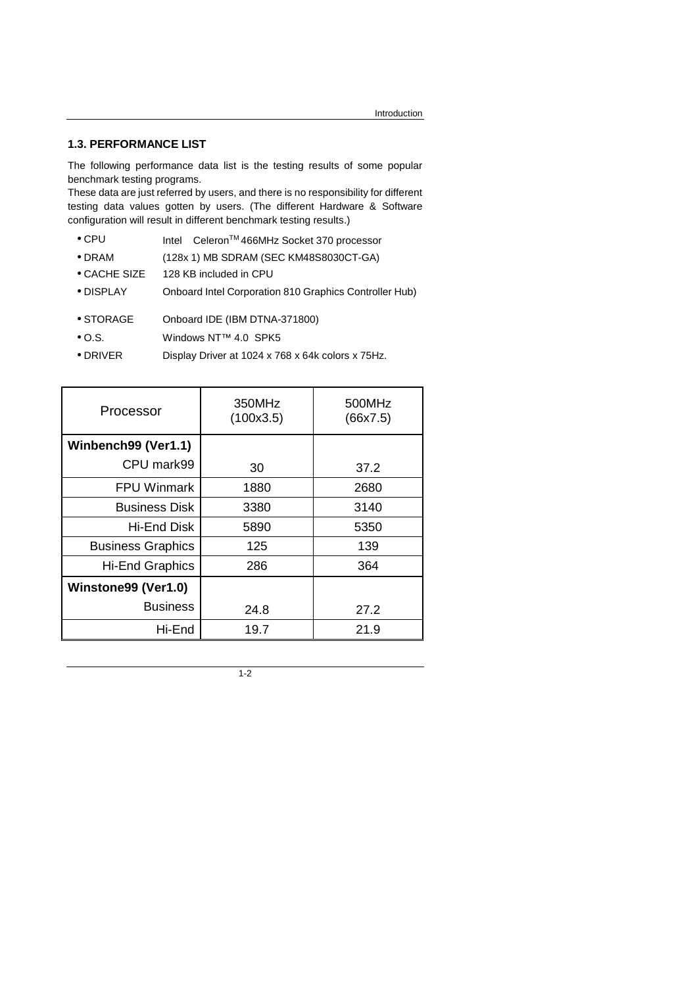#### **1.3. PERFORMANCE LIST**

The following performance data list is the testing results of some popular benchmark testing programs.

These data are just referred by users, and there is no responsibility for different testing data values gotten by users. (The different Hardware & Software configuration will result in different benchmark testing results.)

- CPU Intel<sup>®</sup> Celeron<sup>TM</sup> 466MHz Socket 370 processor
- DRAM (128x 1) MB SDRAM (SEC KM48S8030CT-GA)
- CACHE SIZE 128 KB included in CPU
- DISPLAY Onboard Intel Corporation 810 Graphics Controller Hub)
- STORAGE Onboard IDE (IBM DTNA-371800)
- O.S. Windows NT™ 4.0 SPK5
- DRIVER Display Driver at 1024 x 768 x 64k colors x 75Hz.

| Processor                | 350MHz<br>(100x3.5) | 500MHz<br>(66x7.5) |
|--------------------------|---------------------|--------------------|
| Winbench99 (Ver1.1)      |                     |                    |
| CPU mark99               | 30                  | 37.2               |
| <b>FPU Winmark</b>       | 1880                | 2680               |
| <b>Business Disk</b>     | 3380                | 3140               |
| Hi-End Disk              | 5890                | 5350               |
| <b>Business Graphics</b> | 125                 | 139                |
| <b>Hi-End Graphics</b>   | 286                 | 364                |
| Winstone99 (Ver1.0)      |                     |                    |
| <b>Business</b>          | 24.8                | 27.2               |
| Hi-End                   | 19.7                | 21.9               |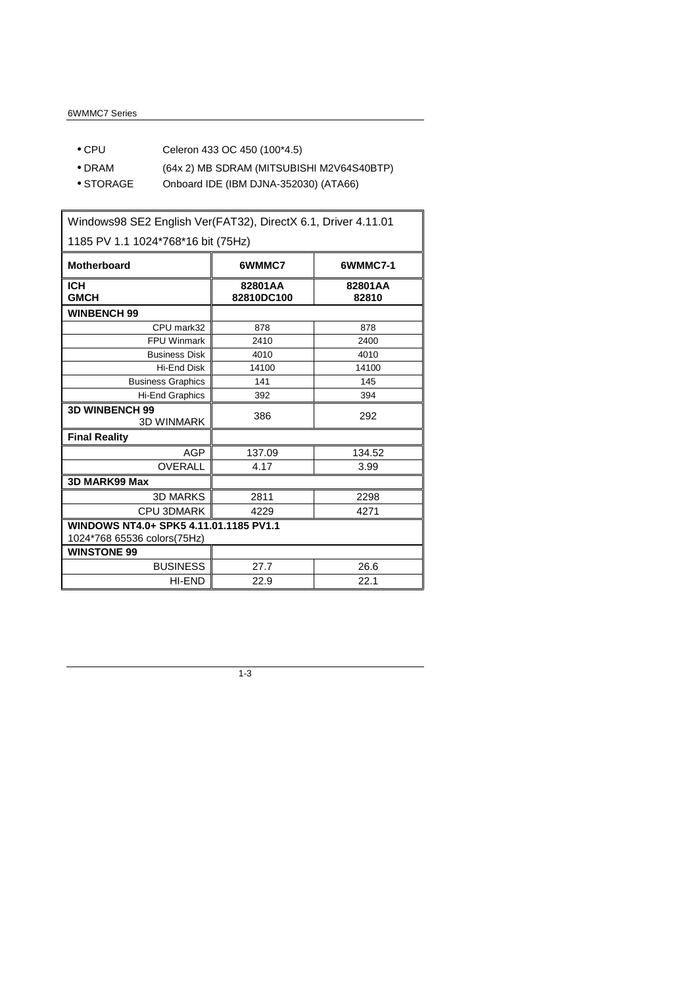- CPU Celeron 433 OC 450 (100\*4.5)
- DRAM (64x 2) MB SDRAM (MITSUBISHI M2V64S40BTP)
- STORAGE Onboard IDE (IBM DJNA-352030) (ATA66)

Windows98 SE2 English Ver(FAT32), DirectX 6.1, Driver 4.11.01 1185 PV 1.1 1024\*768\*16 bit (75Hz) Motherboard **6WMMC7 6WMMC7-1 ICH GMCH 82801AA 82810DC100 82801AA 82810 WINBENCH 99**  CPU mark32 878 878 FPU Winmark 2410 2400 Business Disk 4010 4010 Hi-End Disk 14100 14100 Business Graphics 141 145 Hi-End Graphics 392 394 **3D WINBENCH 99**  199<br>3D WINMARK 386 292 **Final Reality**  AGP 137.09 134.52 OVERALL 4.17 1 3.99 **3D MARK99 Max**  3D MARKS 2811 2298 CPU 3DMARK 4229 4271 **WINDOWS NT4.0+ SPK5 4.11.01.1185 PV1.1**  1024\*768 65536 colors(75Hz) **WINSTONE 99**  BUSINESS 27.7 26.6  $H\rightarrow$  END 22.9 22.1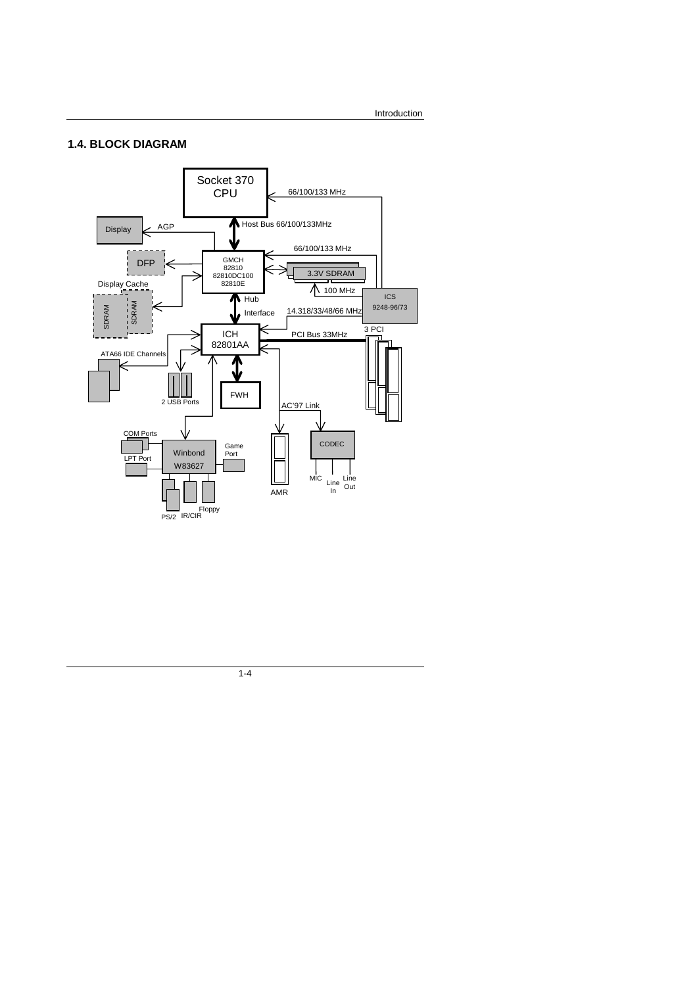#### **1.4. BLOCK DIAGRAM**

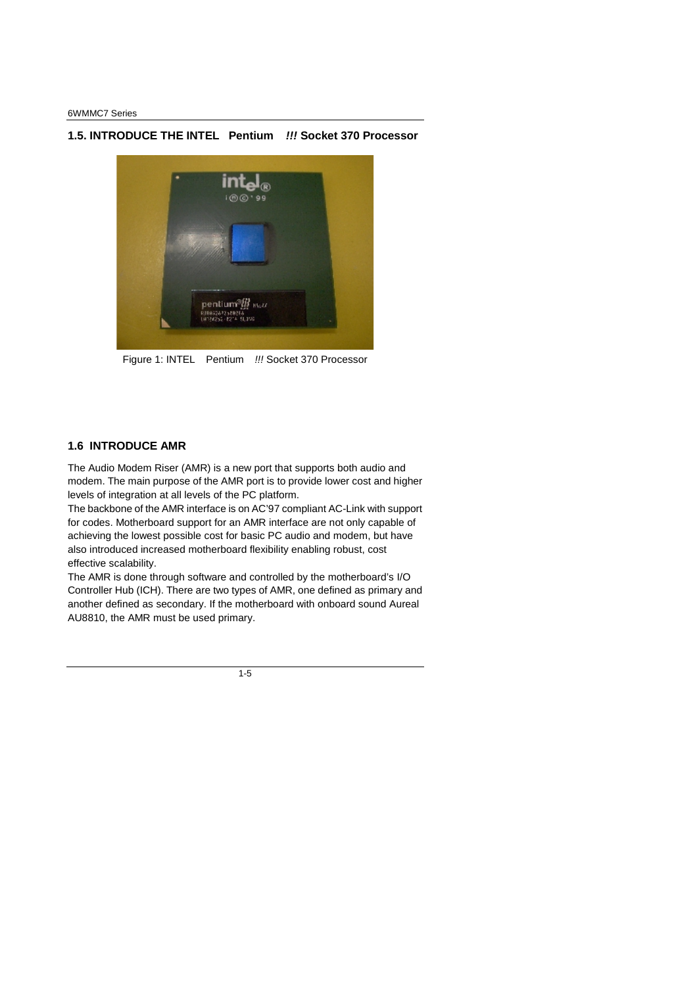# **1.5. INTRODUCE THE INTELPentium** *!!!* **Socket 370 Processor**



Figure 1: INTEL<sup>®</sup> Pentium<sup>®</sup> !!! Socket 370 Processor

#### **1.6 INTRODUCE AMR**

The Audio Modem Riser (AMR) is a new port that supports both audio and modem. The main purpose of the AMR port is to provide lower cost and higher levels of integration at all levels of the PC platform.

The backbone of the AMR interface is on AC'97 compliant AC-Link with support for codes. Motherboard support for an AMR interface are not only capable of achieving the lowest possible cost for basic PC audio and modem, but have also introduced increased motherboard flexibility enabling robust, cost effective scalability.

The AMR is done through software and controlled by the motherboard's I/O Controller Hub (ICH). There are two types of AMR, one defined as primary and another defined as secondary. If the motherboard with onboard sound Aureal AU8810, the AMR must be used primary.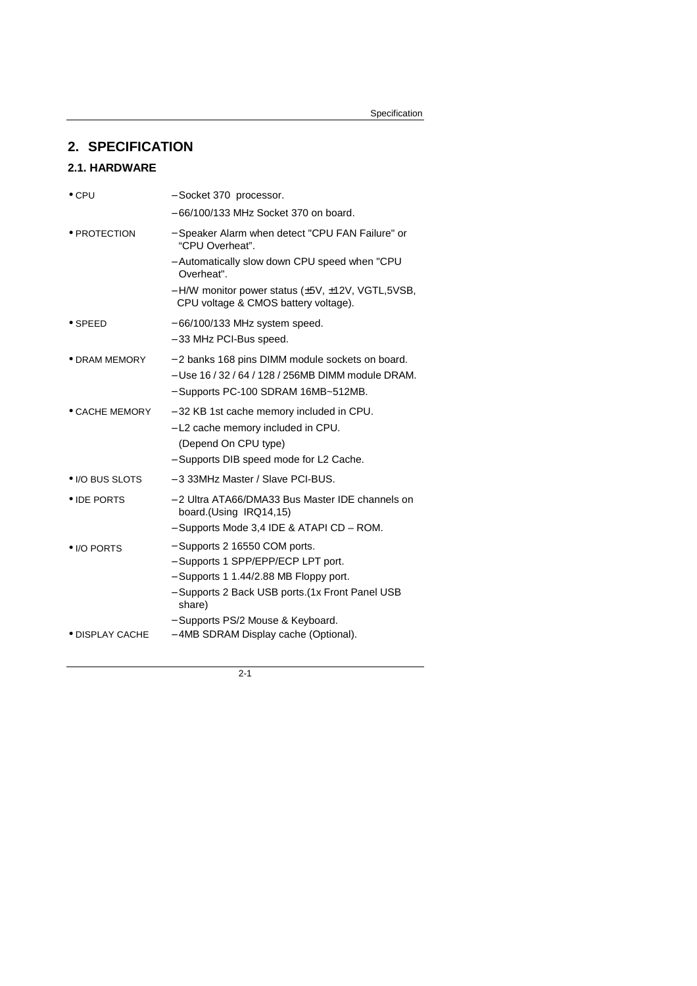# **2. SPECIFICATION**

## **2.1. HARDWARE**

| $\bullet$ CPU        | - Socket 370 processor.                                                                                                                                                                                                                                       |
|----------------------|---------------------------------------------------------------------------------------------------------------------------------------------------------------------------------------------------------------------------------------------------------------|
|                      | $-66/100/133$ MHz Socket 370 on board.                                                                                                                                                                                                                        |
| $\bullet$ PROTECTION | - Speaker Alarm when detect "CPU FAN Failure" or<br>"CPU Overheat".                                                                                                                                                                                           |
|                      | - Automatically slow down CPU speed when "CPU<br>Overheat".                                                                                                                                                                                                   |
|                      | - H/W monitor power status (±5V, ±12V, VGTL,5VSB,<br>CPU voltage & CMOS battery voltage).                                                                                                                                                                     |
| $\bullet$ SPEED      | $-66/100/133$ MHz system speed.                                                                                                                                                                                                                               |
|                      | - 33 MHz PCI-Bus speed.                                                                                                                                                                                                                                       |
| • DRAM MEMORY        | - 2 banks 168 pins DIMM module sockets on board.<br>- Use 16 / 32 / 64 / 128 / 256MB DIMM module DRAM.<br>- Supports PC-100 SDRAM 16MB~512MB.                                                                                                                 |
| • CACHE MEMORY       | -32 KB 1st cache memory included in CPU.<br>- L2 cache memory included in CPU.<br>(Depend On CPU type)<br>- Supports DIB speed mode for L2 Cache.                                                                                                             |
| • I/O BUS SLOTS      | - 3 33MHz Master / Slave PCI-BUS.                                                                                                                                                                                                                             |
| • IDE PORTS          | - 2 Ultra ATA66/DMA33 Bus Master IDE channels on<br>board.(Using IRQ14,15)                                                                                                                                                                                    |
| • I/O PORTS          | - Supports Mode 3,4 IDE & ATAPI CD - ROM.<br>- Supports 2 16550 COM ports.<br>- Supports 1 SPP/EPP/ECP LPT port.<br>- Supports 1 1.44/2.88 MB Floppy port.<br>- Supports 2 Back USB ports. (1x Front Panel USB<br>share)<br>- Supports PS/2 Mouse & Keyboard. |
| • DISPLAY CACHE      | -4MB SDRAM Display cache (Optional).                                                                                                                                                                                                                          |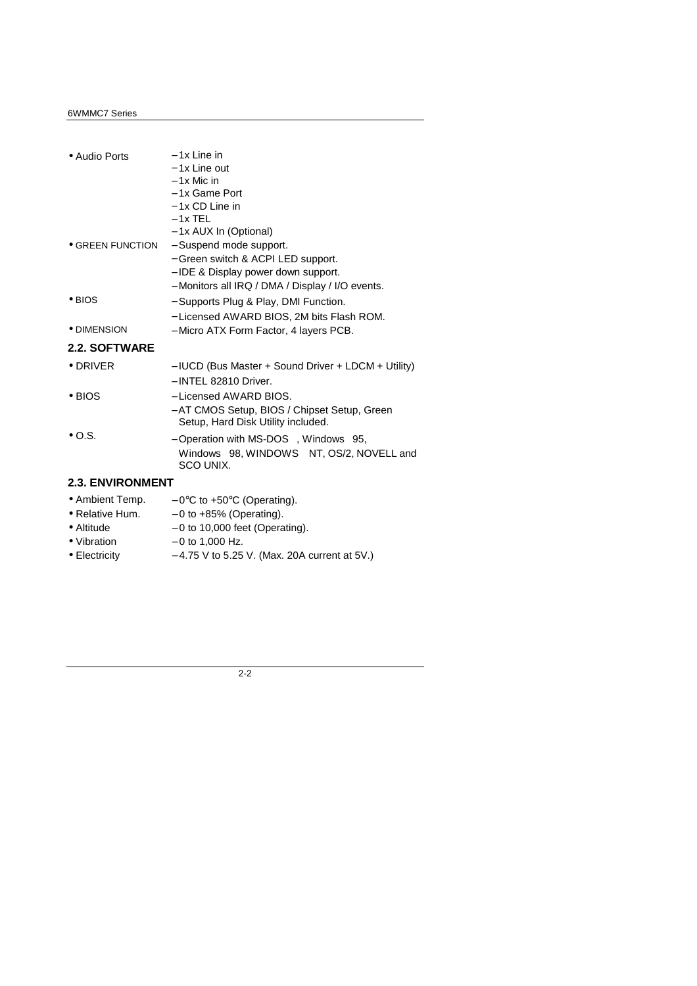| • Audio Ports            | $-1x$ l ine in                                                                     |
|--------------------------|------------------------------------------------------------------------------------|
|                          | - 1x Line out                                                                      |
|                          | $-1x$ Mic in                                                                       |
|                          | - 1x Game Port                                                                     |
|                          | $-1x$ CD Line in                                                                   |
|                          | $-1x$ TEL                                                                          |
|                          | - 1x AUX In (Optional)                                                             |
| $\bullet$ GREEN FUNCTION | - Suspend mode support.                                                            |
|                          | - Green switch & ACPI LED support.                                                 |
|                          | - IDE & Display power down support.                                                |
|                          | - Monitors all IRQ / DMA / Display / I/O events.                                   |
| $\bullet$ BIOS           | - Supports Plug & Play, DMI Function.                                              |
|                          | - Licensed AWARD BIOS, 2M bits Flash ROM.                                          |
| • DIMENSION              | - Micro ATX Form Factor, 4 layers PCB.                                             |
| <b>2.2. SOFTWARE</b>     |                                                                                    |
| $\bullet$ DRIVER         | $-$ IUCD (Bus Master + Sound Driver + LDCM + Utility)                              |
|                          | $-$ INTEL 82810 Driver.                                                            |
| $\bullet$ BIOS           | - Licensed AWARD BIOS.                                                             |
|                          | - AT CMOS Setup, BIOS / Chipset Setup, Green<br>Setup, Hard Disk Utility included. |
| $\bullet$ O.S.           | - Operation with MS-DOS <sup>®</sup> , Windows <sup>®</sup> 95,                    |
|                          | Windows®98, WINDOWS™ NT, OS/2, NOVELL and<br>SCO UNIX.                             |
| <b>2.3. ENVIRONMENT</b>  |                                                                                    |
| • Ambient Temp.          | $-0$ °C to +50°C (Operating).                                                      |
| • Relative Hum.          | $-0$ to $+85\%$ (Operating).                                                       |
|                          |                                                                                    |

|                    | -----                            |
|--------------------|----------------------------------|
| $\bullet$ Altitude | $-0$ to 10,000 feet (Operating). |

- Vibration  $-0$  to 1,000 Hz.
- Electricity − 4.75 V to 5.25 V. (Max. 20A current at 5V.)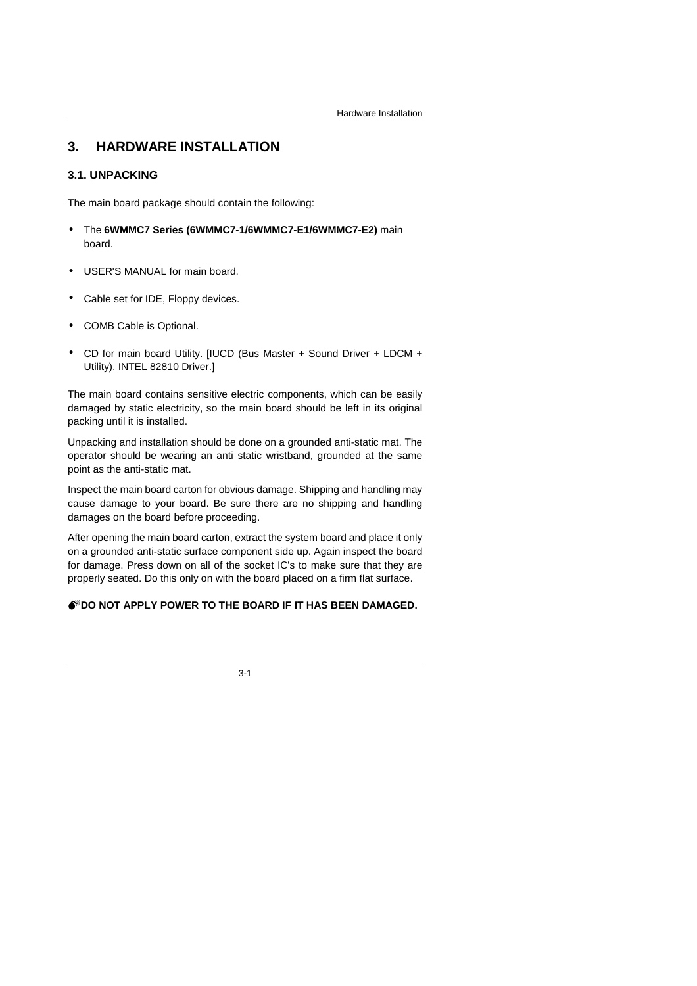# **3. HARDWARE INSTALLATION**

### **3.1. UNPACKING**

The main board package should contain the following:

- The **6WMMC7 Series (6WMMC7-1/6WMMC7-E1/6WMMC7-E2)** main board.
- USER'S MANUAL for main board.
- Cable set for IDE, Floppy devices.
- COMB Cable is Optional.
- CD for main board Utility. [IUCD (Bus Master + Sound Driver + LDCM + Utility), INTEL 82810 Driver.]

The main board contains sensitive electric components, which can be easily damaged by static electricity, so the main board should be left in its original packing until it is installed.

Unpacking and installation should be done on a grounded anti-static mat. The operator should be wearing an anti static wristband, grounded at the same point as the anti-static mat.

Inspect the main board carton for obvious damage. Shipping and handling may cause damage to your board. Be sure there are no shipping and handling damages on the board before proceeding.

After opening the main board carton, extract the system board and place it only on a grounded anti-static surface component side up. Again inspect the board for damage. Press down on all of the socket IC's to make sure that they are properly seated. Do this only on with the board placed on a firm flat surface.

## **OF DO NOT APPLY POWER TO THE BOARD IF IT HAS BEEN DAMAGED.**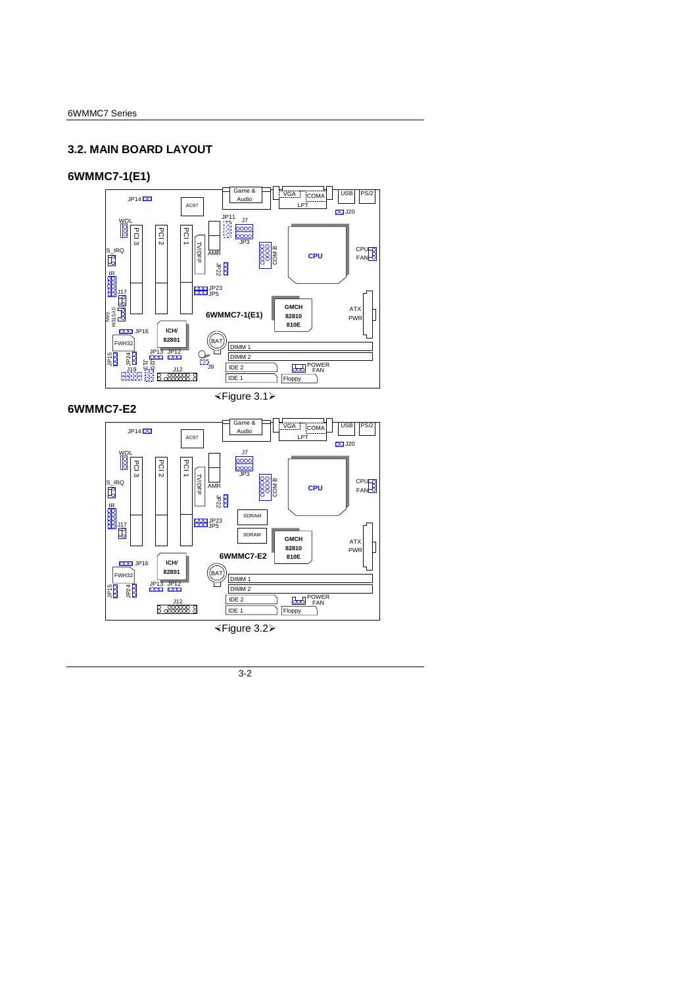# **3.2. MAIN BOARD LAYOUT**

## **6WMMC7-1(E1)**



**6WMMC7-E2** 

½Figure 3.1¾



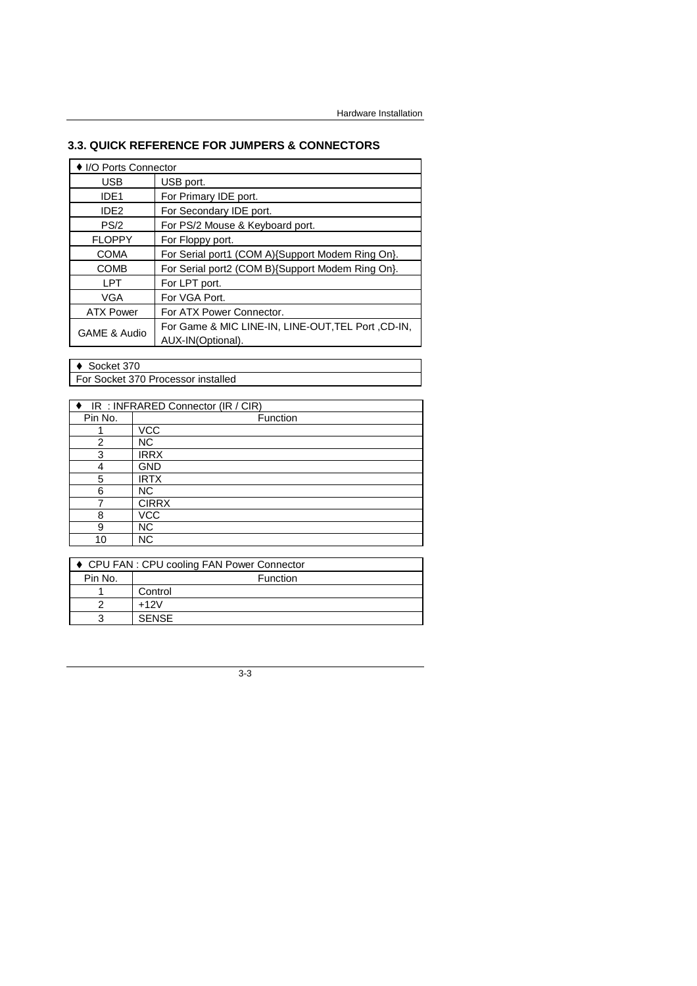# **3.3. QUICK REFERENCE FOR JUMPERS & CONNECTORS**

| ♦ I/O Ports Connector                                                                   |                                                  |  |
|-----------------------------------------------------------------------------------------|--------------------------------------------------|--|
| <b>USB</b>                                                                              | USB port.                                        |  |
| IDE <sub>1</sub>                                                                        | For Primary IDE port.                            |  |
| IDE <sub>2</sub>                                                                        | For Secondary IDE port.                          |  |
| PS/2                                                                                    | For PS/2 Mouse & Keyboard port.                  |  |
| <b>FLOPPY</b>                                                                           | For Floppy port.                                 |  |
| <b>COMA</b>                                                                             | For Serial port1 (COM A){Support Modem Ring On}. |  |
| <b>COMB</b>                                                                             | For Serial port2 (COM B){Support Modem Ring On}. |  |
| I PT                                                                                    | For LPT port.                                    |  |
| VGA                                                                                     | For VGA Port.                                    |  |
| <b>ATX Power</b>                                                                        | For ATX Power Connector.                         |  |
| For Game & MIC LINE-IN, LINE-OUT. TEL Port, CD-IN.<br>GAME & Audio<br>AUX-IN(Optional). |                                                  |  |

◆ Socket 370

For Socket 370 Processor installed

| ♦ IR : INFRARED Connector (IR / CIR) |              |
|--------------------------------------|--------------|
| Pin No.                              | Function     |
|                                      | <b>VCC</b>   |
| 2                                    | NC.          |
| 3                                    | <b>IRRX</b>  |
| 4                                    | <b>GND</b>   |
| 5                                    | <b>IRTX</b>  |
| 6                                    | NC.          |
|                                      | <b>CIRRX</b> |
| 8                                    | <b>VCC</b>   |
| 9                                    | NC.          |
| 10                                   | <b>NC</b>    |

|         | ♦ CPU FAN : CPU cooling FAN Power Connector |  |
|---------|---------------------------------------------|--|
| Pin No. | Function                                    |  |
|         | Control                                     |  |
|         | $+12V$                                      |  |
|         | <b>SENSE</b>                                |  |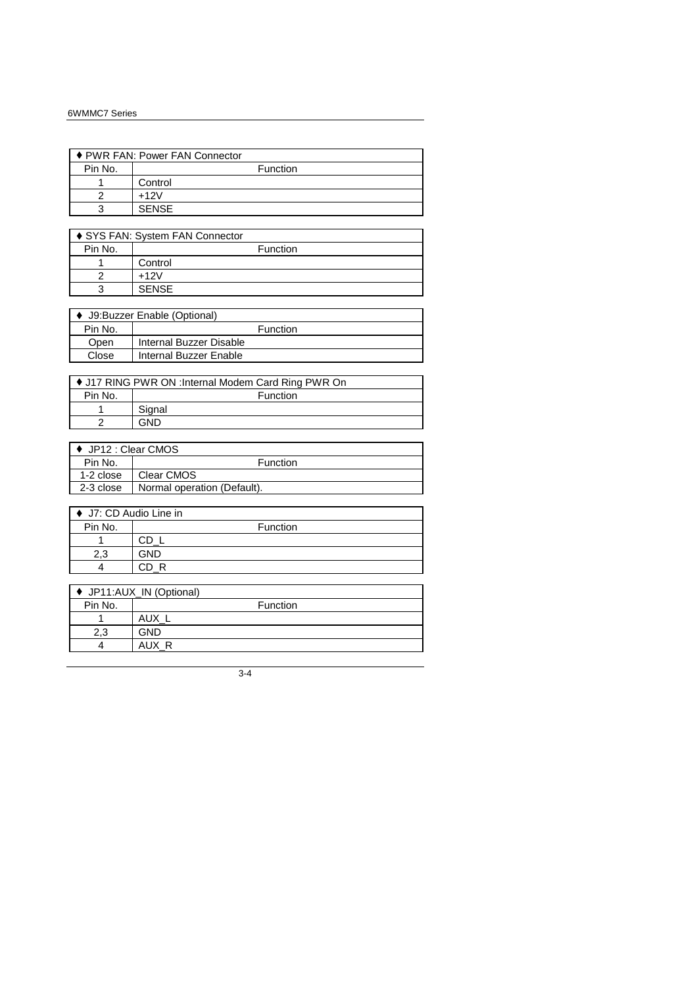| ♦ PWR FAN: Power FAN Connector |              |  |
|--------------------------------|--------------|--|
| Pin No.                        | Function     |  |
|                                | Control      |  |
|                                | $+12V$       |  |
|                                | <b>SENSE</b> |  |

| ♦ SYS FAN: System FAN Connector |                 |
|---------------------------------|-----------------|
| Pin No.                         | <b>Function</b> |
|                                 | Control         |
|                                 | $+12V$          |
|                                 | <b>SENSE</b>    |

| ♦ J9:Buzzer Enable (Optional) |                         |  |
|-------------------------------|-------------------------|--|
| Pin No.                       | <b>Function</b>         |  |
| Open                          | Internal Buzzer Disable |  |
| Close                         | Internal Buzzer Enable  |  |
|                               |                         |  |

| ♦ J17 RING PWR ON : Internal Modem Card Ring PWR On |                 |
|-----------------------------------------------------|-----------------|
| Pin No.                                             | <b>Function</b> |
|                                                     | Signal          |
|                                                     | GND             |

| ♦ JP12 : Clear CMOS |                             |
|---------------------|-----------------------------|
| Pin No.             | <b>Function</b>             |
| 1-2 close           | Clear CMOS                  |
| 2-3 close           | Normal operation (Default). |
|                     |                             |

| ♦ J7: CD Audio Line in |          |  |
|------------------------|----------|--|
| Pin No.                | Function |  |
|                        |          |  |
| n n                    | GND      |  |
|                        |          |  |

| ♦ JP11:AUX_IN (Optional) |                 |
|--------------------------|-----------------|
| Pin No.                  | <b>Function</b> |
|                          | <b>AUX</b>      |
| 2.3                      | <b>GND</b>      |
|                          | AUX R           |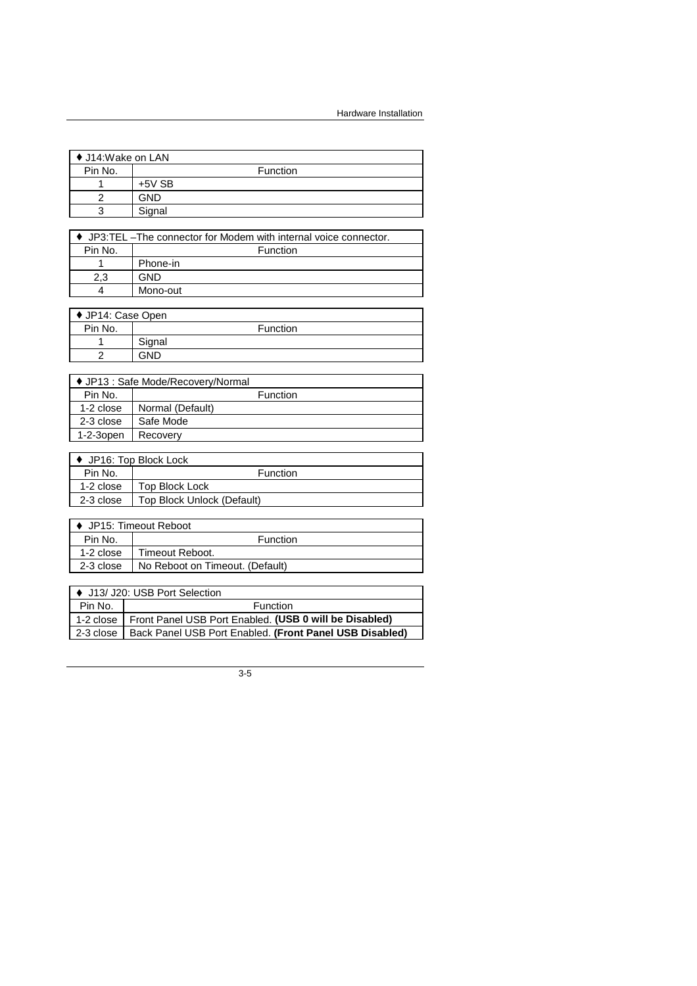$\overline{\phantom{0}}$ 

┪

| ♦ J14:Wake on LAN |            |                 |
|-------------------|------------|-----------------|
| Pin No.           |            | <b>Function</b> |
|                   | $+5V$ SB   |                 |
|                   | <b>GND</b> |                 |
| c                 | Signal     |                 |

| $\bullet$ JP3:TEL -The connector for Modem with internal voice connector. |          |
|---------------------------------------------------------------------------|----------|
| Pin No.                                                                   | Function |
|                                                                           | Phone-in |
| 2.3                                                                       | GND      |
|                                                                           | Mono-out |

| ♦ JP14: Case Open |        |                 |
|-------------------|--------|-----------------|
| Pin No.           |        | <b>Function</b> |
|                   | Signal |                 |
|                   | GND    |                 |

| ♦ JP13 : Safe Mode/Recovery/Normal |                  |
|------------------------------------|------------------|
| Pin No.                            | <b>Function</b>  |
| 1-2 close                          | Normal (Default) |
| 2-3 close                          | Safe Mode        |
| $1-2-3$ open                       | Recovery         |

| JP16: Top Block Lock |                            |  |
|----------------------|----------------------------|--|
| Pin No.              | <b>Function</b>            |  |
| 1-2 close            | Top Block Lock             |  |
| 2-3 close            | Top Block Unlock (Default) |  |

| ▶ JP15: Timeout Reboot |                                 |  |
|------------------------|---------------------------------|--|
| Pin No.                | <b>Function</b>                 |  |
| 1-2 close              | Timeout Reboot.                 |  |
| 2-3 close              | No Reboot on Timeout. (Default) |  |

| ↓ ↓ J13/ J20: USB Port Selection |                                                         |  |
|----------------------------------|---------------------------------------------------------|--|
| Pin No.                          | Function                                                |  |
| $\vert$ 1-2 close $\vert$        | Front Panel USB Port Enabled. (USB 0 will be Disabled)  |  |
| $\vert$ 2-3 close $\vert$        | Back Panel USB Port Enabled. (Front Panel USB Disabled) |  |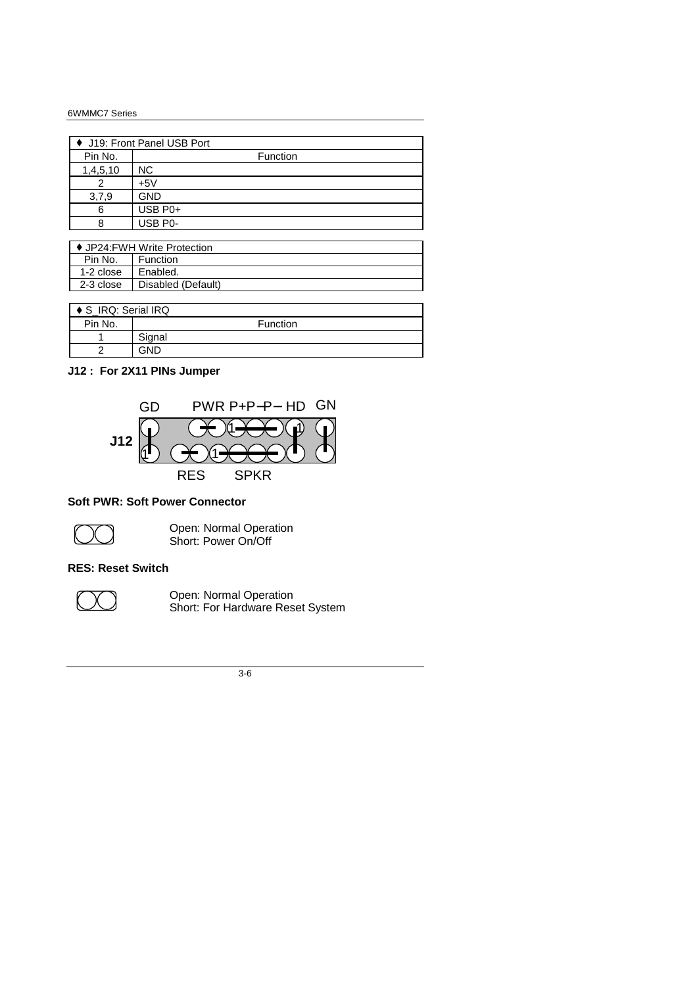| ♦ J19: Front Panel USB Port |            |  |
|-----------------------------|------------|--|
| Pin No.                     | Function   |  |
| 1,4,5,10                    | NС         |  |
|                             | +5V        |  |
| 3,7,9                       | <b>GND</b> |  |
| 6                           | USB P0+    |  |
|                             | USB P0-    |  |

| ♦ JP24: FWH Write Protection |                    |  |
|------------------------------|--------------------|--|
| Pin No.                      | <b>Function</b>    |  |
| 1-2 close                    | Enabled.           |  |
| 2-3 close                    | Disabled (Default) |  |

| ♦ S IRQ: Serial IRQ |                 |
|---------------------|-----------------|
| Pin No.             | <b>Function</b> |
|                     | Signal          |
|                     | GND             |

# **J12 : For 2X11 PINs Jumper**



### **Soft PWR: Soft Power Connector**



**Open: Normal Operation** Short: Power On/Off

### **RES: Reset Switch**



**THE STAND Open: Normal Operation** Short: For Hardware Reset System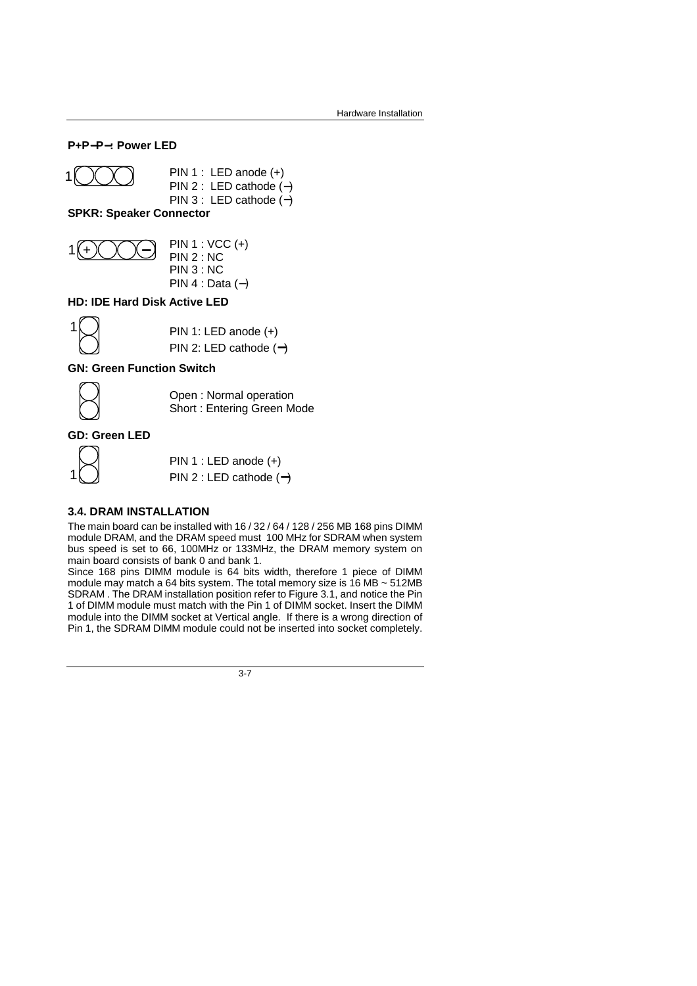### **P+P**−**P**−**: Power LED**

1 
$$
\bigcirc \bigcirc \bigcirc
$$
 PIN 1 : LED anode (+)  
PIN 2 : LED cathode (-)

PIN 3 : LED cathode (−)

**SPKR: Speaker Connector** 



 PIN 2 : NC PIN 3 : NC PIN 4 : Data (−)

### **HD: IDE Hard Disk Active LED**

| N |                          |
|---|--------------------------|
| ◁ | PIN 1: LED anode $(+)$   |
| Л | PIN 2: LED cathode $(-)$ |

### **GN: Green Function Switch**



1

 Open : Normal operation Short : Entering Green Mode

### **GD: Green LED**



 PIN 1 : LED anode (+) PIN 2 : LED cathode (−)

### **3.4. DRAM INSTALLATION**

The main board can be installed with 16 / 32 / 64 / 128 / 256 MB 168 pins DIMM module DRAM, and the DRAM speed must 100 MHz for SDRAM when system bus speed is set to 66, 100MHz or 133MHz, the DRAM memory system on main board consists of bank 0 and bank 1.

Since 168 pins DIMM module is 64 bits width, therefore 1 piece of DIMM module may match a 64 bits system. The total memory size is 16 MB ~ 512MB SDRAM . The DRAM installation position refer to Figure 3.1, and notice the Pin 1 of DIMM module must match with the Pin 1 of DIMM socket. Insert the DIMM module into the DIMM socket at Vertical angle. If there is a wrong direction of Pin 1, the SDRAM DIMM module could not be inserted into socket completely.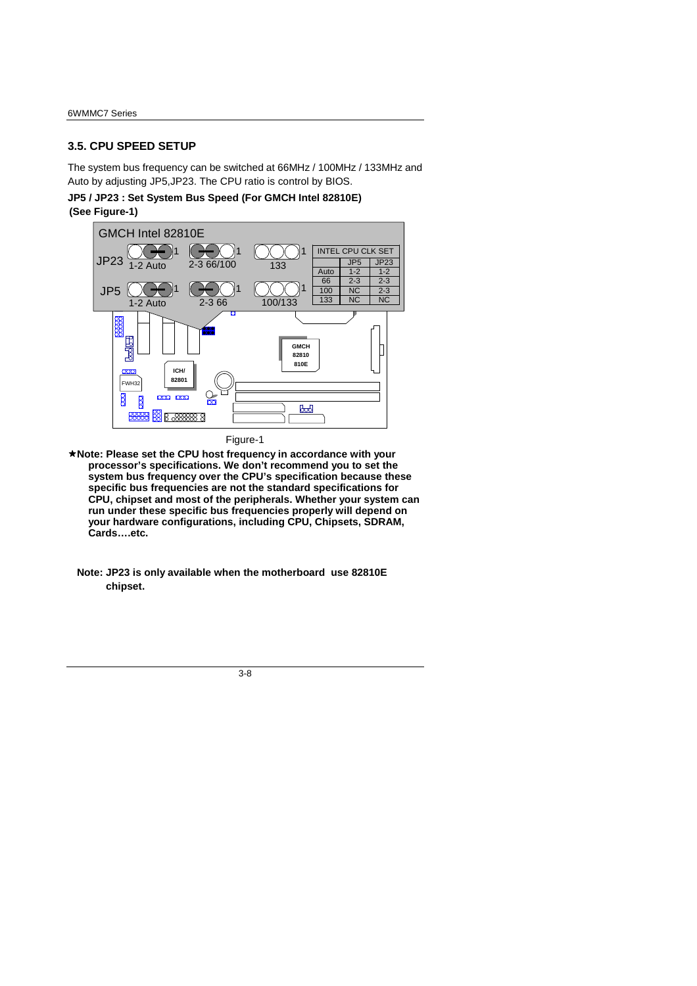### **3.5. CPU SPEED SETUP**

The system bus frequency can be switched at 66MHz / 100MHz / 133MHz and Auto by adjusting JP5,JP23. The CPU ratio is control by BIOS.

**JP5 / JP23 : Set System Bus Speed (For GMCH Intel 82810E)** 

### **(See Figure-1)**



Figure-1

- **Note: Please set the CPU host frequency in accordance with your processor's specifications. We don't recommend you to set the system bus frequency over the CPU's specification because these specific bus frequencies are not the standard specifications for CPU, chipset and most of the peripherals. Whether your system can run under these specific bus frequencies properly will depend on your hardware configurations, including CPU, Chipsets, SDRAM, Cards….etc.** 
	- **Note: JP23 is only available when the motherboard use 82810E chipset.**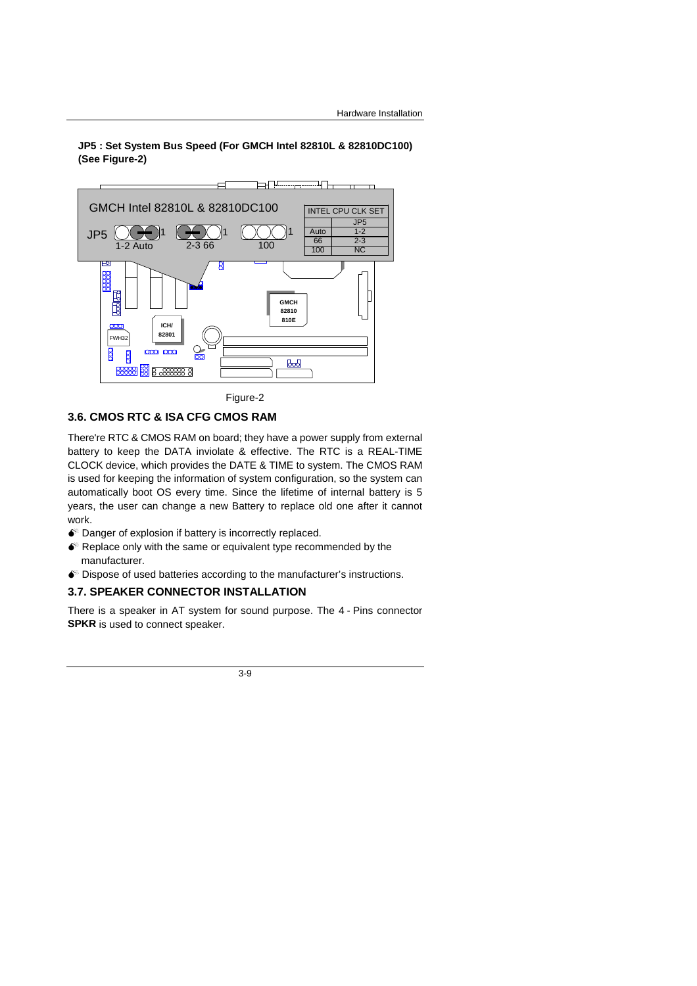### **JP5 : Set System Bus Speed (For GMCH Intel 82810L & 82810DC100) (See Figure-2)**



Figure-2

### **3.6. CMOS RTC & ISA CFG CMOS RAM**

There're RTC & CMOS RAM on board; they have a power supply from external battery to keep the DATA inviolate & effective. The RTC is a REAL-TIME CLOCK device, which provides the DATE & TIME to system. The CMOS RAM is used for keeping the information of system configuration, so the system can automatically boot OS every time. Since the lifetime of internal battery is 5 years, the user can change a new Battery to replace old one after it cannot work.

- $\bullet$  Danger of explosion if battery is incorrectly replaced.
- $\bullet$  Replace only with the same or equivalent type recommended by the manufacturer.
- $\bullet$ <sup>®</sup> Dispose of used batteries according to the manufacturer's instructions.

#### **3.7. SPEAKER CONNECTOR INSTALLATION**

There is a speaker in AT system for sound purpose. The 4 - Pins connector **SPKR** is used to connect speaker.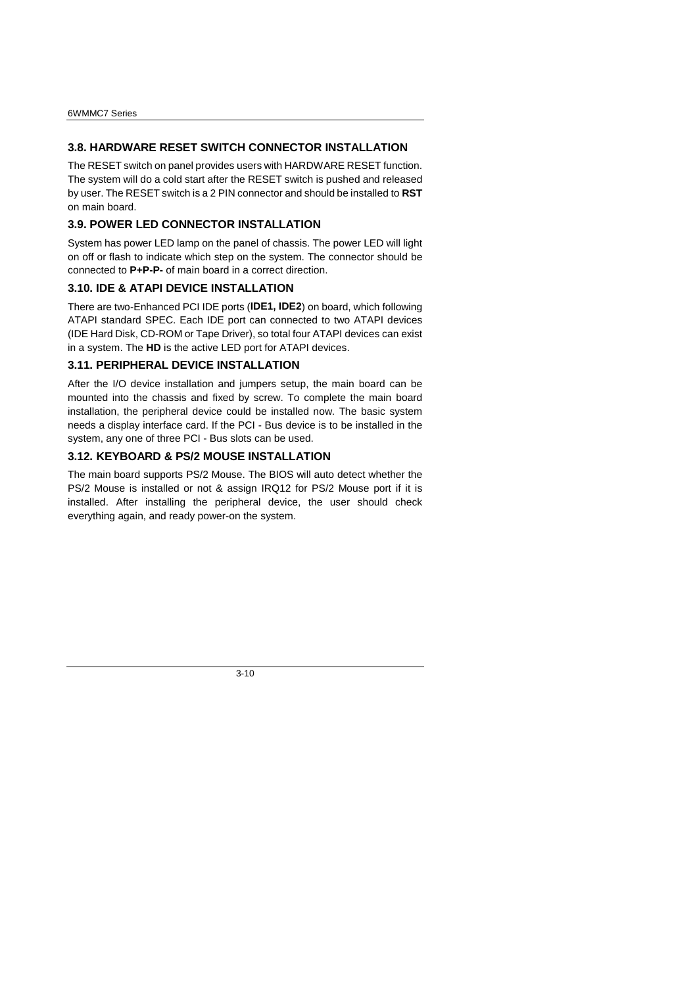### **3.8. HARDWARE RESET SWITCH CONNECTOR INSTALLATION**

The RESET switch on panel provides users with HARDWARE RESET function. The system will do a cold start after the RESET switch is pushed and released by user. The RESET switch is a 2 PIN connector and should be installed to **RST** on main board.

## **3.9. POWER LED CONNECTOR INSTALLATION**

System has power LED lamp on the panel of chassis. The power LED will light on off or flash to indicate which step on the system. The connector should be connected to **P+P-P-** of main board in a correct direction.

### **3.10. IDE & ATAPI DEVICE INSTALLATION**

There are two-Enhanced PCI IDE ports (**IDE1, IDE2**) on board, which following ATAPI standard SPEC. Each IDE port can connected to two ATAPI devices (IDE Hard Disk, CD-ROM or Tape Driver), so total four ATAPI devices can exist in a system. The **HD** is the active LED port for ATAPI devices.

### **3.11. PERIPHERAL DEVICE INSTALLATION**

After the I/O device installation and jumpers setup, the main board can be mounted into the chassis and fixed by screw. To complete the main board installation, the peripheral device could be installed now. The basic system needs a display interface card. If the PCI - Bus device is to be installed in the system, any one of three PCI - Bus slots can be used.

### **3.12. KEYBOARD & PS/2 MOUSE INSTALLATION**

The main board supports PS/2 Mouse. The BIOS will auto detect whether the PS/2 Mouse is installed or not & assign IRQ12 for PS/2 Mouse port if it is installed. After installing the peripheral device, the user should check everything again, and ready power-on the system.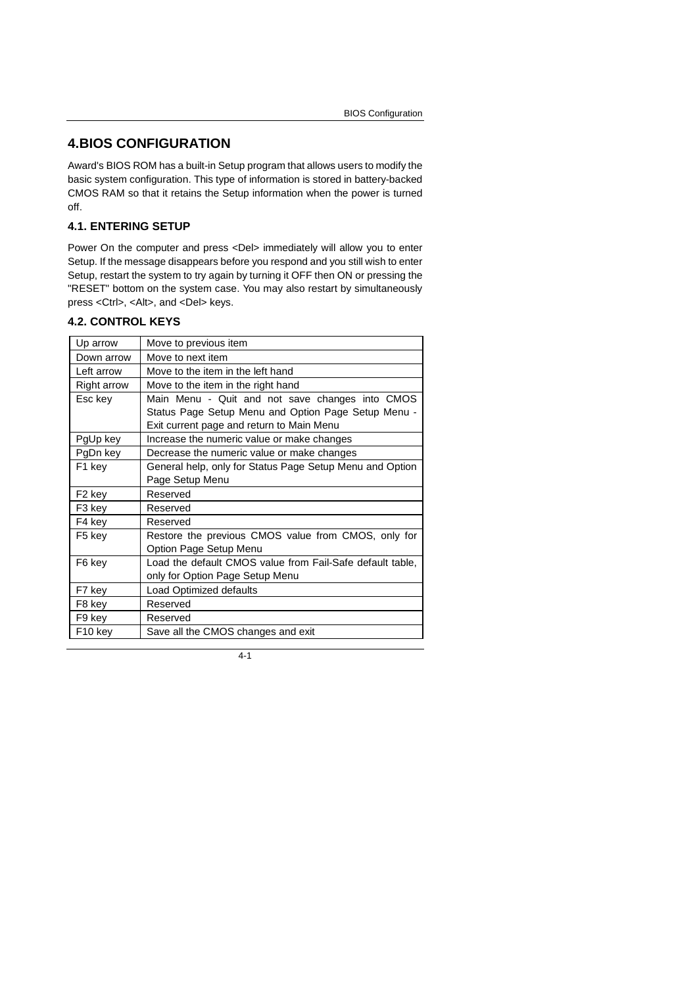# **4.BIOS CONFIGURATION**

Award's BIOS ROM has a built-in Setup program that allows users to modify the basic system configuration. This type of information is stored in battery-backed CMOS RAM so that it retains the Setup information when the power is turned off.

### **4.1. ENTERING SETUP**

Power On the computer and press <Del> immediately will allow you to enter Setup. If the message disappears before you respond and you still wish to enter Setup, restart the system to try again by turning it OFF then ON or pressing the "RESET" bottom on the system case. You may also restart by simultaneously press <Ctrl>, <Alt>, and <Del> keys.

### **4.2. CONTROL KEYS**

| Up arrow            | Move to previous item                                     |  |
|---------------------|-----------------------------------------------------------|--|
| Down arrow          | Move to next item                                         |  |
| Left arrow          | Move to the item in the left hand                         |  |
| Right arrow         | Move to the item in the right hand                        |  |
| Esc key             | Main Menu - Quit and not save changes into CMOS           |  |
|                     | Status Page Setup Menu and Option Page Setup Menu -       |  |
|                     | Exit current page and return to Main Menu                 |  |
| PgUp key            | Increase the numeric value or make changes                |  |
| PgDn key            | Decrease the numeric value or make changes                |  |
| F <sub>1</sub> key  | General help, only for Status Page Setup Menu and Option  |  |
|                     | Page Setup Menu                                           |  |
| F <sub>2</sub> key  | Reserved                                                  |  |
| F3 key              | Reserved                                                  |  |
| F4 key              | Reserved                                                  |  |
| F5 key              | Restore the previous CMOS value from CMOS, only for       |  |
|                     | Option Page Setup Menu                                    |  |
| F6 key              | Load the default CMOS value from Fail-Safe default table, |  |
|                     | only for Option Page Setup Menu                           |  |
| F7 key              | Load Optimized defaults                                   |  |
| F8 key              | Reserved                                                  |  |
| F9 key              | Reserved                                                  |  |
| F <sub>10</sub> key | Save all the CMOS changes and exit                        |  |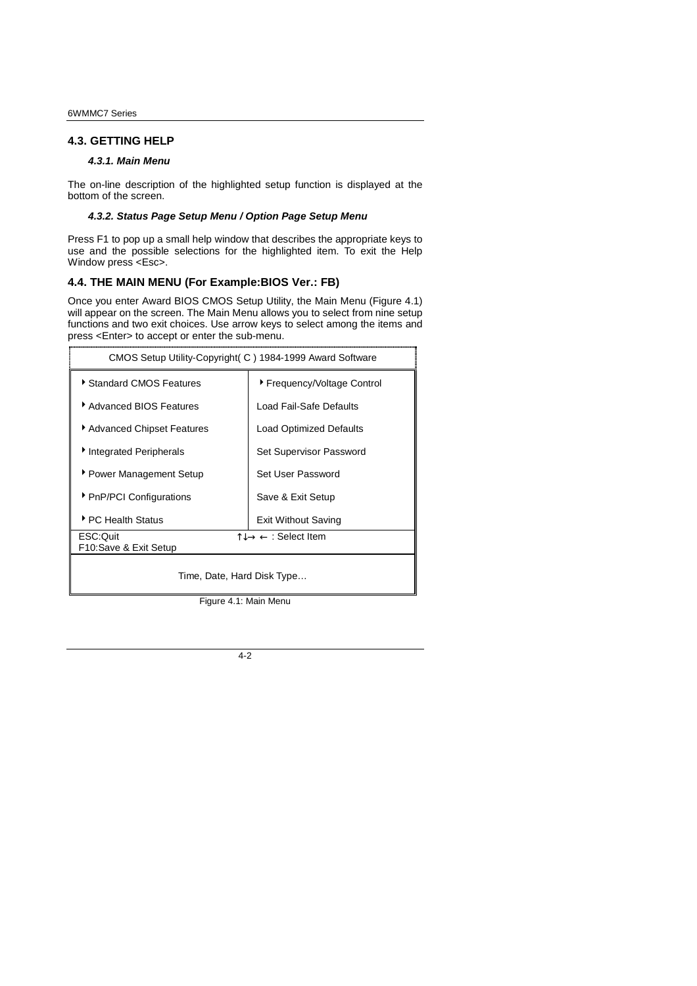#### **4.3. GETTING HELP**

#### *4.3.1. Main Menu*

The on-line description of the highlighted setup function is displayed at the bottom of the screen.

#### *4.3.2. Status Page Setup Menu / Option Page Setup Menu*

Press F1 to pop up a small help window that describes the appropriate keys to use and the possible selections for the highlighted item. To exit the Help Window press <Esc>.

#### **4.4. THE MAIN MENU (For Example:BIOS Ver.: FB)**

Once you enter Award BIOS CMOS Setup Utility, the Main Menu (Figure 4.1) will appear on the screen. The Main Menu allows you to select from nine setup functions and two exit choices. Use arrow keys to select among the items and press <Enter> to accept or enter the sub-menu.

| CMOS Setup Utility-Copyright (C) 1984-1999 Award Software |                             |  |
|-----------------------------------------------------------|-----------------------------|--|
| Standard CMOS Features                                    | ▶ Frequency/Voltage Control |  |
| ▶ Advanced BIOS Features                                  | Load Fail-Safe Defaults     |  |
| Advanced Chipset Features                                 | Load Optimized Defaults     |  |
| Integrated Peripherals                                    | Set Supervisor Password     |  |
| ▶ Power Management Setup                                  | Set User Password           |  |
| ▶ PnP/PCI Configurations                                  | Save & Exit Setup           |  |
| ▶ PC Health Status                                        | <b>Exit Without Saving</b>  |  |
| ESC:Ouit                                                  | ੀ↓→ ← : Select Item         |  |
| F10:Save & Exit Setup                                     |                             |  |
| Time, Date, Hard Disk Type                                |                             |  |

Figure 4.1: Main Menu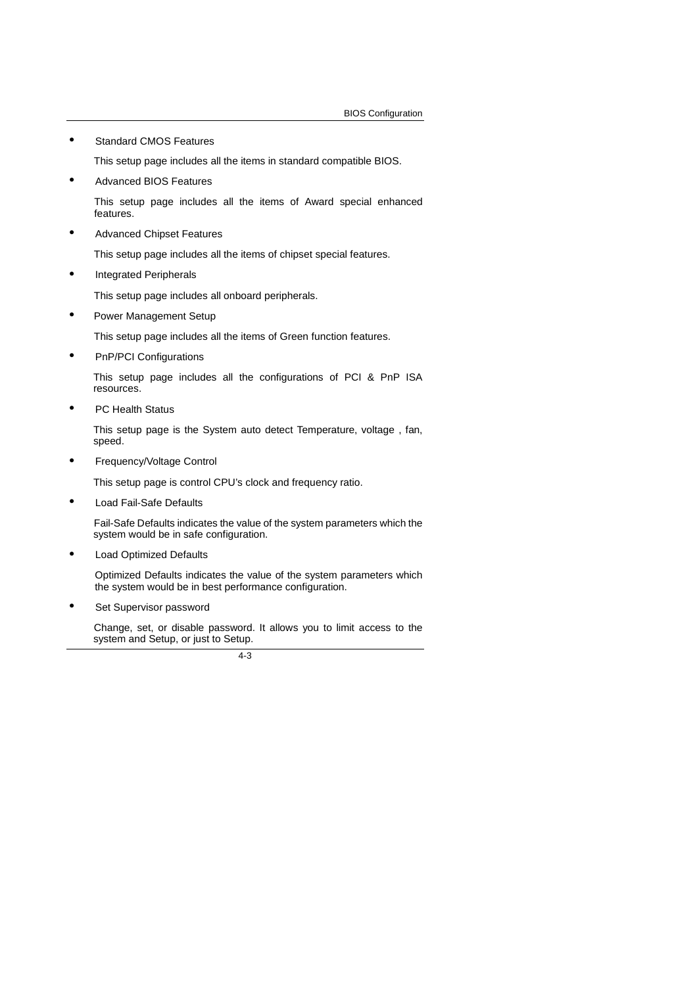• Standard CMOS Features

This setup page includes all the items in standard compatible BIOS.

• Advanced BIOS Features

This setup page includes all the items of Award special enhanced features.

• Advanced Chipset Features

This setup page includes all the items of chipset special features.

• Integrated Peripherals

This setup page includes all onboard peripherals.

• Power Management Setup

This setup page includes all the items of Green function features.

• PnP/PCI Configurations

This setup page includes all the configurations of PCI & PnP ISA resources.

• PC Health Status

This setup page is the System auto detect Temperature, voltage , fan, speed.

• Frequency/Voltage Control

This setup page is control CPU's clock and frequency ratio.

Load Fail-Safe Defaults

 Fail-Safe Defaults indicates the value of the system parameters which the system would be in safe configuration.

• Load Optimized Defaults

Optimized Defaults indicates the value of the system parameters which the system would be in best performance configuration.

Set Supervisor password

 Change, set, or disable password. It allows you to limit access to the system and Setup, or just to Setup.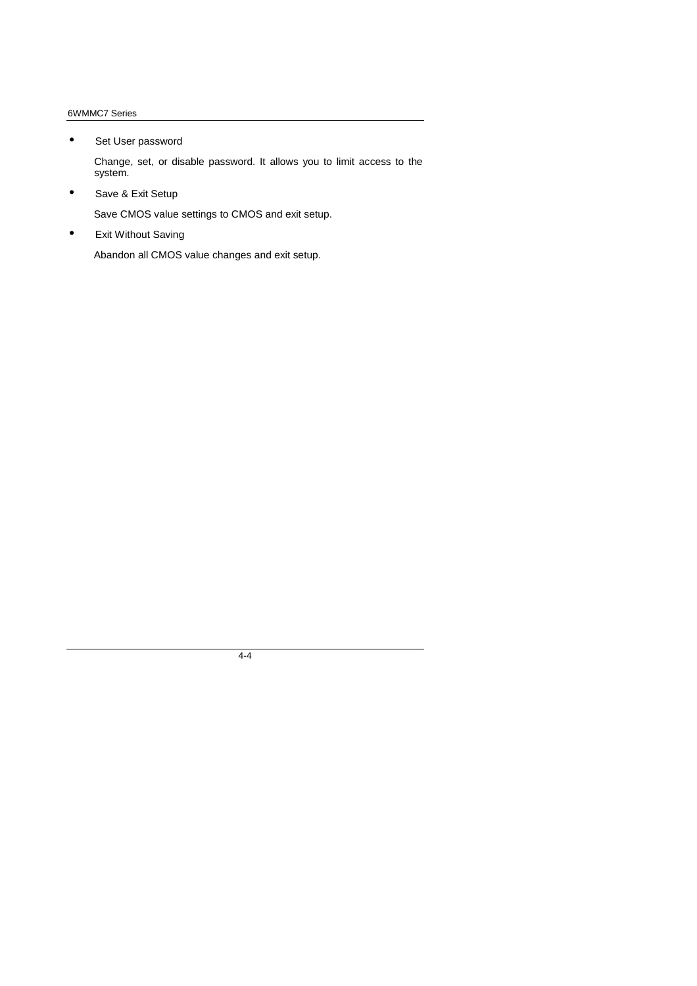• Set User password

Change, set, or disable password. It allows you to limit access to the system.

• Save & Exit Setup

Save CMOS value settings to CMOS and exit setup.

• Exit Without Saving

Abandon all CMOS value changes and exit setup.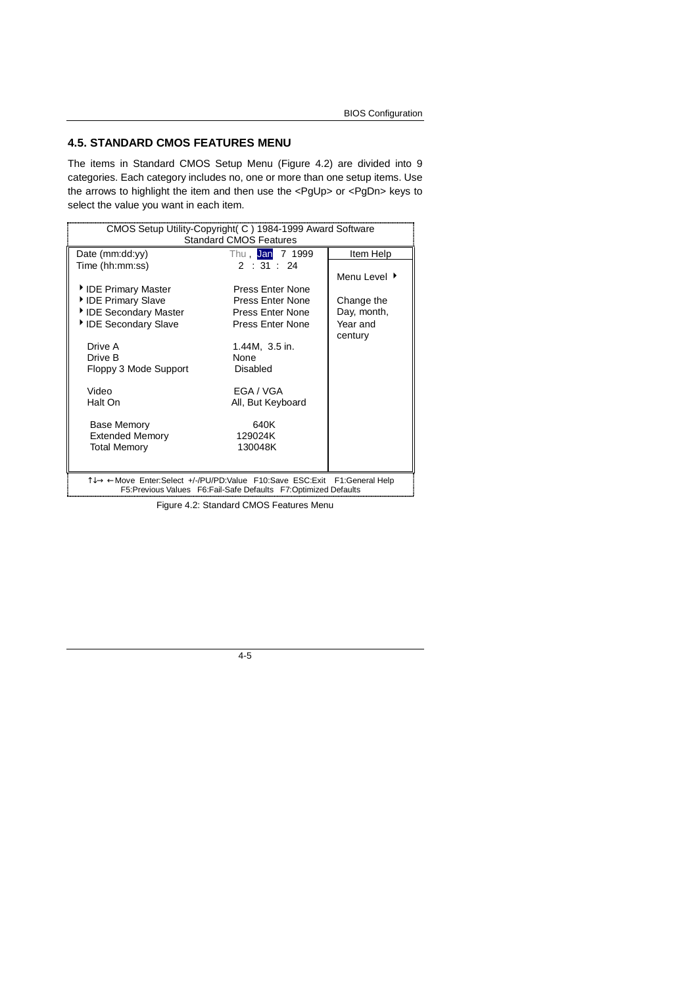### **4.5. STANDARD CMOS FEATURES MENU**

The items in Standard CMOS Setup Menu (Figure 4.2) are divided into 9 categories. Each category includes no, one or more than one setup items. Use the arrows to highlight the item and then use the <PgUp> or <PgDn> keys to select the value you want in each item.

| CMOS Setup Utility-Copyright( C ) 1984-1999 Award Software<br><b>Standard CMOS Features</b>                                                |                         |              |  |
|--------------------------------------------------------------------------------------------------------------------------------------------|-------------------------|--------------|--|
| Date (mm:dd:yy)<br>Thu, Jan 7 1999<br>Item Help                                                                                            |                         |              |  |
| Time (hh:mm:ss)                                                                                                                            | 2:31:24                 |              |  |
|                                                                                                                                            |                         | Menu Level ▶ |  |
| IDE Primary Master                                                                                                                         | <b>Press Enter None</b> |              |  |
| IDE Primary Slave                                                                                                                          | Press Enter None        | Change the   |  |
| IDE Secondary Master                                                                                                                       | Press Enter None        | Day, month,  |  |
| IDE Secondary Slave                                                                                                                        | Press Enter None        | Year and     |  |
|                                                                                                                                            |                         | century      |  |
| Drive A                                                                                                                                    | 1.44M, 3.5 in.          |              |  |
| Drive B                                                                                                                                    | None                    |              |  |
| Floppy 3 Mode Support                                                                                                                      | Disabled                |              |  |
| Video                                                                                                                                      | EGA / VGA               |              |  |
| Halt On                                                                                                                                    | All, But Keyboard       |              |  |
|                                                                                                                                            |                         |              |  |
| <b>Base Memory</b>                                                                                                                         | 640K                    |              |  |
| <b>Extended Memory</b>                                                                                                                     | 129024K                 |              |  |
| <b>Total Memory</b>                                                                                                                        | 130048K                 |              |  |
|                                                                                                                                            |                         |              |  |
|                                                                                                                                            |                         |              |  |
| 1↓→ ←Move Enter:Select +/-/PU/PD:Value F10:Save ESC:Exit F1:General Help<br>F5:Previous Values F6:Fail-Safe Defaults F7:Optimized Defaults |                         |              |  |
| Figure 4.2: Standard CMOS Features Menu                                                                                                    |                         |              |  |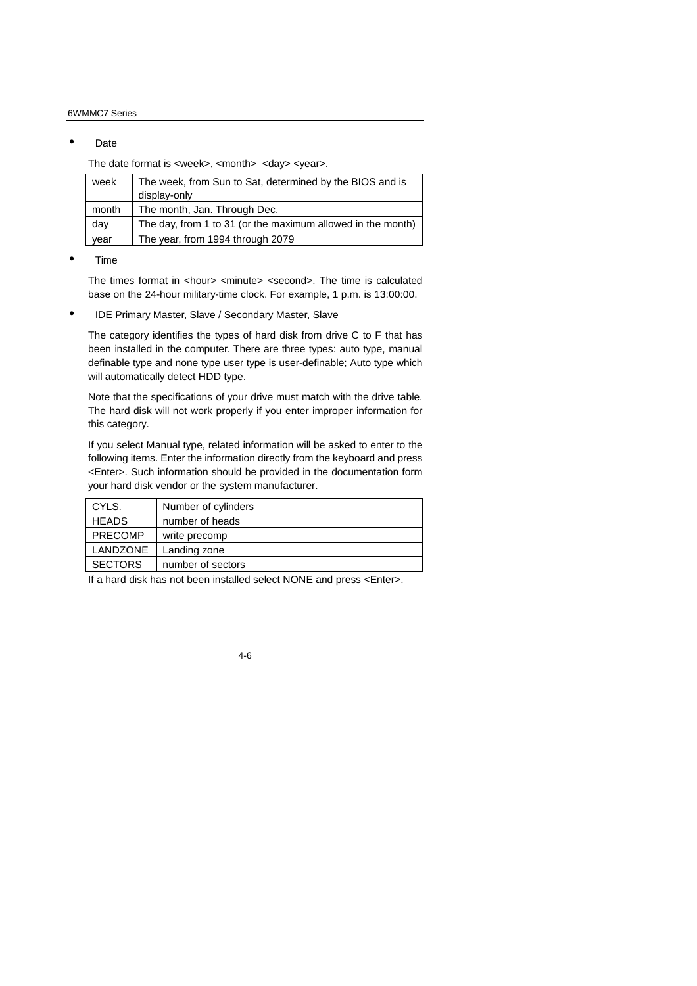#### • Date

The date format is <week>, <month> <day> <year>.

| week  | The week, from Sun to Sat, determined by the BIOS and is    |
|-------|-------------------------------------------------------------|
|       | display-only                                                |
| month | The month, Jan. Through Dec.                                |
| day   | The day, from 1 to 31 (or the maximum allowed in the month) |
| vear  | The year, from 1994 through 2079                            |

<sup>•</sup> Time

The times format in <hour> <minute> <second>. The time is calculated base on the 24-hour military-time clock. For example, 1 p.m. is 13:00:00.

• IDE Primary Master, Slave / Secondary Master, Slave

The category identifies the types of hard disk from drive C to F that has been installed in the computer. There are three types: auto type, manual definable type and none type user type is user-definable; Auto type which will automatically detect HDD type.

Note that the specifications of your drive must match with the drive table. The hard disk will not work properly if you enter improper information for this category.

If you select Manual type, related information will be asked to enter to the following items. Enter the information directly from the keyboard and press <Enter>. Such information should be provided in the documentation form your hard disk vendor or the system manufacturer.

| CYLS.          | Number of cylinders |
|----------------|---------------------|
| <b>HEADS</b>   | number of heads     |
| <b>PRECOMP</b> | write precomp       |
| LANDZONE       | Landing zone        |
| <b>SECTORS</b> | number of sectors   |

If a hard disk has not been installed select NONE and press <Enter>.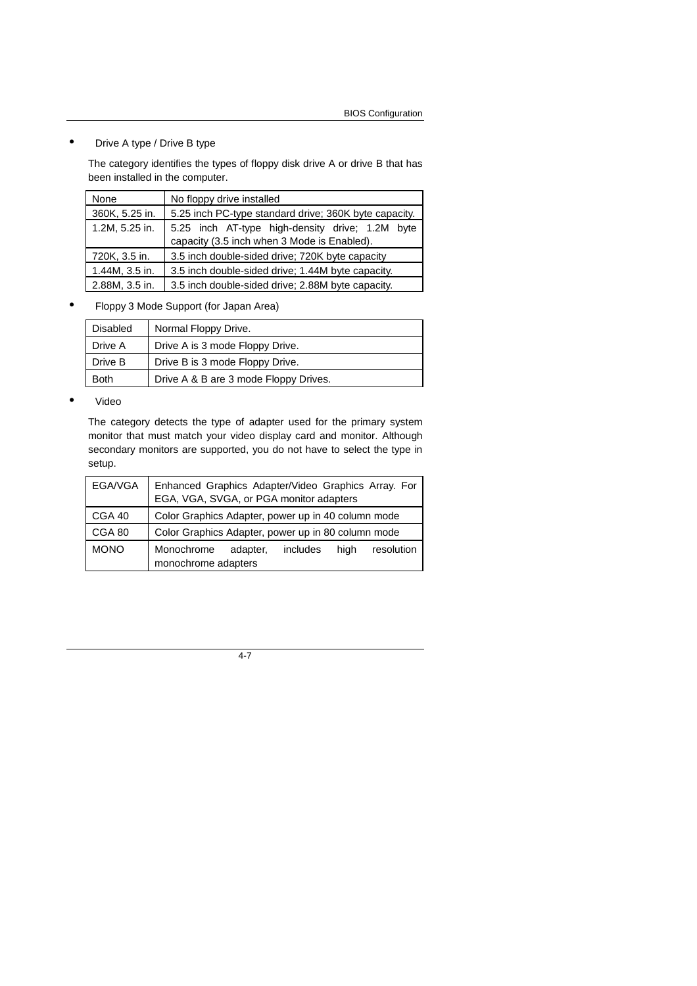### • Drive A type / Drive B type

The category identifies the types of floppy disk drive A or drive B that has been installed in the computer.

| None           | No floppy drive installed                             |  |
|----------------|-------------------------------------------------------|--|
| 360K, 5.25 in. | 5.25 inch PC-type standard drive; 360K byte capacity. |  |
| 1.2M, 5.25 in. | 5.25 inch AT-type high-density drive; 1.2M byte       |  |
|                | capacity (3.5 inch when 3 Mode is Enabled).           |  |
| 720K, 3.5 in.  | 3.5 inch double-sided drive; 720K byte capacity       |  |
| 1.44M, 3.5 in. | 3.5 inch double-sided drive; 1.44M byte capacity.     |  |
| 2.88M, 3.5 in. | 3.5 inch double-sided drive; 2.88M byte capacity.     |  |

### • Floppy 3 Mode Support (for Japan Area)

| Disabled    | Normal Floppy Drive.                  |
|-------------|---------------------------------------|
| Drive A     | Drive A is 3 mode Floppy Drive.       |
| Drive B     | Drive B is 3 mode Floppy Drive.       |
| <b>Both</b> | Drive A & B are 3 mode Floppy Drives. |

#### • Video

The category detects the type of adapter used for the primary system monitor that must match your video display card and monitor. Although secondary monitors are supported, you do not have to select the type in setup.

| EGA/VGA     | Enhanced Graphics Adapter/Video Graphics Array. For<br>EGA, VGA, SVGA, or PGA monitor adapters |  |
|-------------|------------------------------------------------------------------------------------------------|--|
| CGA 40      | Color Graphics Adapter, power up in 40 column mode                                             |  |
| CGA 80      | Color Graphics Adapter, power up in 80 column mode                                             |  |
| <b>MONO</b> | Monochrome<br>includes<br>resolution<br>high<br>adapter,<br>monochrome adapters                |  |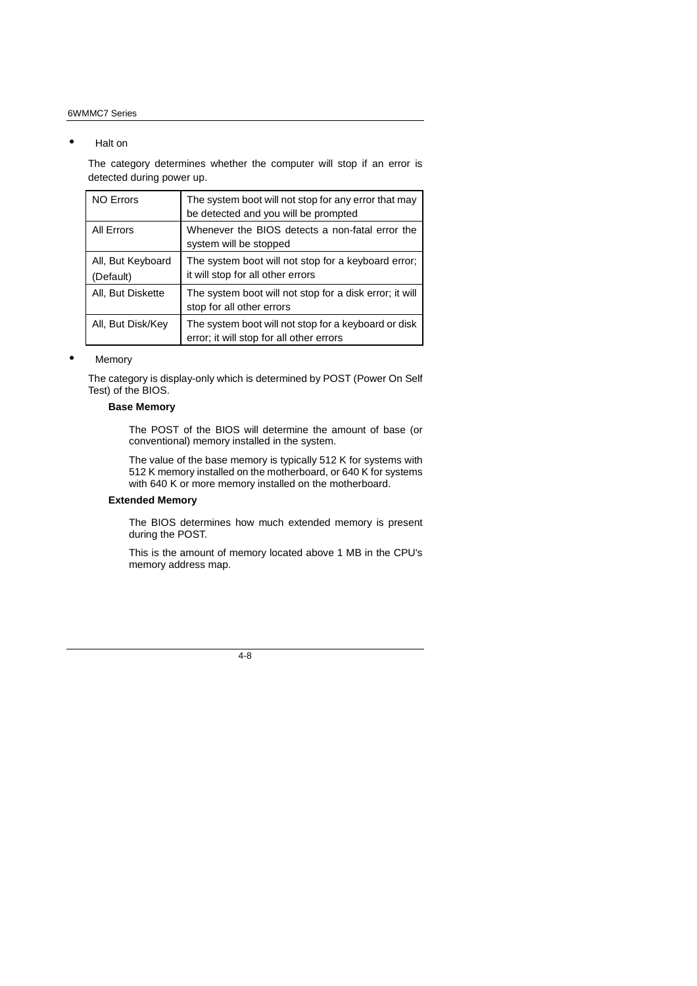#### • Halt on

The category determines whether the computer will stop if an error is detected during power up.

| <b>NO Errors</b>               | The system boot will not stop for any error that may<br>be detected and you will be prompted     |
|--------------------------------|--------------------------------------------------------------------------------------------------|
| All Errors                     | Whenever the BIOS detects a non-fatal error the<br>system will be stopped                        |
| All, But Keyboard<br>(Default) | The system boot will not stop for a keyboard error;<br>it will stop for all other errors         |
| All, But Diskette              | The system boot will not stop for a disk error; it will<br>stop for all other errors             |
| All, But Disk/Key              | The system boot will not stop for a keyboard or disk<br>error; it will stop for all other errors |

#### • Memory

The category is display-only which is determined by POST (Power On Self Test) of the BIOS.

### **Base Memory**

The POST of the BIOS will determine the amount of base (or conventional) memory installed in the system.

The value of the base memory is typically 512 K for systems with 512 K memory installed on the motherboard, or 640 K for systems with 640 K or more memory installed on the motherboard.

### **Extended Memory**

The BIOS determines how much extended memory is present during the POST.

This is the amount of memory located above 1 MB in the CPU's memory address map.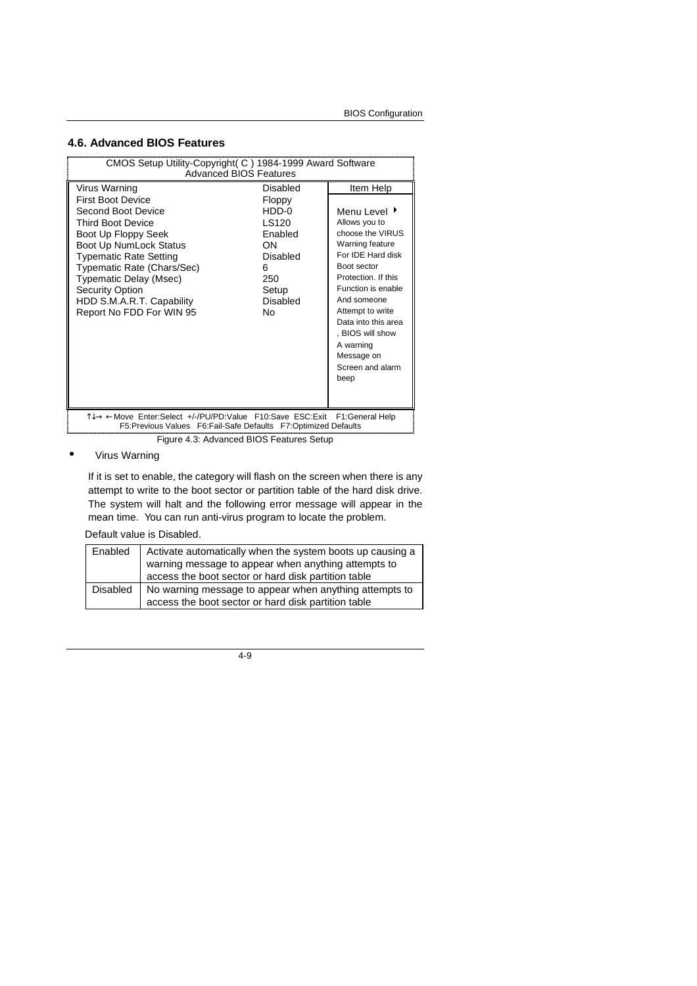### **4.6. Advanced BIOS Features**

| CMOS Setup Utility-Copyright (C) 1984-1999 Award Software<br><b>Advanced BIOS Features</b>                                                                                                                                                                                                              |                                                                                                |                                                                                                                                                                                                                                                                                            |
|---------------------------------------------------------------------------------------------------------------------------------------------------------------------------------------------------------------------------------------------------------------------------------------------------------|------------------------------------------------------------------------------------------------|--------------------------------------------------------------------------------------------------------------------------------------------------------------------------------------------------------------------------------------------------------------------------------------------|
| Virus Warning                                                                                                                                                                                                                                                                                           | Disabled                                                                                       | Item Help                                                                                                                                                                                                                                                                                  |
| <b>First Boot Device</b><br>Second Boot Device<br><b>Third Boot Device</b><br>Boot Up Floppy Seek<br>Boot Up NumLock Status<br><b>Typematic Rate Setting</b><br>Typematic Rate (Chars/Sec)<br>Typematic Delay (Msec)<br><b>Security Option</b><br>HDD S.M.A.R.T. Capability<br>Report No FDD For WIN 95 | Floppy<br>$HDD-0$<br>LS120<br>Enabled<br>ON<br>Disabled<br>6<br>250<br>Setup<br>Disabled<br>N٥ | Menu Level ▶<br>Allows you to<br>choose the VIRUS<br>Warning feature<br>For IDE Hard disk<br>Boot sector<br>Protection. If this<br>Function is enable<br>And someone<br>Attempt to write<br>Data into this area<br>. BIOS will show<br>A warning<br>Message on<br>Screen and alarm<br>beep |
| T↓→ ← Move Enter:Select +/-/PU/PD:Value F10:Save ESC:Exit F1:General Help<br>F5: Previous Values F6: Fail-Safe Defaults F7: Optimized Defaults                                                                                                                                                          |                                                                                                |                                                                                                                                                                                                                                                                                            |
|                                                                                                                                                                                                                                                                                                         | Figure 4.3: Advanced BIOS Features Setup                                                       |                                                                                                                                                                                                                                                                                            |

### • Virus Warning

If it is set to enable, the category will flash on the screen when there is any attempt to write to the boot sector or partition table of the hard disk drive. The system will halt and the following error message will appear in the mean time. You can run anti-virus program to locate the problem.

Default value is Disabled.

| Enabled  | Activate automatically when the system boots up causing a |
|----------|-----------------------------------------------------------|
|          | warning message to appear when anything attempts to       |
|          | access the boot sector or hard disk partition table       |
| Disabled | No warning message to appear when anything attempts to    |
|          | access the boot sector or hard disk partition table       |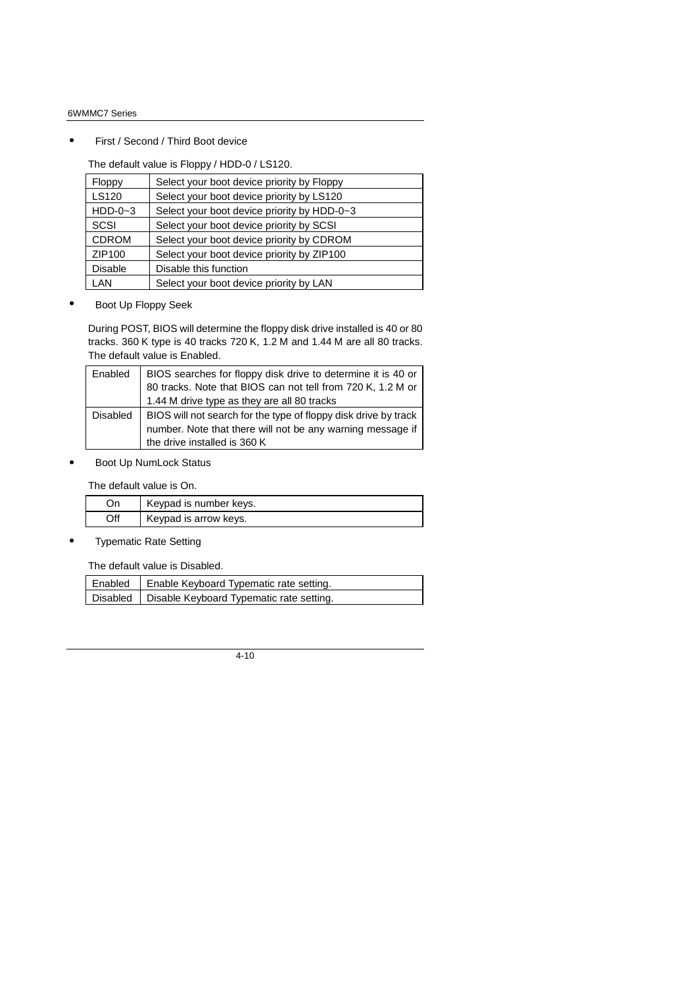First / Second / Third Boot device

The default value is Floppy / HDD-0 / LS120.

| Floppy         | Select your boot device priority by Floppy  |
|----------------|---------------------------------------------|
| <b>LS120</b>   | Select your boot device priority by LS120   |
| $HDD-0-3$      | Select your boot device priority by HDD-0~3 |
| <b>SCSI</b>    | Select your boot device priority by SCSI    |
| <b>CDROM</b>   | Select your boot device priority by CDROM   |
| ZIP100         | Select your boot device priority by ZIP100  |
| <b>Disable</b> | Disable this function                       |
| LAN            | Select your boot device priority by LAN     |

• Boot Up Floppy Seek

During POST, BIOS will determine the floppy disk drive installed is 40 or 80 tracks. 360 K type is 40 tracks 720 K, 1.2 M and 1.44 M are all 80 tracks. The default value is Enabled.

| Enabled         | BIOS searches for floppy disk drive to determine it is 40 or<br>80 tracks. Note that BIOS can not tell from 720 K, 1.2 M or<br>1.44 M drive type as they are all 80 tracks |
|-----------------|----------------------------------------------------------------------------------------------------------------------------------------------------------------------------|
| <b>Disabled</b> | BIOS will not search for the type of floppy disk drive by track<br>number. Note that there will not be any warning message if<br>the drive installed is 360 K              |

Boot Up NumLock Status

The default value is On.

| On  | Keypad is number keys. |
|-----|------------------------|
| Off | Keypad is arrow keys.  |

**Typematic Rate Setting** 

The default value is Disabled.

| Enabled   Enable Keyboard Typematic rate setting.   |
|-----------------------------------------------------|
| Disabled   Disable Keyboard Typematic rate setting. |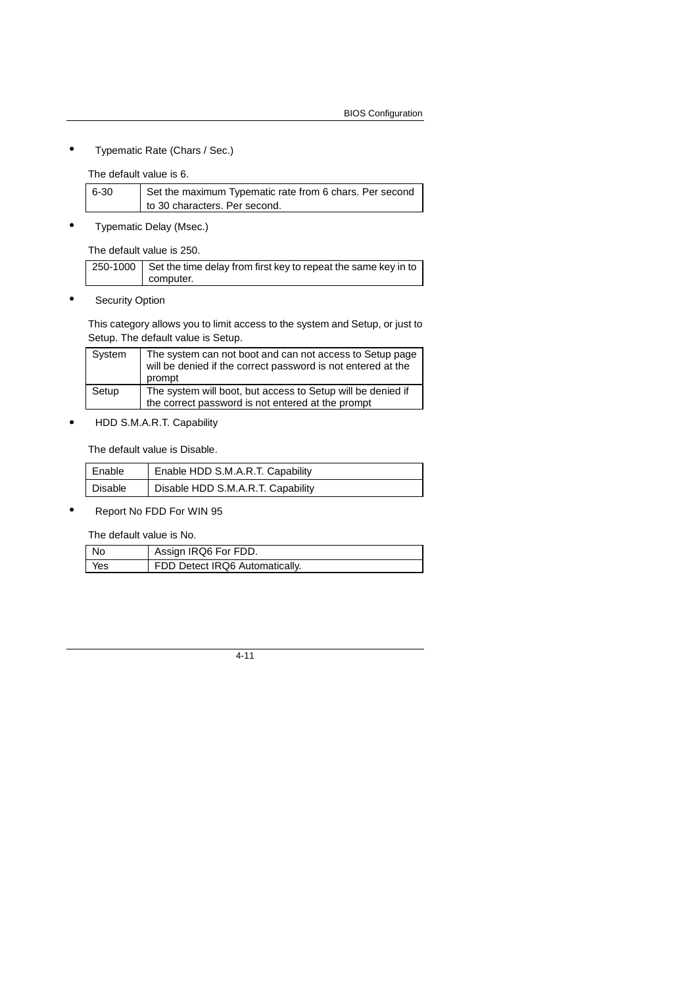• Typematic Rate (Chars / Sec.)

The default value is 6.

| 6-30 | Set the maximum Typematic rate from 6 chars. Per second |
|------|---------------------------------------------------------|
|      | to 30 characters. Per second.                           |

• Typematic Delay (Msec.)

The default value is 250.

| 250-1000 Set the time delay from first key to repeat the same key in to |
|-------------------------------------------------------------------------|
| computer.                                                               |

• Security Option

This category allows you to limit access to the system and Setup, or just to Setup. The default value is Setup.

| System | The system can not boot and can not access to Setup page<br>will be denied if the correct password is not entered at the<br>prompt |
|--------|------------------------------------------------------------------------------------------------------------------------------------|
| Setup  | The system will boot, but access to Setup will be denied if<br>the correct password is not entered at the prompt                   |

• HDD S.M.A.R.T. Capability

The default value is Disable.

| Enable  | Enable HDD S.M.A.R.T. Capability  |
|---------|-----------------------------------|
| Disable | Disable HDD S.M.A.R.T. Capability |

• Report No FDD For WIN 95

The default value is No.

| l No | Assign IRQ6 For FDD.           |
|------|--------------------------------|
| Yes  | FDD Detect IRQ6 Automatically. |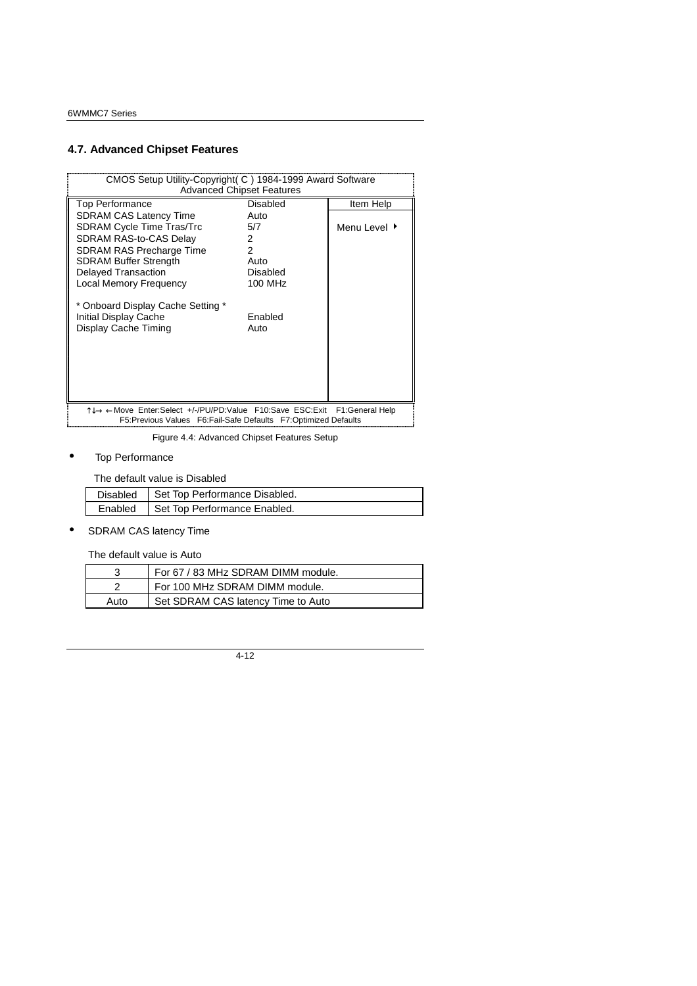# **4.7. Advanced Chipset Features**

| CMOS Setup Utility-Copyright (C) 1984-1999 Award Software                                                                          | <b>Advanced Chipset Features</b> |                 |
|------------------------------------------------------------------------------------------------------------------------------------|----------------------------------|-----------------|
| <b>Top Performance</b>                                                                                                             | <b>Disabled</b>                  | Item Help       |
| <b>SDRAM CAS Latency Time</b>                                                                                                      | Auto                             |                 |
| <b>SDRAM Cycle Time Tras/Trc</b>                                                                                                   | 5/7                              | Menu Level ▶    |
| SDRAM RAS-to-CAS Delay                                                                                                             | 2                                |                 |
| <b>SDRAM RAS Precharge Time</b>                                                                                                    | 2                                |                 |
| <b>SDRAM Buffer Strength</b>                                                                                                       | Auto                             |                 |
| <b>Delayed Transaction</b>                                                                                                         | <b>Disabled</b>                  |                 |
| <b>Local Memory Frequency</b>                                                                                                      | 100 MHz                          |                 |
| * Onboard Display Cache Setting *<br>Initial Display Cache<br>Display Cache Timing                                                 | Enabled<br>Auto                  |                 |
| T↓→ ← Move Enter: Select +/-/PU/PD: Value F10: Save ESC: Exit<br>F5: Previous Values F6: Fail-Safe Defaults F7: Optimized Defaults |                                  | F1:General Help |

Figure 4.4: Advanced Chipset Features Setup

### • Top Performance

The default value is Disabled

| Disabled   Set Top Performance Disabled. |
|------------------------------------------|
| Enabled   Set Top Performance Enabled.   |

• SDRAM CAS latency Time

The default value is Auto

|      | For 67 / 83 MHz SDRAM DIMM module. |
|------|------------------------------------|
|      | For 100 MHz SDRAM DIMM module.     |
| Auto | Set SDRAM CAS latency Time to Auto |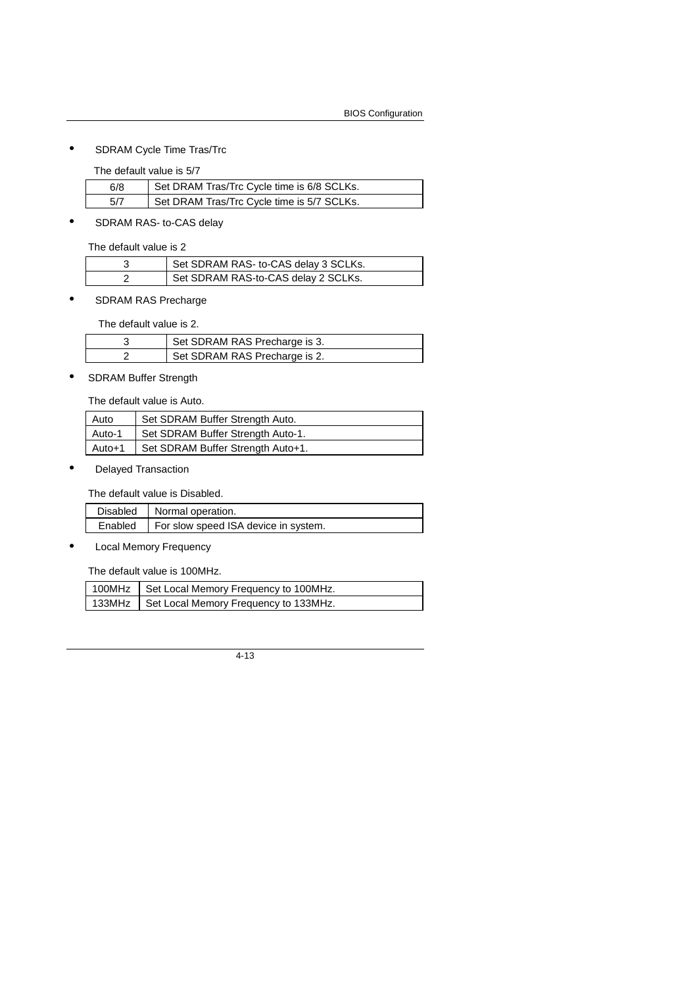• SDRAM Cycle Time Tras/Trc

The default value is 5/7

| 6/8 | Set DRAM Tras/Trc Cycle time is 6/8 SCLKs. |
|-----|--------------------------------------------|
| 5/7 | Set DRAM Tras/Trc Cycle time is 5/7 SCLKs. |

• SDRAM RAS- to-CAS delay

The default value is 2

| Set SDRAM RAS- to-CAS delay 3 SCLKs. |
|--------------------------------------|
| Set SDRAM RAS-to-CAS delay 2 SCLKs.  |

• SDRAM RAS Precharge

The default value is 2.

| Set SDRAM RAS Precharge is 3. |
|-------------------------------|
| Set SDRAM RAS Precharge is 2. |

• SDRAM Buffer Strength

The default value is Auto.

| Auto   | Set SDRAM Buffer Strength Auto.   |
|--------|-----------------------------------|
| Auto-1 | Set SDRAM Buffer Strength Auto-1. |
| Auto+1 | Set SDRAM Buffer Strength Auto+1. |

• Delayed Transaction

The default value is Disabled.

| Disabled   Normal operation.                   |
|------------------------------------------------|
| Enabled   For slow speed ISA device in system. |

• Local Memory Frequency

The default value is 100MHz.

| 100MHz   Set Local Memory Frequency to 100MHz. |
|------------------------------------------------|
| 133MHz   Set Local Memory Frequency to 133MHz. |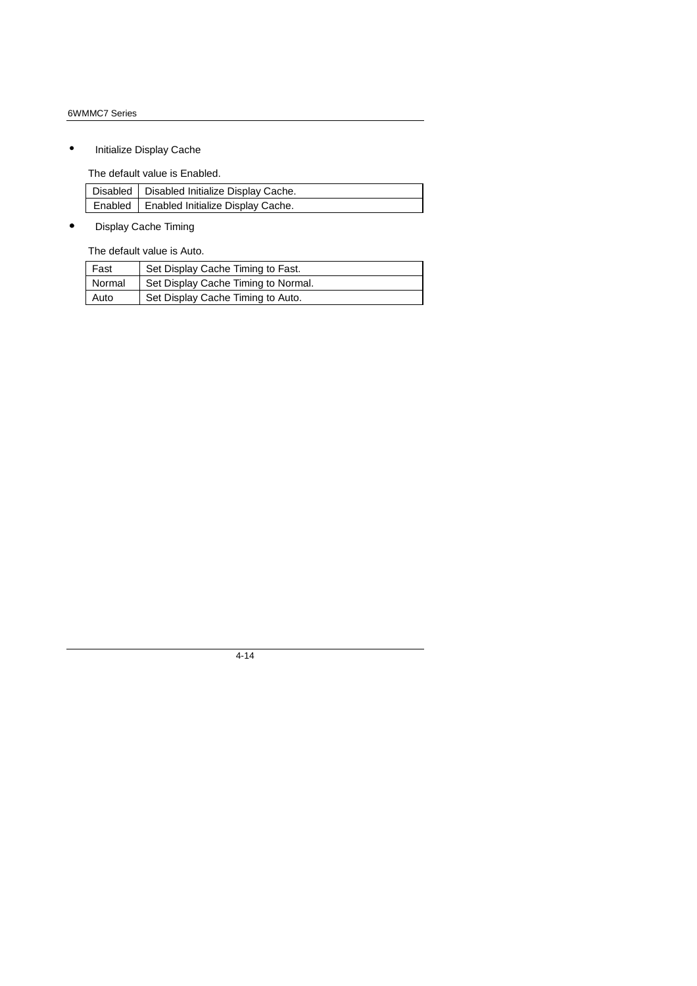• Initialize Display Cache

The default value is Enabled.

| Disabled   Disabled Initialize Display Cache. |
|-----------------------------------------------|
| Enabled   Enabled Initialize Display Cache.   |

• Display Cache Timing

The default value is Auto.

| Fast   | Set Display Cache Timing to Fast.   |
|--------|-------------------------------------|
| Normal | Set Display Cache Timing to Normal. |
| Auto   | Set Display Cache Timing to Auto.   |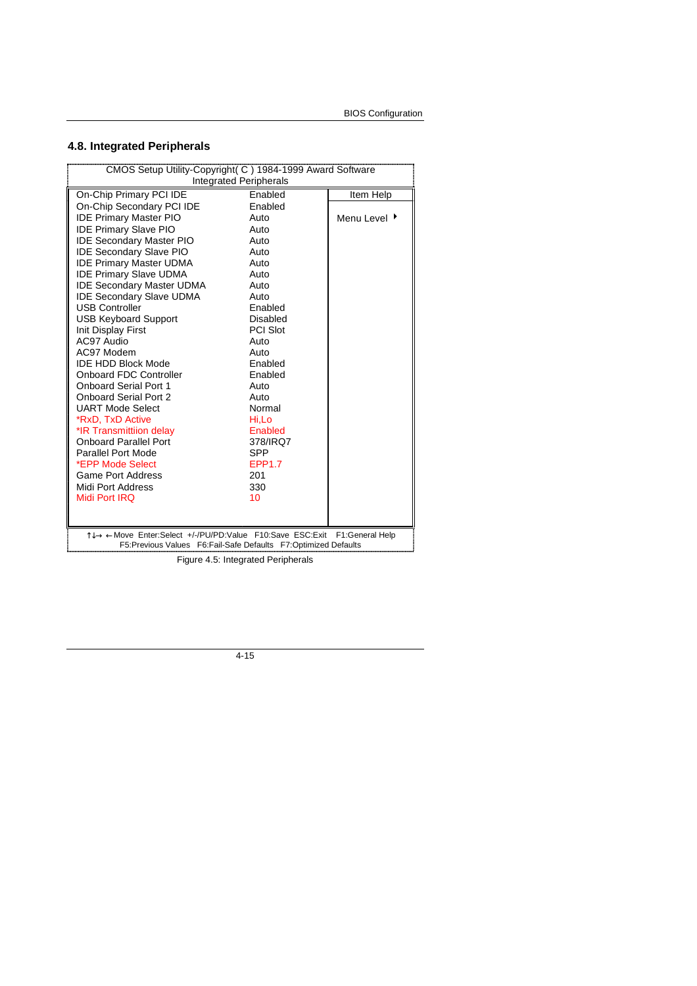# **4.8. Integrated Peripherals**

| CMOS Setup Utility-Copyright(C) 1984-1999 Award Software                                                                    |                               |                 |
|-----------------------------------------------------------------------------------------------------------------------------|-------------------------------|-----------------|
|                                                                                                                             | <b>Integrated Peripherals</b> |                 |
| On-Chip Primary PCI IDE                                                                                                     | Enabled                       | Item Help       |
| On-Chip Secondary PCI IDE                                                                                                   | Enabled                       |                 |
| <b>IDE Primary Master PIO</b>                                                                                               | Auto                          | Menu Level ▶    |
| <b>IDE Primary Slave PIO</b>                                                                                                | Auto                          |                 |
| <b>IDE Secondary Master PIO</b>                                                                                             | Auto                          |                 |
| <b>IDE Secondary Slave PIO</b>                                                                                              | Auto                          |                 |
| <b>IDE Primary Master UDMA</b>                                                                                              | Auto                          |                 |
| <b>IDE Primary Slave UDMA</b>                                                                                               | Auto                          |                 |
| <b>IDE Secondary Master UDMA</b>                                                                                            | Auto                          |                 |
| <b>IDE Secondary Slave UDMA</b>                                                                                             | Auto                          |                 |
| <b>USB Controller</b>                                                                                                       | Enabled                       |                 |
| <b>USB Keyboard Support</b>                                                                                                 | <b>Disabled</b>               |                 |
| Init Display First                                                                                                          | <b>PCI Slot</b>               |                 |
| AC97 Audio                                                                                                                  | Auto                          |                 |
| AC97 Modem                                                                                                                  | Auto                          |                 |
| <b>IDE HDD Block Mode</b>                                                                                                   | Enabled                       |                 |
| <b>Onboard FDC Controller</b>                                                                                               | Enabled                       |                 |
| <b>Onboard Serial Port 1</b>                                                                                                | Auto                          |                 |
| <b>Onboard Serial Port 2</b>                                                                                                | Auto                          |                 |
| <b>UART Mode Select</b>                                                                                                     | Normal                        |                 |
| *RxD, TxD Active                                                                                                            | Hi,Lo                         |                 |
| *IR Transmittiion delay                                                                                                     | Enabled                       |                 |
| <b>Onboard Parallel Port</b><br>378/IRQ7                                                                                    |                               |                 |
| <b>Parallel Port Mode</b>                                                                                                   | <b>SPP</b>                    |                 |
| *EPP Mode Select                                                                                                            | <b>EPP1.7</b>                 |                 |
| <b>Game Port Address</b>                                                                                                    | 201                           |                 |
| Midi Port Address                                                                                                           | 330                           |                 |
| Midi Port IRQ                                                                                                               | 10                            |                 |
|                                                                                                                             |                               |                 |
|                                                                                                                             |                               |                 |
| 1↓→←Move Enter:Select +/-/PU/PD:Value F10:Save ESC:Exit<br>F5:Previous Values  F6:Fail-Safe Defaults  F7:Optimized Defaults |                               | F1:General Help |
|                                                                                                                             |                               |                 |

Figure 4.5: Integrated Peripherals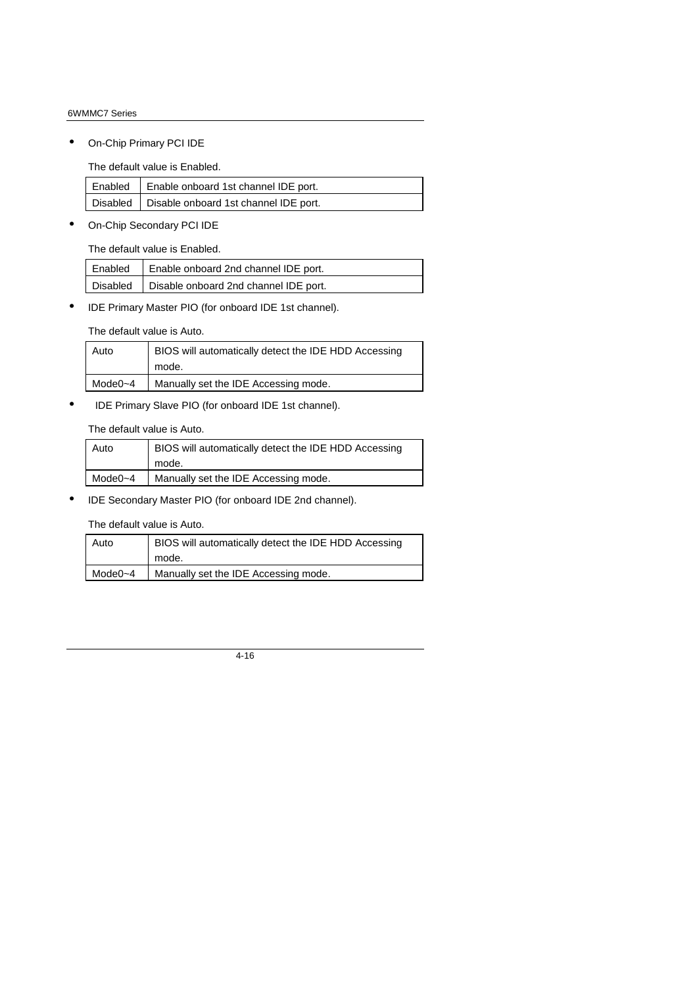• On-Chip Primary PCI IDE

The default value is Enabled.

| Enabled   Enable onboard 1st channel IDE port.   |
|--------------------------------------------------|
| Disabled   Disable onboard 1st channel IDE port. |

• On-Chip Secondary PCI IDE

The default value is Enabled.

| Enabled   Enable onboard 2nd channel IDE port.   |
|--------------------------------------------------|
| Disabled   Disable onboard 2nd channel IDE port. |

• IDE Primary Master PIO (for onboard IDE 1st channel).

The default value is Auto.

| Auto    | BIOS will automatically detect the IDE HDD Accessing |
|---------|------------------------------------------------------|
|         | mode.                                                |
| Mode0~4 | Manually set the IDE Accessing mode.                 |

• IDE Primary Slave PIO (for onboard IDE 1st channel).

The default value is Auto.

| Auto    | BIOS will automatically detect the IDE HDD Accessing |
|---------|------------------------------------------------------|
|         | mode.                                                |
| Mode0~4 | Manually set the IDE Accessing mode.                 |

• IDE Secondary Master PIO (for onboard IDE 2nd channel).

The default value is Auto.

| Auto    | BIOS will automatically detect the IDE HDD Accessing |
|---------|------------------------------------------------------|
|         | mode.                                                |
| Mode0~4 | Manually set the IDE Accessing mode.                 |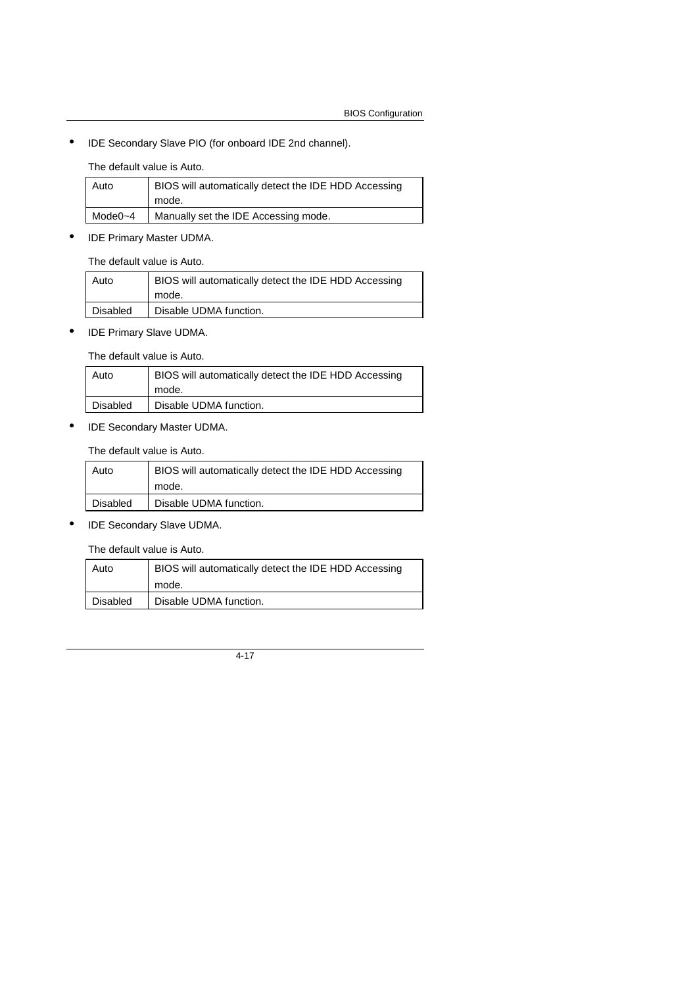• IDE Secondary Slave PIO (for onboard IDE 2nd channel).

The default value is Auto.

| Auto    | BIOS will automatically detect the IDE HDD Accessing<br>mode. |
|---------|---------------------------------------------------------------|
| Mode0~4 | Manually set the IDE Accessing mode.                          |

• IDE Primary Master UDMA.

The default value is Auto.

| Auto     | BIOS will automatically detect the IDE HDD Accessing<br>mode. |
|----------|---------------------------------------------------------------|
| Disabled | Disable UDMA function.                                        |

• IDE Primary Slave UDMA.

The default value is Auto.

| Auto     | BIOS will automatically detect the IDE HDD Accessing |
|----------|------------------------------------------------------|
|          | mode.                                                |
| Disabled | Disable UDMA function.                               |

• IDE Secondary Master UDMA.

The default value is Auto.

| Auto     | BIOS will automatically detect the IDE HDD Accessing |
|----------|------------------------------------------------------|
|          | mode.                                                |
| Disabled | Disable UDMA function.                               |

• IDE Secondary Slave UDMA.

The default value is Auto.

| Auto     | BIOS will automatically detect the IDE HDD Accessing |
|----------|------------------------------------------------------|
|          | mode.                                                |
| Disabled | Disable UDMA function.                               |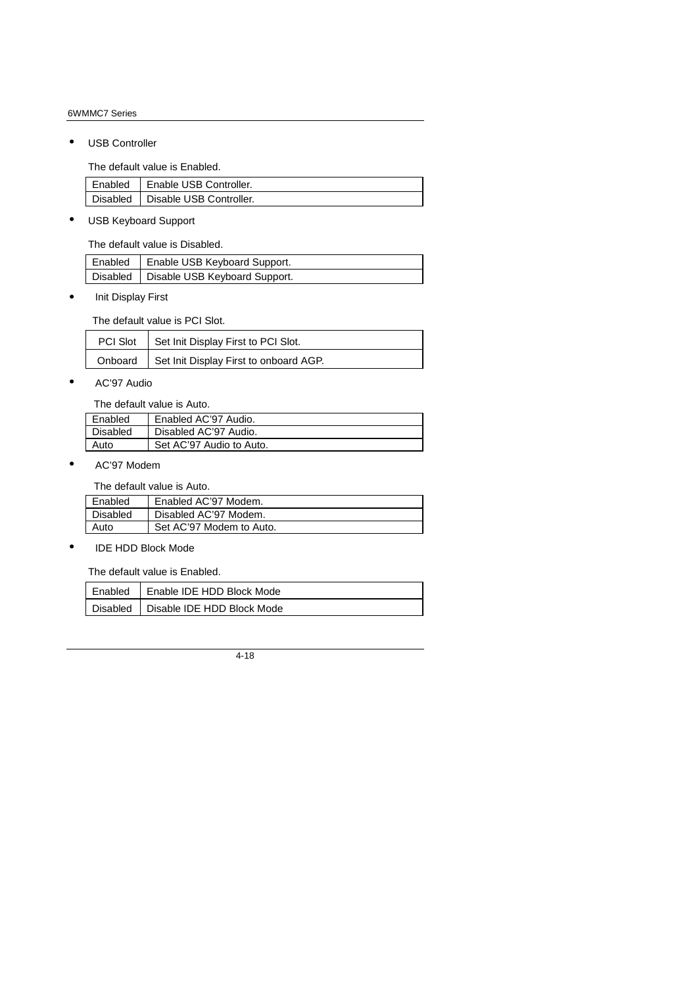• USB Controller

The default value is Enabled.

| Enabled | Enable USB Controller.             |
|---------|------------------------------------|
|         | Disabled   Disable USB Controller. |

• USB Keyboard Support

The default value is Disabled.

| Enabled   Enable USB Keyboard Support.   |
|------------------------------------------|
| Disabled   Disable USB Keyboard Support. |

• Init Display First

The default value is PCI Slot.

| PCI Slot   Set Init Display First to PCI Slot.   |
|--------------------------------------------------|
| Onboard   Set Init Display First to onboard AGP. |

• AC'97 Audio

The default value is Auto.

| Enabled  | Enabled AC'97 Audio.     |
|----------|--------------------------|
| Disabled | Disabled AC'97 Audio.    |
| Auto     | Set AC'97 Audio to Auto. |

• AC'97 Modem

The default value is Auto.

| Enabled  | Enabled AC'97 Modem.     |
|----------|--------------------------|
| Disabled | Disabled AC'97 Modem.    |
| Auto     | Set AC'97 Modem to Auto. |

• IDE HDD Block Mode

The default value is Enabled.

| Enabled | Enable IDE HDD Block Mode             |
|---------|---------------------------------------|
|         | Disabled   Disable IDE HDD Block Mode |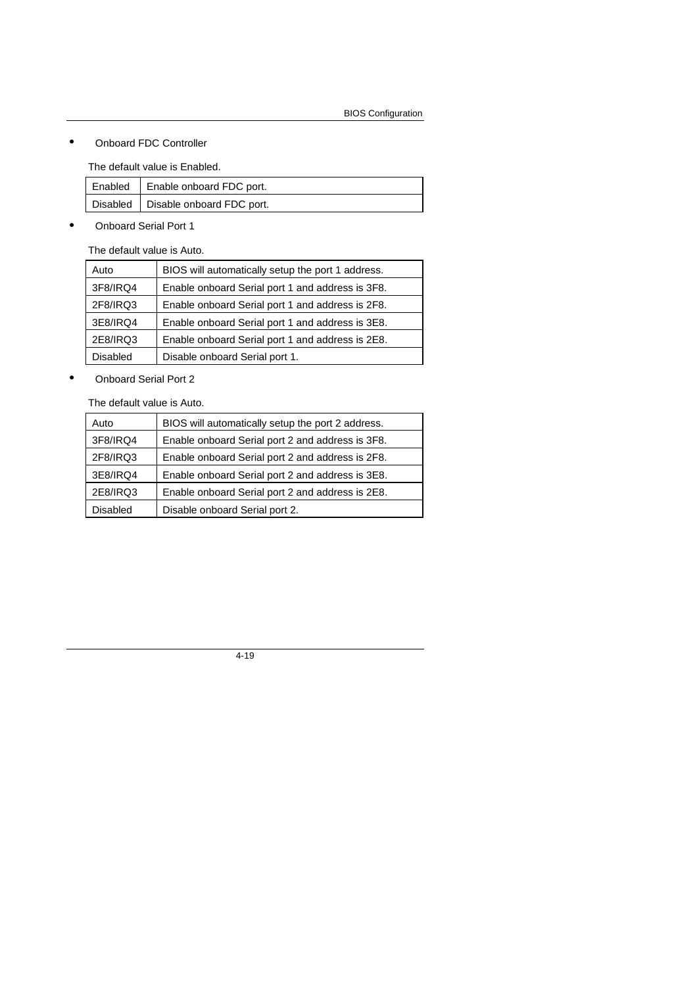• Onboard FDC Controller

The default value is Enabled.

| Enabled   Enable onboard FDC port.   |
|--------------------------------------|
| Disabled   Disable onboard FDC port. |

• Onboard Serial Port 1

The default value is Auto.

| Auto            | BIOS will automatically setup the port 1 address. |
|-----------------|---------------------------------------------------|
| 3F8/IRQ4        | Enable onboard Serial port 1 and address is 3F8.  |
| 2F8/IRQ3        | Enable onboard Serial port 1 and address is 2F8.  |
| 3E8/IRQ4        | Enable onboard Serial port 1 and address is 3E8.  |
| 2E8/IRQ3        | Enable onboard Serial port 1 and address is 2E8.  |
| <b>Disabled</b> | Disable onboard Serial port 1.                    |

• Onboard Serial Port 2

The default value is Auto.

| Auto            | BIOS will automatically setup the port 2 address. |
|-----------------|---------------------------------------------------|
| 3F8/IRQ4        | Enable onboard Serial port 2 and address is 3F8.  |
| 2F8/IRQ3        | Enable onboard Serial port 2 and address is 2F8.  |
| 3E8/IRQ4        | Enable onboard Serial port 2 and address is 3E8.  |
| 2E8/IRQ3        | Enable onboard Serial port 2 and address is 2E8.  |
| <b>Disabled</b> | Disable onboard Serial port 2.                    |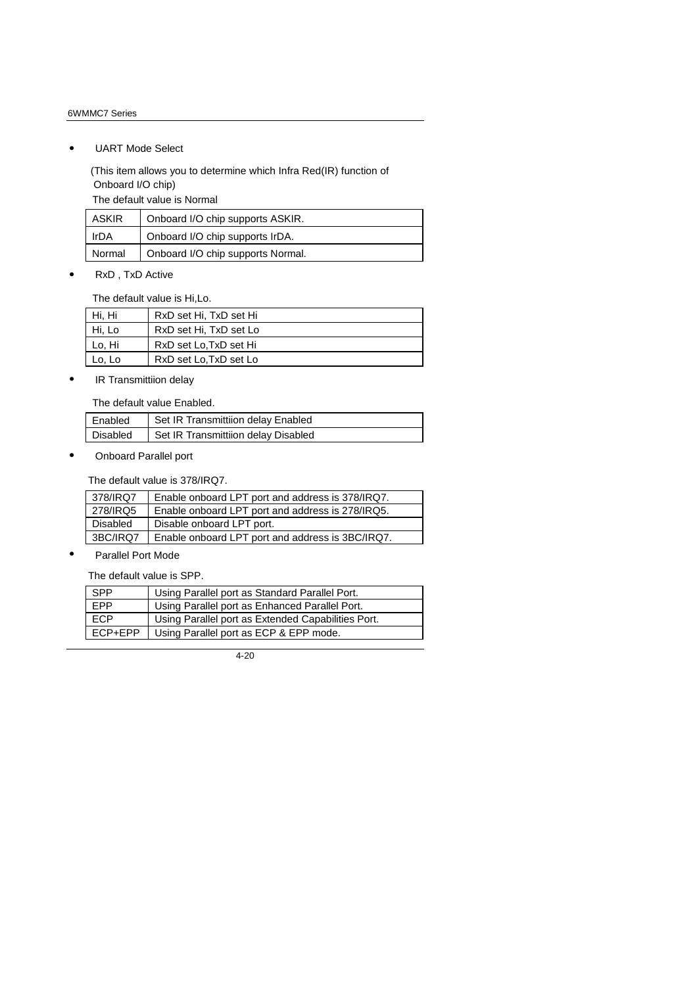• UART Mode Select

 (This item allows you to determine which Infra Red(IR) function of Onboard I/O chip)

The default value is Normal

| ASKIR  | Onboard I/O chip supports ASKIR.  |
|--------|-----------------------------------|
| IrDA   | Onboard I/O chip supports IrDA.   |
| Normal | Onboard I/O chip supports Normal. |

• RxD , TxD Active

The default value is Hi,Lo.

| Hi, Hi | RxD set Hi, TxD set Hi |
|--------|------------------------|
| Hi, Lo | RxD set Hi, TxD set Lo |
| Lo, Hi | RxD set Lo, TxD set Hi |
| Lo, Lo | RxD set Lo, TxD set Lo |

• IR Transmittiion delay

The default value Enabled.

| Enabled  | Set IR Transmittiion delay Enabled  |
|----------|-------------------------------------|
| Disabled | Set IR Transmittiion delay Disabled |

• Onboard Parallel port

The default value is 378/IRQ7.

| 378/IRQ7 | Enable onboard LPT port and address is 378/IRQ7. |
|----------|--------------------------------------------------|
| 278/IRQ5 | Enable onboard LPT port and address is 278/IRQ5. |
| Disabled | Disable onboard LPT port.                        |
| 3BC/IRQ7 | Enable onboard LPT port and address is 3BC/IRQ7. |

• Parallel Port Mode

The default value is SPP.

| <b>SPP</b> | Using Parallel port as Standard Parallel Port.     |
|------------|----------------------------------------------------|
| <b>FPP</b> | Using Parallel port as Enhanced Parallel Port.     |
| <b>ECP</b> | Using Parallel port as Extended Capabilities Port. |
| ECP+EPP    | Using Parallel port as ECP & EPP mode.             |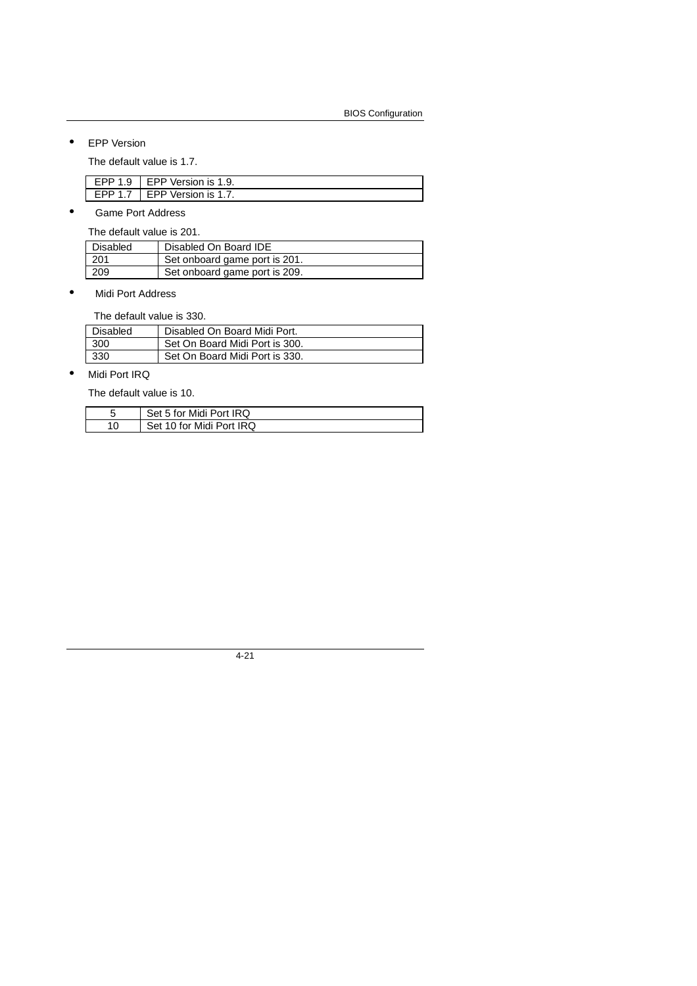• EPP Version

The default value is 1.7.

| EPP $1.9$ I EPP Version is $1.9$ . |
|------------------------------------|
| EPP 1.7   EPP Version is 1.7.      |

• Game Port Address

The default value is 201.

| Disabled | Disabled On Board IDE         |
|----------|-------------------------------|
| 201      | Set onboard game port is 201. |
| 209      | Set onboard game port is 209. |

• Midi Port Address

The default value is 330.

| Disabled | Disabled On Board Midi Port.   |
|----------|--------------------------------|
| 300      | Set On Board Midi Port is 300. |
| 330      | Set On Board Midi Port is 330. |

• Midi Port IRQ

The default value is 10.

| Set 5 for Midi Port IRQ  |
|--------------------------|
| Set 10 for Midi Port IRQ |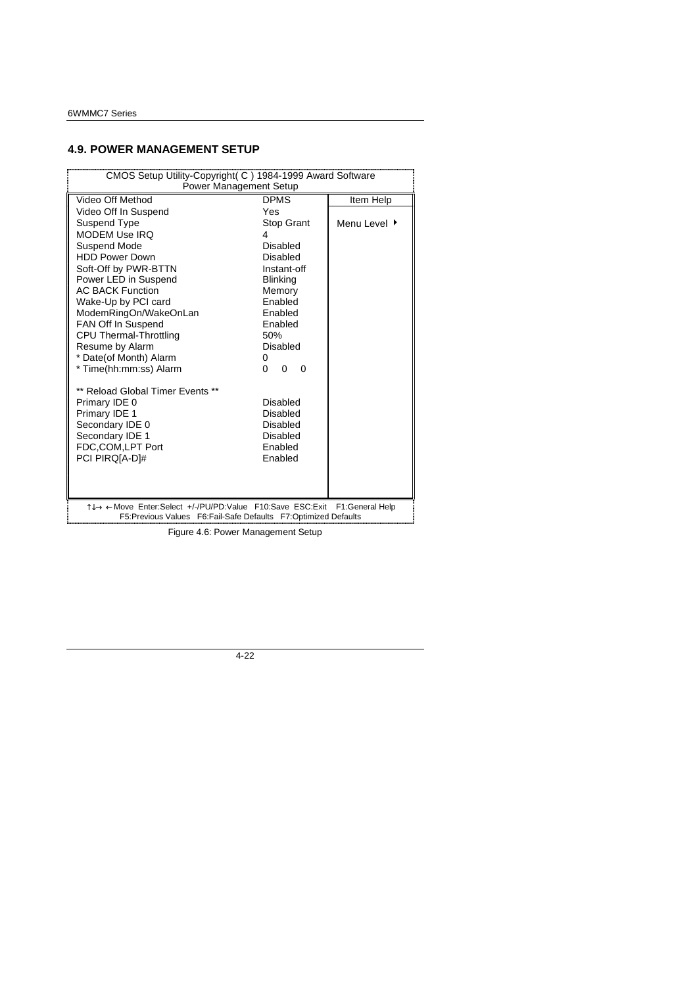## **4.9. POWER MANAGEMENT SETUP**

| CMOS Setup Utility-Copyright(C) 1984-1999 Award Software                                                                                      |                                  |              |
|-----------------------------------------------------------------------------------------------------------------------------------------------|----------------------------------|--------------|
| Power Management Setup                                                                                                                        |                                  |              |
| Video Off Method                                                                                                                              | <b>DPMS</b>                      | Item Help    |
| Video Off In Suspend                                                                                                                          | Yes                              |              |
| Suspend Type                                                                                                                                  | Stop Grant                       | Menu Level ▶ |
| <b>MODEM Use IRO</b>                                                                                                                          | 4                                |              |
| Suspend Mode                                                                                                                                  | Disabled                         |              |
| <b>HDD Power Down</b>                                                                                                                         | Disabled                         |              |
| Soft-Off by PWR-BTTN                                                                                                                          | Instant-off                      |              |
| Power LED in Suspend                                                                                                                          | <b>Blinking</b>                  |              |
| <b>AC BACK Function</b>                                                                                                                       | Memory                           |              |
| Wake-Up by PCI card                                                                                                                           | Enabled                          |              |
| ModemRingOn/WakeOnLan                                                                                                                         | Enabled                          |              |
| FAN Off In Suspend                                                                                                                            | Enabled                          |              |
| CPU Thermal-Throttling                                                                                                                        | 50%                              |              |
| Resume by Alarm                                                                                                                               | <b>Disabled</b>                  |              |
| * Date(of Month) Alarm                                                                                                                        | 0                                |              |
| * Time(hh:mm:ss) Alarm                                                                                                                        | $\Omega$<br>$\Omega$<br>$\Omega$ |              |
| ** Reload Global Timer Events **                                                                                                              |                                  |              |
| Primary IDE 0                                                                                                                                 | Disabled                         |              |
| Primary IDE 1                                                                                                                                 | Disabled                         |              |
| Secondary IDE 0                                                                                                                               | Disabled                         |              |
| Secondary IDE 1                                                                                                                               | Disabled                         |              |
| FDC,COM,LPT Port                                                                                                                              | Enabled                          |              |
| PCI PIRQ[A-D]#                                                                                                                                | Enabled                          |              |
|                                                                                                                                               |                                  |              |
|                                                                                                                                               |                                  |              |
| T↓→ ← Move Enter:Select +/-/PU/PD:Value F10:Save ESC:Exit F1:General Help<br>F5:Previous Values  F6:Fail-Safe Defaults  F7:Optimized Defaults |                                  |              |

Figure 4.6: Power Management Setup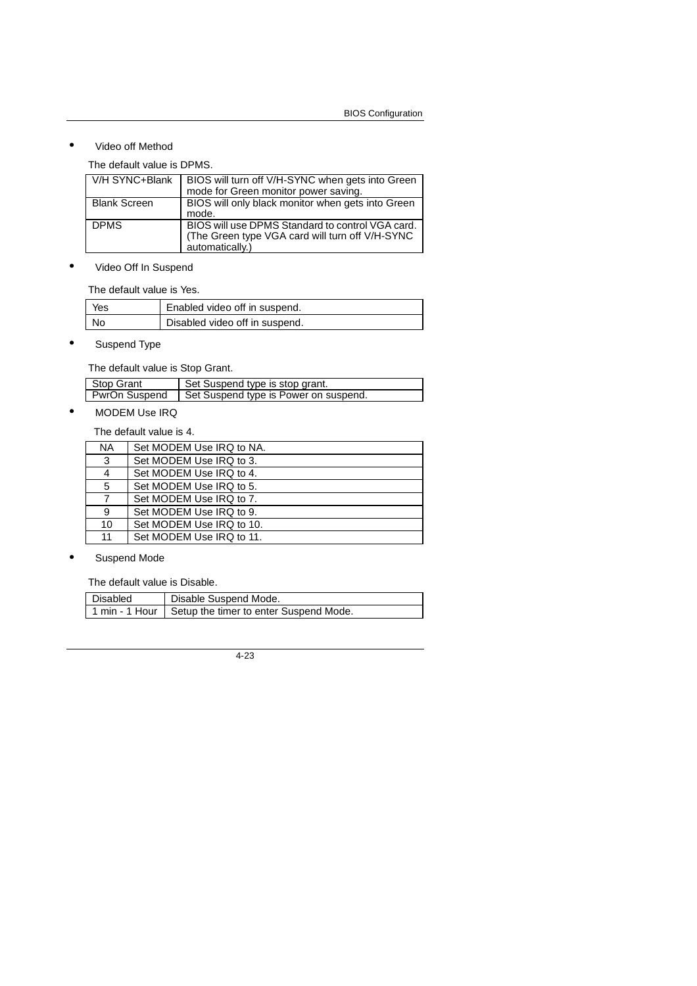## • Video off Method

The default value is DPMS.

| V/H SYNC+Blank      | BIOS will turn off V/H-SYNC when gets into Green<br>mode for Green monitor power saving. |
|---------------------|------------------------------------------------------------------------------------------|
|                     |                                                                                          |
| <b>Blank Screen</b> | BIOS will only black monitor when gets into Green                                        |
|                     | mode.                                                                                    |
| <b>DPMS</b>         | BIOS will use DPMS Standard to control VGA card.                                         |
|                     | (The Green type VGA card will turn off V/H-SYNC                                          |
|                     | automatically.)                                                                          |

• Video Off In Suspend

The default value is Yes.

| Yes | Enabled video off in suspend.  |
|-----|--------------------------------|
| No. | Disabled video off in suspend. |

• Suspend Type

The default value is Stop Grant.

| Stop Grant    | Set Suspend type is stop grant.       |
|---------------|---------------------------------------|
| PwrOn Suspend | Set Suspend type is Power on suspend. |
|               |                                       |

# • MODEM Use IRQ

The default value is 4.

| <b>NA</b> | Set MODEM Use IRQ to NA. |
|-----------|--------------------------|
| 3         | Set MODEM Use IRQ to 3.  |
| 4         | Set MODEM Use IRQ to 4.  |
| 5         | Set MODEM Use IRQ to 5.  |
|           | Set MODEM Use IRQ to 7.  |
| 9         | Set MODEM Use IRQ to 9.  |
| 10        | Set MODEM Use IRQ to 10. |
| 11        | Set MODEM Use IRQ to 11. |

• Suspend Mode

The default value is Disable.

| Disabled | Disable Suspend Mode.                                   |
|----------|---------------------------------------------------------|
|          | 1 min - 1 Hour   Setup the timer to enter Suspend Mode. |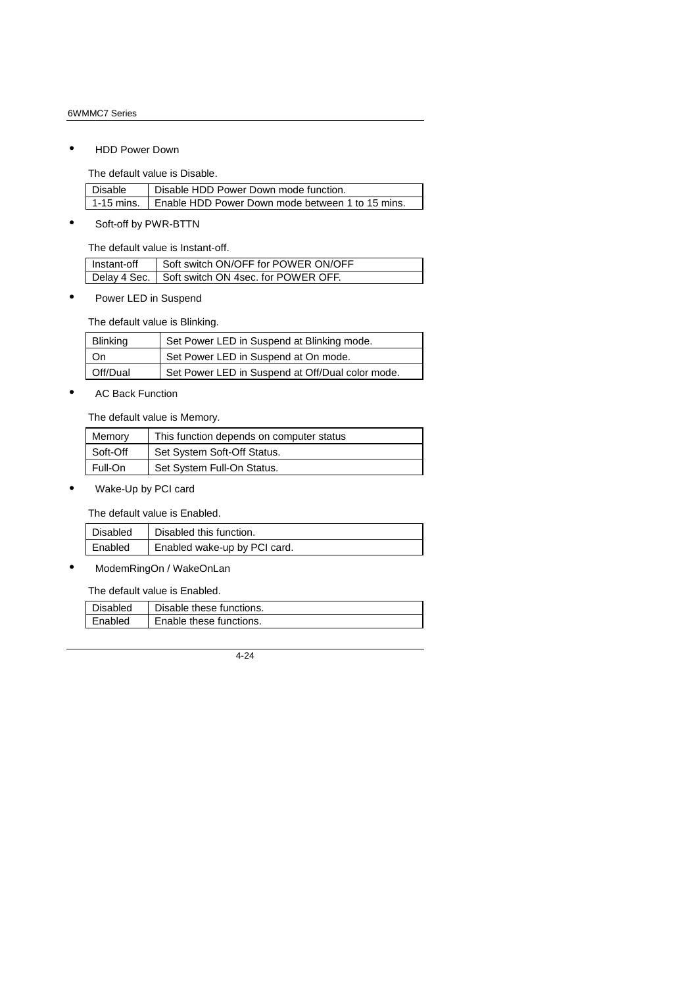• HDD Power Down

The default value is Disable.

| Disable | Disable HDD Power Down mode function.                         |
|---------|---------------------------------------------------------------|
|         | 1-15 mins.   Enable HDD Power Down mode between 1 to 15 mins. |

• Soft-off by PWR-BTTN

The default value is Instant-off.

| Instant-off | Soft switch ON/OFF for POWER ON/OFF                |
|-------------|----------------------------------------------------|
|             | Delay 4 Sec.   Soft switch ON 4sec. for POWER OFF. |

• Power LED in Suspend

The default value is Blinking.

| <b>Blinking</b> | Set Power LED in Suspend at Blinking mode.       |
|-----------------|--------------------------------------------------|
| On              | Set Power LED in Suspend at On mode.             |
| Off/Dual        | Set Power LED in Suspend at Off/Dual color mode. |

• AC Back Function

The default value is Memory.

| Memory   | This function depends on computer status |
|----------|------------------------------------------|
| Soft-Off | Set System Soft-Off Status.              |
| Full-On  | Set System Full-On Status.               |

• Wake-Up by PCI card

The default value is Enabled.

| Disabled | Disabled this function.      |
|----------|------------------------------|
| Enabled  | Enabled wake-up by PCI card. |

• ModemRingOn / WakeOnLan

The default value is Enabled.

| <b>Disabled</b> | Disable these functions. |
|-----------------|--------------------------|
| Enabled         | Enable these functions.  |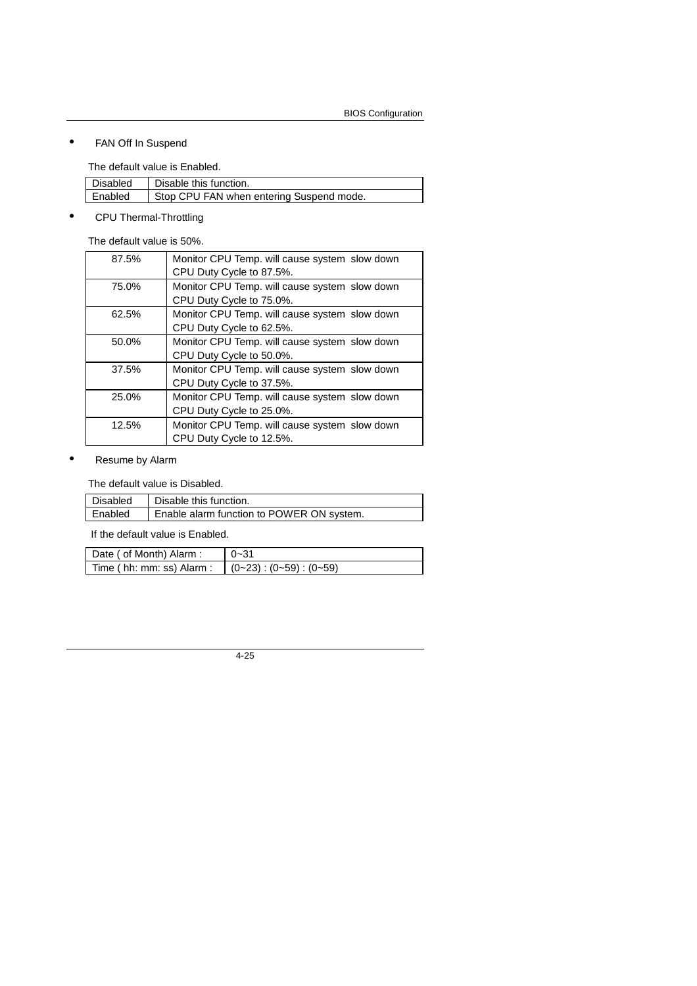## • FAN Off In Suspend

The default value is Enabled.

| <b>Disabled</b> | Disable this function.                   |
|-----------------|------------------------------------------|
| <b>Enabled</b>  | Stop CPU FAN when entering Suspend mode. |

## • CPU Thermal-Throttling

The default value is 50%.

| Monitor CPU Temp. will cause system slow down<br>CPU Duty Cycle to 87.5%. |
|---------------------------------------------------------------------------|
| Monitor CPU Temp. will cause system slow down                             |
| CPU Duty Cycle to 75.0%.                                                  |
| Monitor CPU Temp. will cause system slow down                             |
| CPU Duty Cycle to 62.5%.                                                  |
| Monitor CPU Temp. will cause system slow down                             |
| CPU Duty Cycle to 50.0%.                                                  |
| Monitor CPU Temp. will cause system slow down                             |
| CPU Duty Cycle to 37.5%.                                                  |
| Monitor CPU Temp. will cause system slow down                             |
| CPU Duty Cycle to 25.0%.                                                  |
| Monitor CPU Temp. will cause system slow down                             |
| CPU Duty Cycle to 12.5%.                                                  |
|                                                                           |

#### • Resume by Alarm

The default value is Disabled.

| Disabled | Disable this function.                    |
|----------|-------------------------------------------|
| Enabled  | Enable alarm function to POWER ON system. |

If the default value is Enabled.

| Date ( of Month) Alarm :  | $0 - 31$                       |
|---------------------------|--------------------------------|
| Time (hh: mm: ss) Alarm : | $(0-23)$ : $(0-59)$ : $(0-59)$ |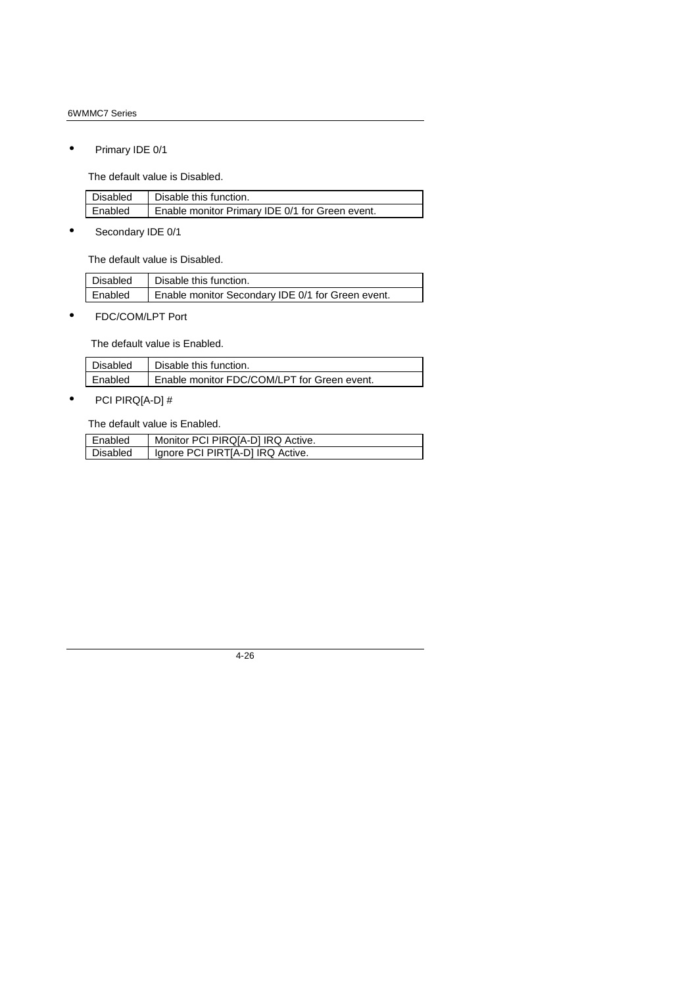#### 6WMMC7 Series

• Primary IDE 0/1

The default value is Disabled.

| l Disabled | Disable this function.                          |
|------------|-------------------------------------------------|
| Enabled    | Enable monitor Primary IDE 0/1 for Green event. |

• Secondary IDE 0/1

The default value is Disabled.

| Disabled | Disable this function.                            |
|----------|---------------------------------------------------|
| Enabled  | Enable monitor Secondary IDE 0/1 for Green event. |

• FDC/COM/LPT Port

The default value is Enabled.

| <b>Disabled</b> | Disable this function.                      |
|-----------------|---------------------------------------------|
| Enabled         | Enable monitor FDC/COM/LPT for Green event. |

 $\overline{\phantom{a}}$ 

• PCI PIRQ[A-D] #

The default value is Enabled.

| Enabled  | Monitor PCI PIRQ[A-D] IRQ Active. |
|----------|-----------------------------------|
| Disabled | Ignore PCI PIRTIA-D] IRQ Active.  |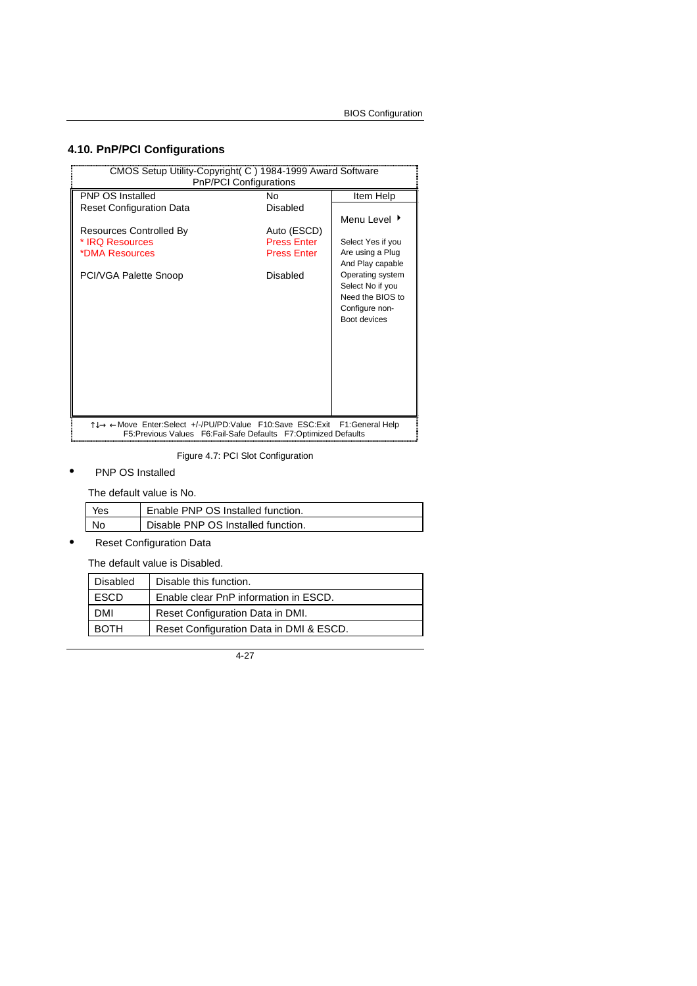# **4.10. PnP/PCI Configurations**

| CMOS Setup Utility-Copyright (C) 1984-1999 Award Software<br>PnP/PCI Configurations                                             |                    |                                                                                            |
|---------------------------------------------------------------------------------------------------------------------------------|--------------------|--------------------------------------------------------------------------------------------|
| <b>PNP OS Installed</b>                                                                                                         | N٥                 | Item Help                                                                                  |
| <b>Reset Configuration Data</b>                                                                                                 | Disabled           |                                                                                            |
|                                                                                                                                 |                    | Menu Level ▶                                                                               |
| Resources Controlled By                                                                                                         | Auto (ESCD)        |                                                                                            |
| * IRQ Resources                                                                                                                 | <b>Press Enter</b> | Select Yes if you<br>Are using a Plug                                                      |
| *DMA Resources                                                                                                                  | <b>Press Enter</b> | And Play capable                                                                           |
| PCI/VGA Palette Snoop                                                                                                           | Disabled           | Operating system<br>Select No if you<br>Need the BIOS to<br>Configure non-<br>Boot devices |
| T↓→ ← Move Enter: Select +/-/PU/PD: Value F10: Save ESC: Exit<br>F5:Previous Values F6:Fail-Safe Defaults F7:Optimized Defaults |                    | F1:General Help                                                                            |

Figure 4.7: PCI Slot Configuration

• PNP OS Installed

The default value is No.

| Yes | Enable PNP OS Installed function.  |
|-----|------------------------------------|
| No  | Disable PNP OS Installed function. |

• Reset Configuration Data

The default value is Disabled.

| <b>Disabled</b> | Disable this function.                  |
|-----------------|-----------------------------------------|
| <b>ESCD</b>     | Enable clear PnP information in ESCD.   |
| DMI             | Reset Configuration Data in DMI.        |
| <b>BOTH</b>     | Reset Configuration Data in DMI & ESCD. |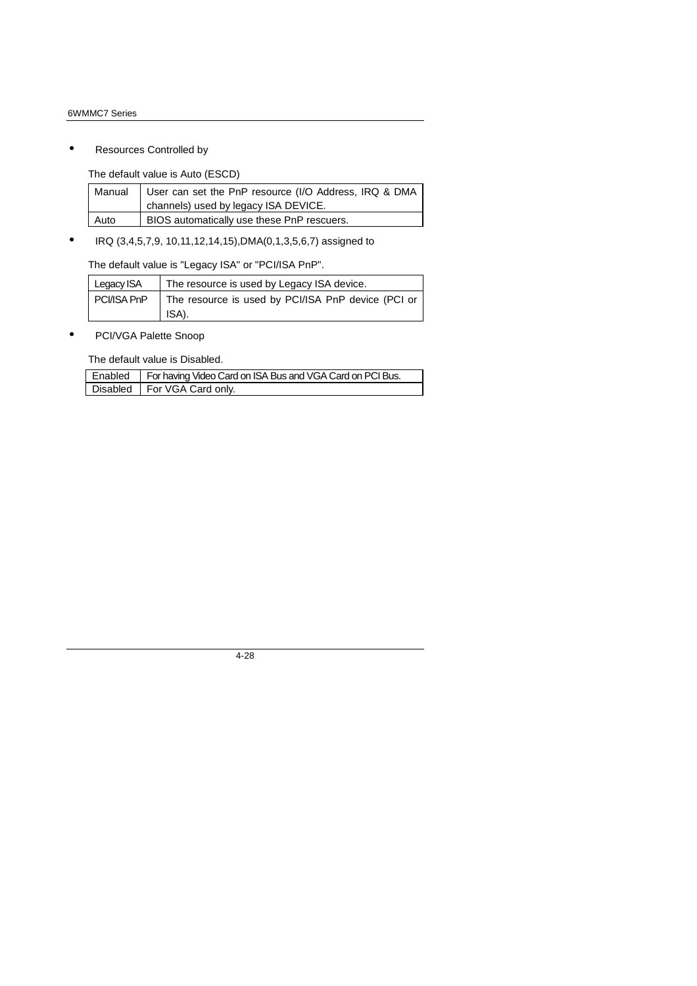#### 6WMMC7 Series

• Resources Controlled by

The default value is Auto (ESCD)

|      | Manual   User can set the PnP resource (I/O Address, IRQ & DMA |
|------|----------------------------------------------------------------|
|      | channels) used by legacy ISA DEVICE.                           |
| Auto | BIOS automatically use these PnP rescuers.                     |

• IRQ (3,4,5,7,9, 10,11,12,14,15),DMA(0,1,3,5,6,7) assigned to

The default value is "Legacy ISA" or "PCI/ISA PnP".

| Legacy ISA | The resource is used by Legacy ISA device.                       |  |  |
|------------|------------------------------------------------------------------|--|--|
|            | PCI/ISA PnP   The resource is used by PCI/ISA PnP device (PCI or |  |  |
|            | ISA).                                                            |  |  |

• PCI/VGA Palette Snoop

The default value is Disabled.

| Enabled | For having Video Card on ISA Bus and VGA Card on PCI Bus. |
|---------|-----------------------------------------------------------|
|         | Disabled   For VGA Card only.                             |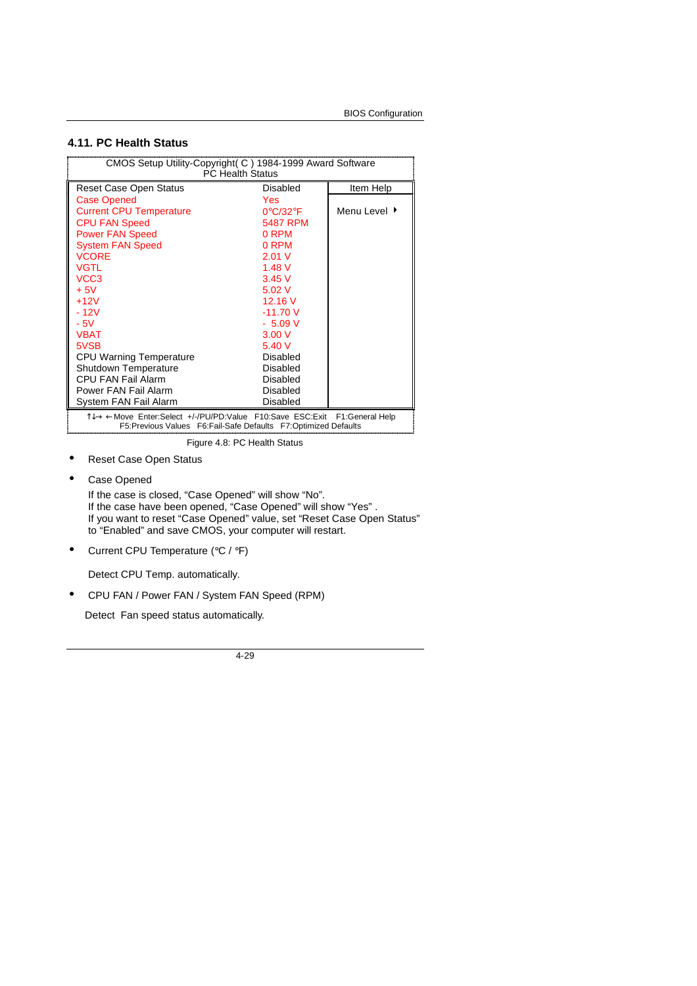#### **4.11. PC Health Status**

| CMOS Setup Utility-Copyright (C) 1984-1999 Award Software<br>PC Health Status                                                                  |                 |              |
|------------------------------------------------------------------------------------------------------------------------------------------------|-----------------|--------------|
| <b>Reset Case Open Status</b>                                                                                                                  | Disabled        | Item Help    |
| <b>Case Opened</b>                                                                                                                             | Yes             |              |
| <b>Current CPU Temperature</b>                                                                                                                 | 0°C/32°F        | Menu Level ▶ |
| <b>CPU FAN Speed</b>                                                                                                                           | 5487 RPM        |              |
| <b>Power FAN Speed</b>                                                                                                                         | 0 RPM           |              |
| <b>System FAN Speed</b>                                                                                                                        | 0 RPM           |              |
| <b>VCORE</b>                                                                                                                                   | 2.01V           |              |
| <b>VGTL</b>                                                                                                                                    | 1.48V           |              |
| VCC <sub>3</sub>                                                                                                                               | 3.45V           |              |
| $+5V$                                                                                                                                          | 5.02V           |              |
| $+12V$                                                                                                                                         | 12.16 V         |              |
| $-12V$                                                                                                                                         | $-11.70V$       |              |
| $-5V$                                                                                                                                          | $-5.09V$        |              |
| <b>VBAT</b>                                                                                                                                    | 3.00V           |              |
| 5VSB                                                                                                                                           | 5.40V           |              |
| <b>CPU Warning Temperature</b>                                                                                                                 | Disabled        |              |
| Shutdown Temperature                                                                                                                           | Disabled        |              |
| <b>CPU FAN Fail Alarm</b>                                                                                                                      | <b>Disabled</b> |              |
| Power FAN Fail Alarm                                                                                                                           | Disabled        |              |
| System FAN Fail Alarm                                                                                                                          | Disabled        |              |
| T↓→ ← Move Enter:Select +/-/PU/PD:Value F10:Save ESC:Exit F1:General Help<br>F5: Previous Values F6: Fail-Safe Defaults F7: Optimized Defaults |                 |              |

Figure 4.8: PC Health Status

- Reset Case Open Status
- Case Opened

If the case is closed, "Case Opened" will show "No". If the case have been opened, "Case Opened" will show "Yes" . If you want to reset "Case Opened" value, set "Reset Case Open Status" to "Enabled" and save CMOS, your computer will restart.

• Current CPU Temperature (°C / °F)

Detect CPU Temp. automatically.

• CPU FAN / Power FAN / System FAN Speed (RPM)

Detect Fan speed status automatically.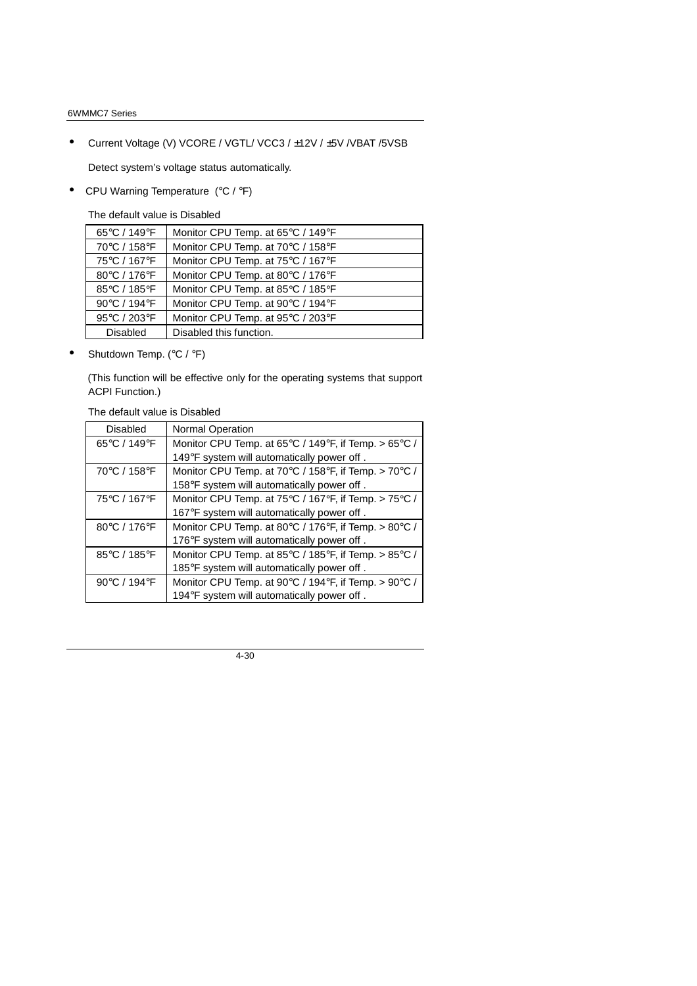#### 6WMMC7 Series

• Current Voltage (V) VCORE / VGTL/ VCC3 / ±12V / ±5V /VBAT /5VSB

Detect system's voltage status automatically.

• CPU Warning Temperature (°C / °F)

The default value is Disabled

| 65°C / 149°F    | Monitor CPU Temp. at 65°C / 149°F |
|-----------------|-----------------------------------|
| 70°C / 158°F    | Monitor CPU Temp. at 70°C / 158°F |
| 75°C / 167°F    | Monitor CPU Temp. at 75°C / 167°F |
| 80°C / 176°F    | Monitor CPU Temp. at 80°C / 176°F |
| 85°C / 185°F    | Monitor CPU Temp. at 85°C / 185°F |
| 90°C / 194°F    | Monitor CPU Temp. at 90°C / 194°F |
| 95°C / 203°F    | Monitor CPU Temp. at 95°C / 203°F |
| <b>Disabled</b> | Disabled this function.           |

• Shutdown Temp. (°C / °F)

 (This function will be effective only for the operating systems that support ACPI Function.)

The default value is Disabled

| <b>Disabled</b> | Normal Operation                                                                   |
|-----------------|------------------------------------------------------------------------------------|
| 65°C / 149°F    | Monitor CPU Temp. at 65 $\degree$ C / 149 $\degree$ F, if Temp. > 65 $\degree$ C / |
|                 | 149°F system will automatically power off.                                         |
| 70°C / 158°F    | Monitor CPU Temp. at 70°C / 158°F, if Temp. > 70°C /                               |
|                 | 158°F system will automatically power off.                                         |
| 75°C / 167°F    | Monitor CPU Temp. at 75°C / 167°F, if Temp. > 75°C /                               |
|                 | 167°F system will automatically power off.                                         |
| 80°C / 176°F    | Monitor CPU Temp. at 80°C / 176°F, if Temp. > 80°C /                               |
|                 | 176°F system will automatically power off.                                         |
| 85°C / 185°F    | Monitor CPU Temp. at 85°C / 185°F, if Temp. > 85°C /                               |
|                 | 185°F system will automatically power off.                                         |
| 90°C / 194°F    | Monitor CPU Temp. at 90°C / 194°F, if Temp. > 90°C /                               |
|                 | 194°F system will automatically power off.                                         |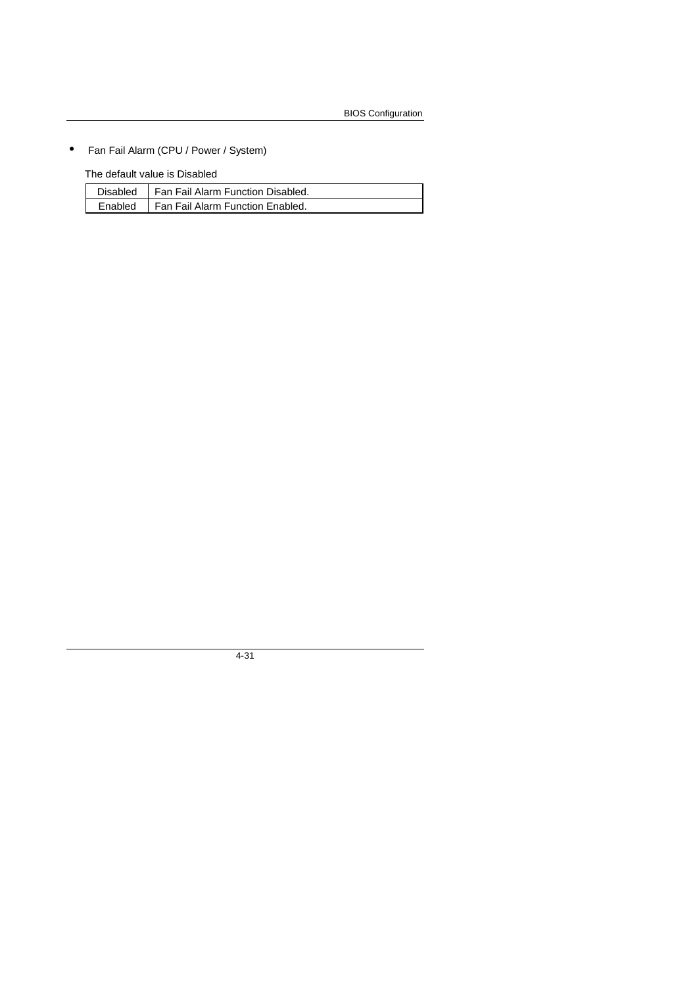• Fan Fail Alarm (CPU / Power / System)

The default value is Disabled

| Disabled   Fan Fail Alarm Function Disabled. |
|----------------------------------------------|
| Enabled   Fan Fail Alarm Function Enabled.   |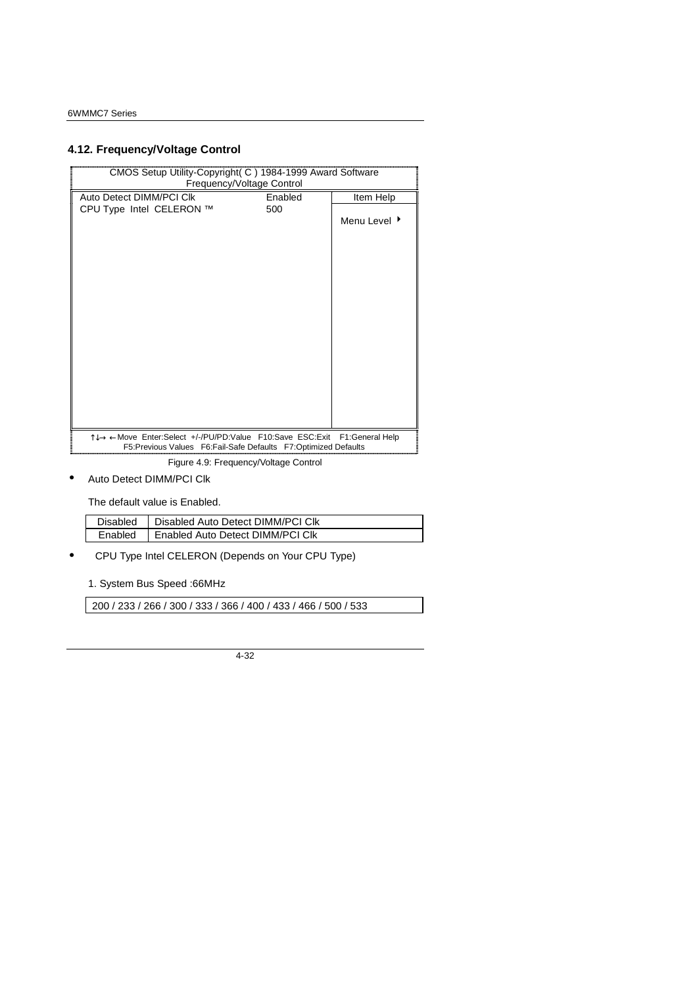# **4.12. Frequency/Voltage Control**

| CMOS Setup Utility-Copyright(C) 1984-1999 Award Software<br>Frequency/Voltage Control                                                       |         |              |
|---------------------------------------------------------------------------------------------------------------------------------------------|---------|--------------|
| Auto Detect DIMM/PCI CIK                                                                                                                    | Enabled | Item Help    |
| CPU Type Intel CELERON ™                                                                                                                    | 500     | Menu Level ▶ |
|                                                                                                                                             |         |              |
| Î↓→←Move Enter:Select +/-/PU/PD:Value F10:Save ESC:Exit F1:General Help<br>F5:Previous Values  F6:Fail-Safe Defaults  F7:Optimized Defaults |         |              |

Figure 4.9: Frequency/Voltage Control

• Auto Detect DIMM/PCI Clk

The default value is Enabled.

| Disabled | Disabled Auto Detect DIMM/PCI CIK |
|----------|-----------------------------------|
| Fnabled  | Enabled Auto Detect DIMM/PCI CIK  |

• CPU Type Intel CELERON (Depends on Your CPU Type)

1. System Bus Speed :66MHz

200 / 233 / 266 / 300 / 333 / 366 / 400 / 433 / 466 / 500 / 533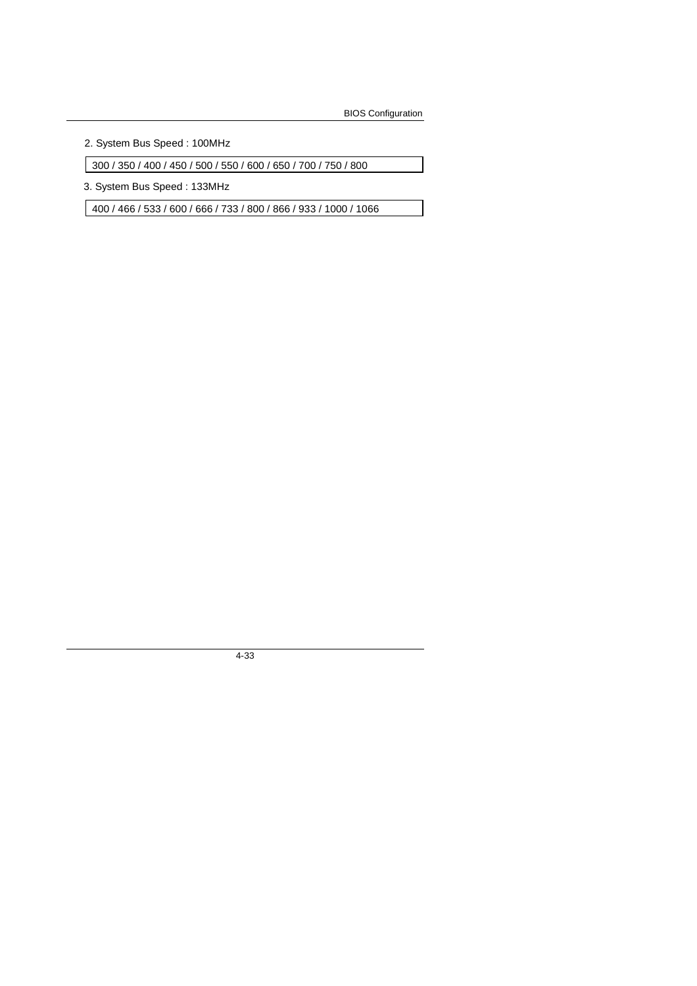2. System Bus Speed : 100MHz

300 / 350 / 400 / 450 / 500 / 550 / 600 / 650 / 700 / 750 / 800

3. System Bus Speed : 133MHz

400 / 466 / 533 / 600 / 666 / 733 / 800 / 866 / 933 / 1000 / 1066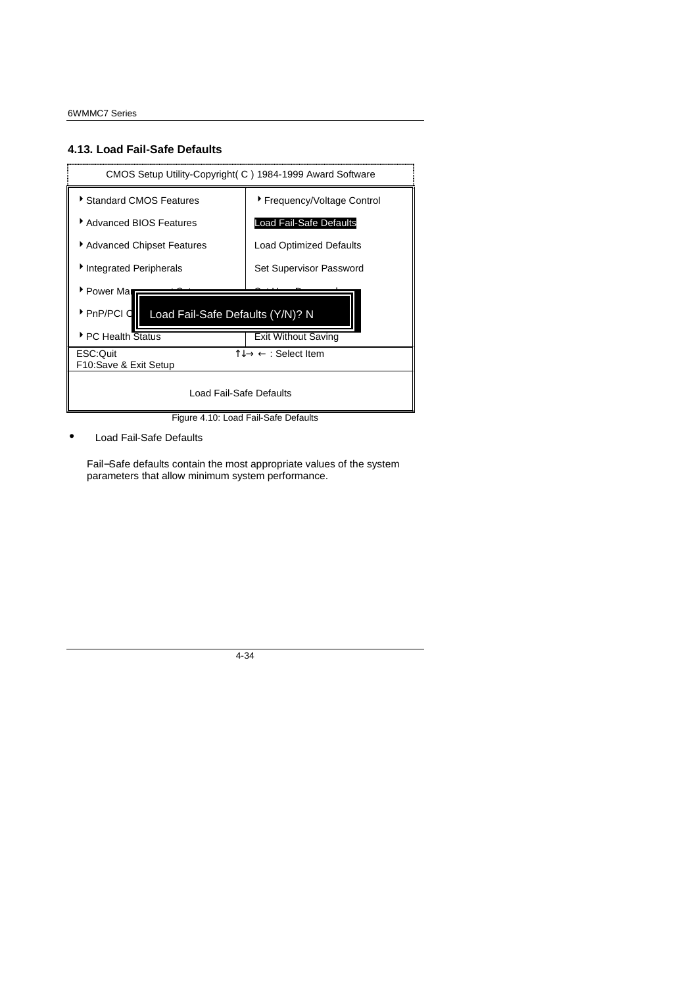#### **4.13. Load Fail-Safe Defaults**



Figure 4.10: Load Fail-Safe Defaults

Load Fail-Safe Defaults

Fail−Safe defaults contain the most appropriate values of the system parameters that allow minimum system performance.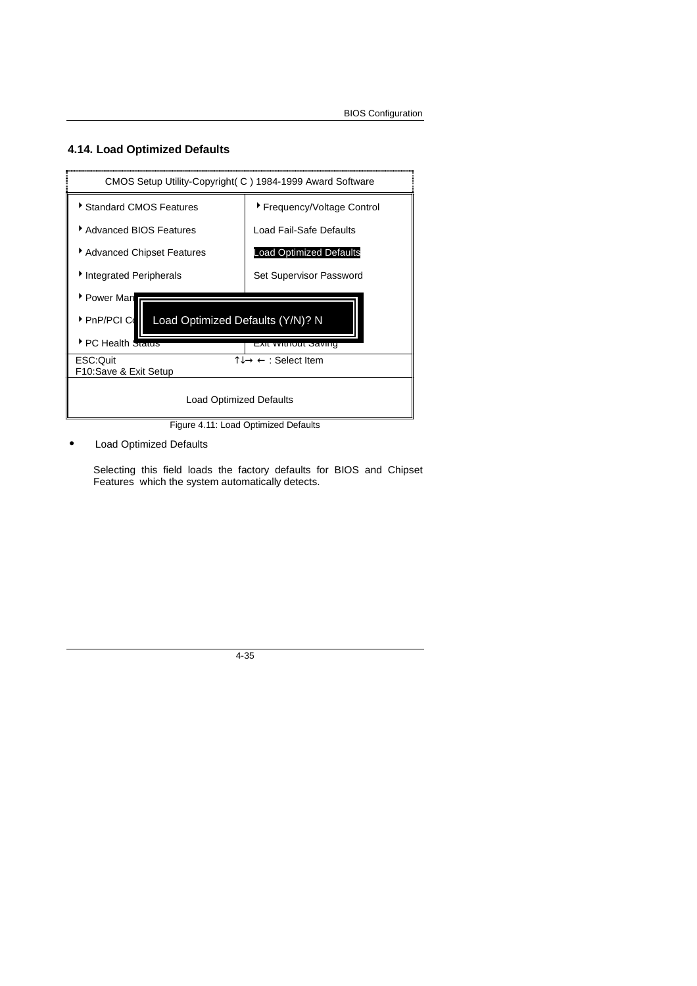#### **4.14. Load Optimized Defaults**



Figure 4.11: Load Optimized Defaults

• Load Optimized Defaults

Selecting this field loads the factory defaults for BIOS and Chipset Features which the system automatically detects.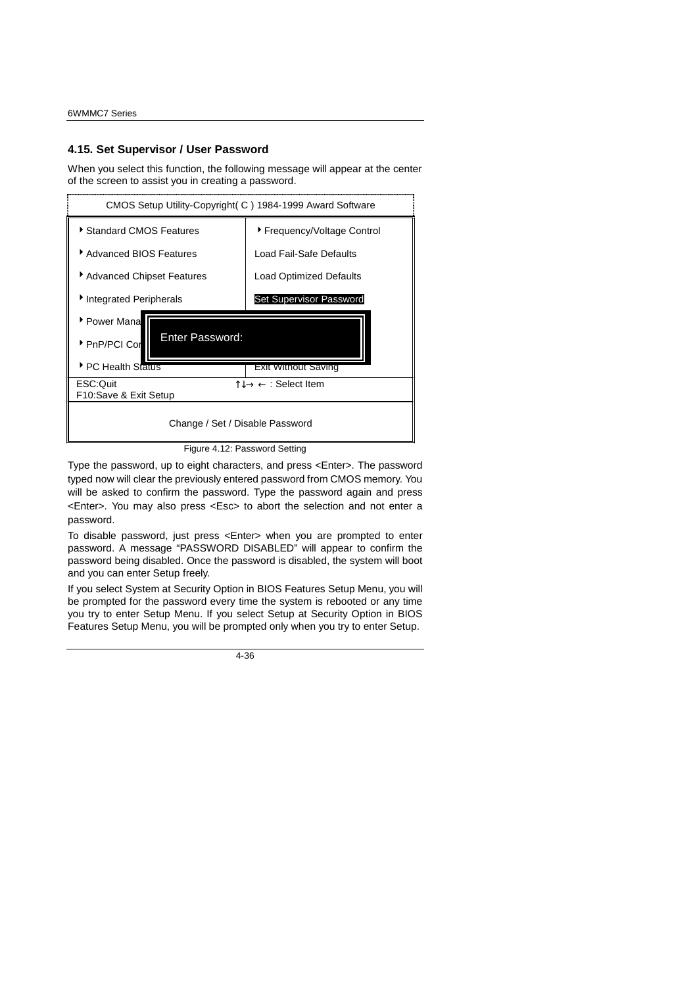#### **4.15. Set Supervisor / User Password**

When you select this function, the following message will appear at the center of the screen to assist you in creating a password.



Figure 4.12: Password Setting

Type the password, up to eight characters, and press <Enter>. The password typed now will clear the previously entered password from CMOS memory. You will be asked to confirm the password. Type the password again and press <Enter>. You may also press <Esc> to abort the selection and not enter a password.

To disable password, just press <Enter> when you are prompted to enter password. A message "PASSWORD DISABLED" will appear to confirm the password being disabled. Once the password is disabled, the system will boot and you can enter Setup freely.

If you select System at Security Option in BIOS Features Setup Menu, you will be prompted for the password every time the system is rebooted or any time you try to enter Setup Menu. If you select Setup at Security Option in BIOS Features Setup Menu, you will be prompted only when you try to enter Setup.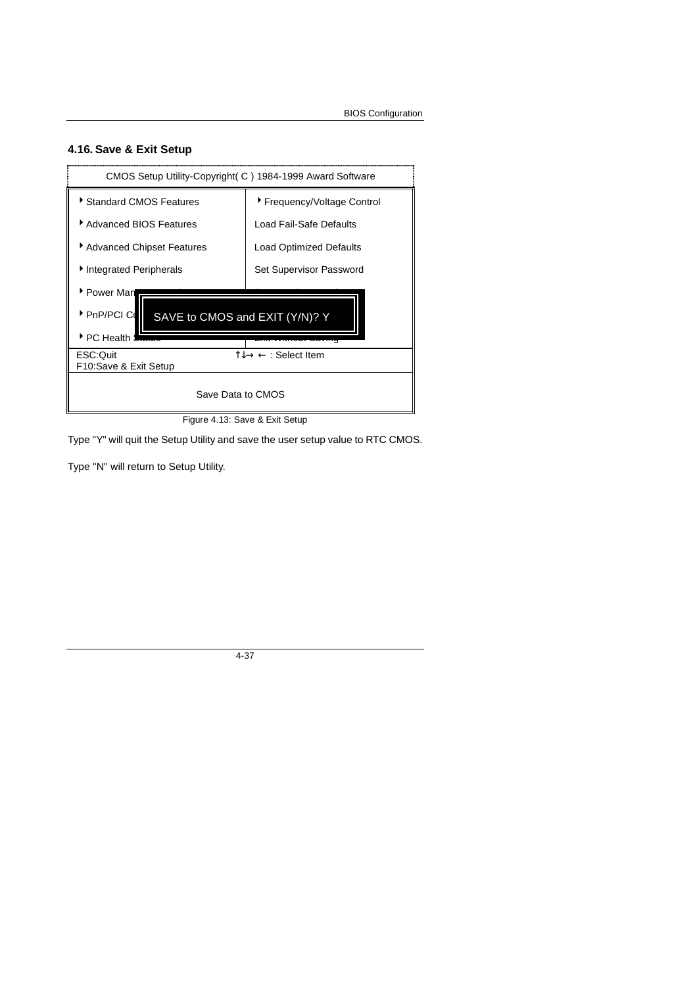### **4.16. Save & Exit Setup**



Type "Y" will quit the Setup Utility and save the user setup value to RTC CMOS.

Type "N" will return to Setup Utility.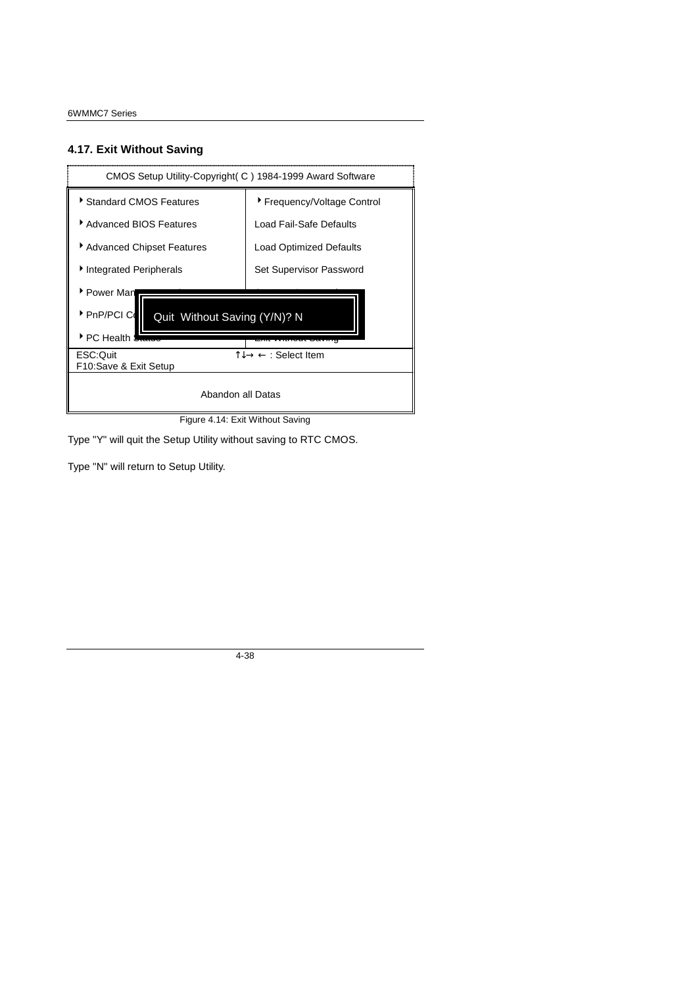### **4.17. Exit Without Saving**



Figure 4.14: Exit Without Saving

Type "Y" will quit the Setup Utility without saving to RTC CMOS.

Type "N" will return to Setup Utility.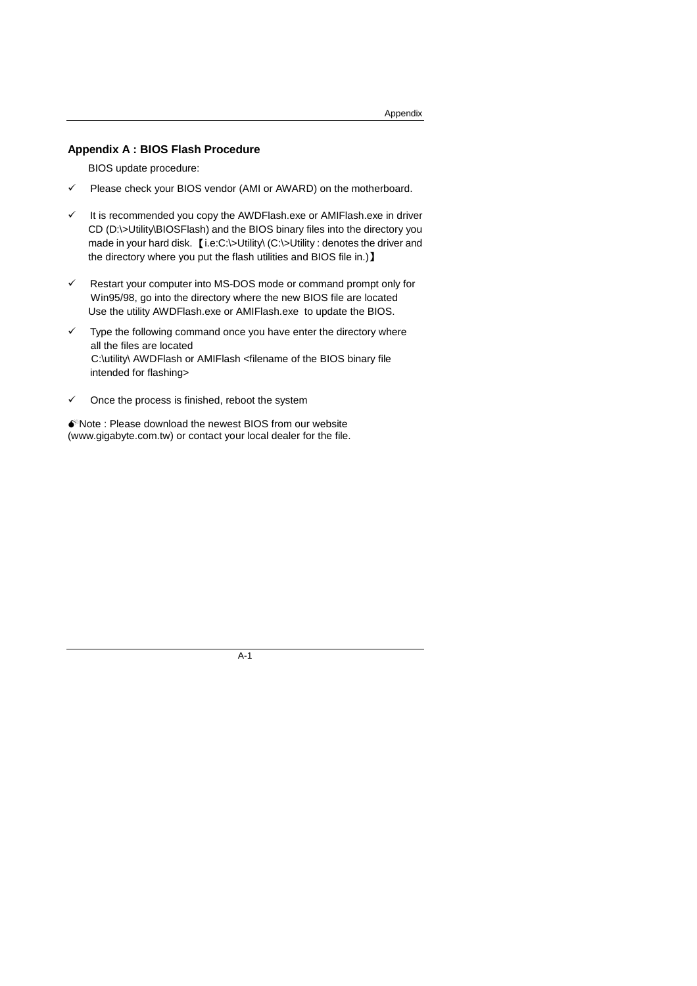#### **Appendix A : BIOS Flash Procedure**

BIOS update procedure:

- $\checkmark$  Please check your BIOS vendor (AMI or AWARD) on the motherboard.
- $\checkmark$  It is recommended you copy the AWDFlash.exe or AMIFlash.exe in driver CD (D:\>Utility\BIOSFlash) and the BIOS binary files into the directory you made in your hard disk. [i.e:C:\>Utility\ (C:\>Utility : denotes the driver and the directory where you put the flash utilities and BIOS file in.)】
- $\checkmark$  Restart your computer into MS-DOS mode or command prompt only for Win95/98, go into the directory where the new BIOS file are located Use the utility AWDFlash.exe or AMIFlash.exe to update the BIOS.
- $\checkmark$  Type the following command once you have enter the directory where all the files are located C:\utility\ AWDFlash or AMIFlash <filename of the BIOS binary file intended for flashing>
- $\checkmark$  Once the process is finished, reboot the system

0Note : Please download the newest BIOS from our website (www.gigabyte.com.tw) or contact your local dealer for the file.

A-1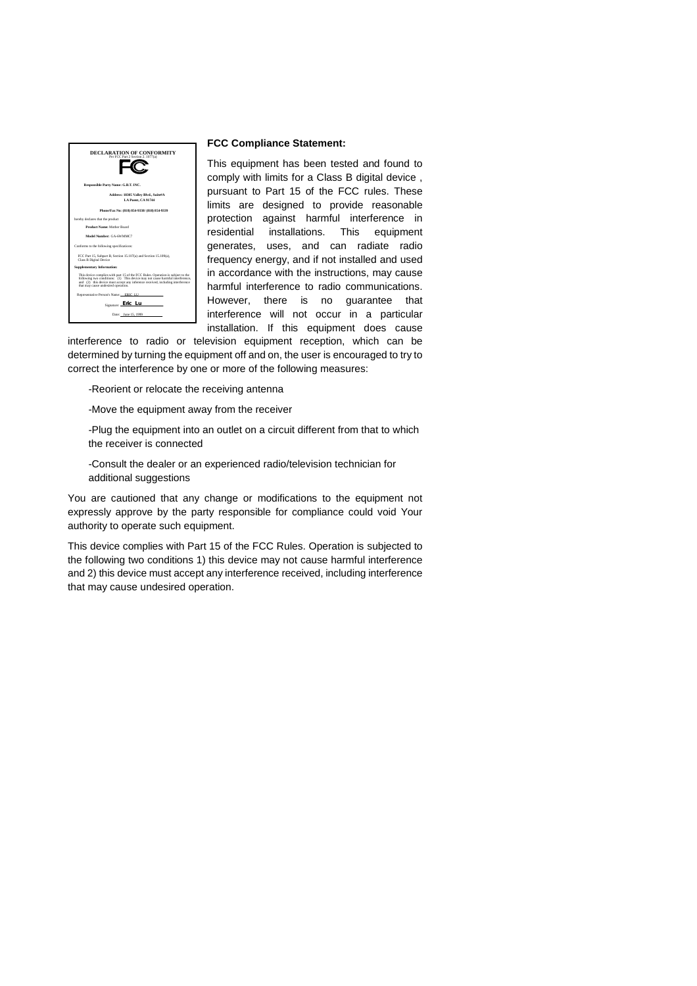

#### **FCC Compliance Statement:**

This equipment has been tested and found to comply with limits for a Class B digital device , pursuant to Part 15 of the FCC rules. These limits are designed to provide reasonable protection against harmful interference in residential installations. This equipment generates, uses, and can radiate radio frequency energy, and if not installed and used in accordance with the instructions, may cause harmful interference to radio communications. However, there is no guarantee that interference will not occur in a particular installation. If this equipment does cause

interference to radio or television equipment reception, which can be determined by turning the equipment off and on, the user is encouraged to try to correct the interference by one or more of the following measures:

-Reorient or relocate the receiving antenna

-Move the equipment away from the receiver

-Plug the equipment into an outlet on a circuit different from that to which the receiver is connected

-Consult the dealer or an experienced radio/television technician for additional suggestions

You are cautioned that any change or modifications to the equipment not expressly approve by the party responsible for compliance could void Your authority to operate such equipment.

This device complies with Part 15 of the FCC Rules. Operation is subjected to the following two conditions 1) this device may not cause harmful interference and 2) this device must accept any interference received, including interference that may cause undesired operation.